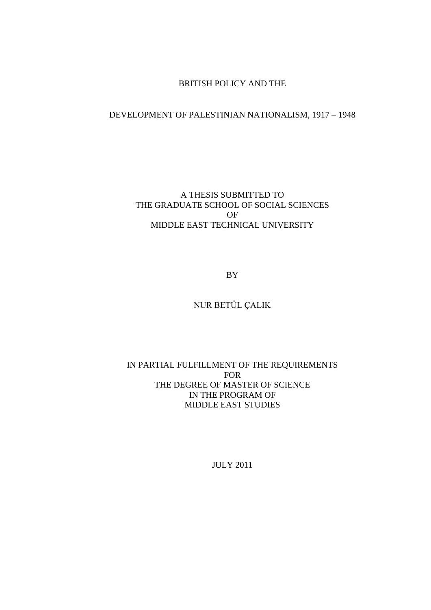### BRITISH POLICY AND THE

### DEVELOPMENT OF PALESTINIAN NATIONALISM, 1917 – 1948

### A THESIS SUBMITTED TO THE GRADUATE SCHOOL OF SOCIAL SCIENCES OF MIDDLE EAST TECHNICAL UNIVERSITY

BY

# NUR BETÜL ÇALIK

### IN PARTIAL FULFILLMENT OF THE REQUIREMENTS FOR THE DEGREE OF MASTER OF SCIENCE IN THE PROGRAM OF MIDDLE EAST STUDIES

JULY 2011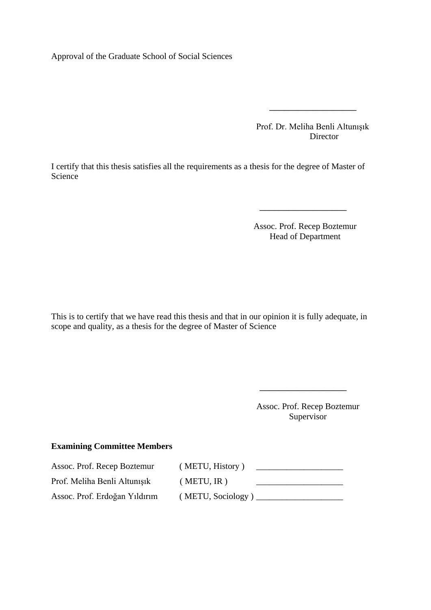Approval of the Graduate School of Social Sciences

 Prof. Dr. Meliha Benli Altunışık **Director** 

\_\_\_\_\_\_\_\_\_\_\_\_\_\_\_\_\_\_

I certify that this thesis satisfies all the requirements as a thesis for the degree of Master of Science

> Assoc. Prof. Recep Boztemur Head of Department

\_\_\_\_\_\_\_\_\_\_\_\_\_\_\_\_\_\_

This is to certify that we have read this thesis and that in our opinion it is fully adequate, in scope and quality, as a thesis for the degree of Master of Science

> Assoc. Prof. Recep Boztemur Supervisor

\_\_\_\_\_\_\_\_\_\_\_\_\_\_\_\_\_\_

#### **Examining Committee Members**

Assoc. Prof. Recep Boztemur ( METU, History ) \_\_\_\_\_\_\_\_\_\_\_\_\_\_\_\_\_\_\_\_ Prof. Meliha Benli Altunışık ( METU, IR ) \_\_\_\_\_\_\_\_\_\_\_\_\_\_\_\_\_\_\_\_ Assoc. Prof. Erdoğan Yıldırım (METU, Sociology)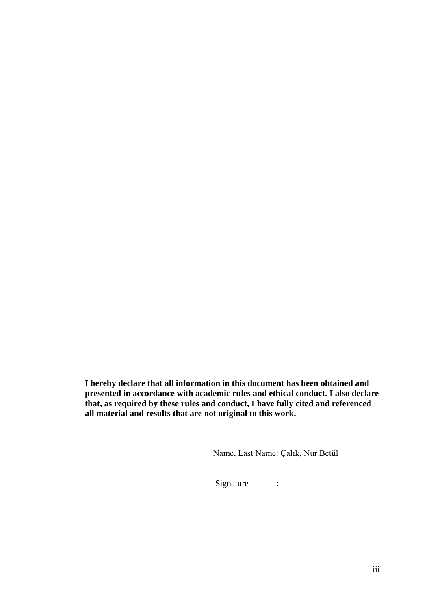**I hereby declare that all information in this document has been obtained and presented in accordance with academic rules and ethical conduct. I also declare that, as required by these rules and conduct, I have fully cited and referenced all material and results that are not original to this work.**

Name, Last Name: Çalık, Nur Betül

Signature :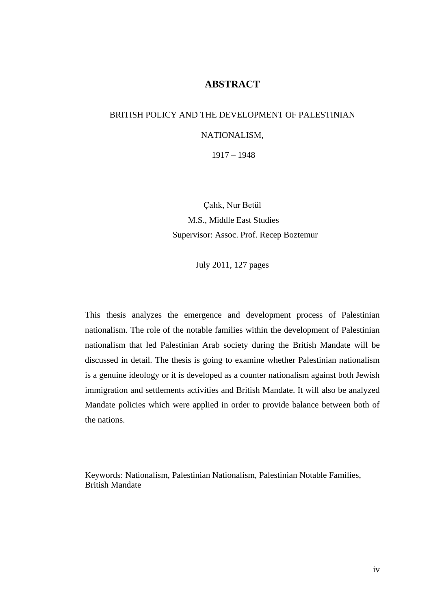# **ABSTRACT**

# BRITISH POLICY AND THE DEVELOPMENT OF PALESTINIAN

### NATIONALISM,

1917 – 1948

Çalık, Nur Betül M.S., Middle East Studies Supervisor: Assoc. Prof. Recep Boztemur

July 2011, 127 pages

This thesis analyzes the emergence and development process of Palestinian nationalism. The role of the notable families within the development of Palestinian nationalism that led Palestinian Arab society during the British Mandate will be discussed in detail. The thesis is going to examine whether Palestinian nationalism is a genuine ideology or it is developed as a counter nationalism against both Jewish immigration and settlements activities and British Mandate. It will also be analyzed Mandate policies which were applied in order to provide balance between both of the nations.

Keywords: Nationalism, Palestinian Nationalism, Palestinian Notable Families, British Mandate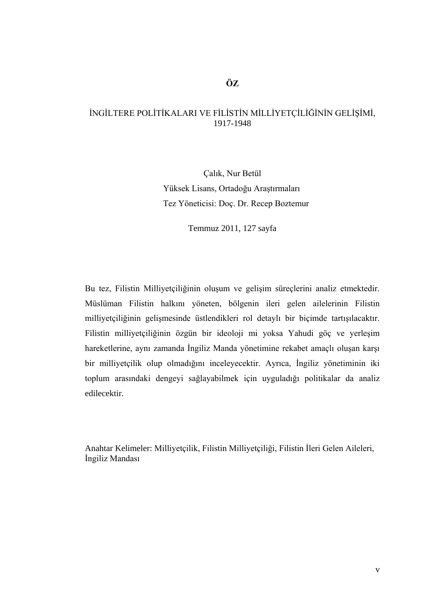### İNGİLTERE POLİTİKALARI VE FİLİSTİN MİLLİYETÇİLİĞİNİN GELİŞİMİ, 1917-1948

Çalık, Nur Betül Yüksek Lisans, Ortadoğu Araştırmaları Tez Yöneticisi: Doç. Dr. Recep Boztemur

Temmuz 2011, 127 sayfa

Bu tez, Filistin Milliyetçiliğinin oluşum ve gelişim süreçlerini analiz etmektedir. Müslüman Filistin halkını yöneten, bölgenin ileri gelen ailelerinin Filistin milliyetçiliğinin gelişmesinde üstlendikleri rol detaylı bir biçimde tartışılacaktır. Filistin milliyetçiliğinin özgün bir ideoloji mi yoksa Yahudi göç ve yerleşim hareketlerine, aynı zamanda İngiliz Manda yönetimine rekabet amaçlı oluşan karşı bir milliyetçilik olup olmadığını inceleyecektir. Ayrıca, İngiliz yönetiminin iki toplum arasındaki dengeyi sağlayabilmek için uyguladığı politikalar da analiz edilecektir.

Anahtar Kelimeler: Milliyetçilik, Filistin Milliyetçiliği, Filistin İleri Gelen Aileleri, İngiliz Mandası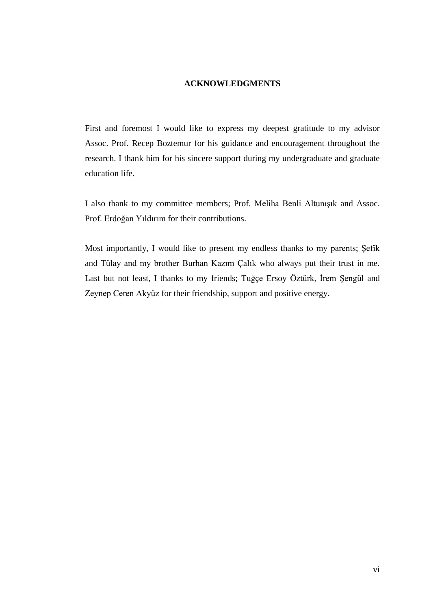#### **ACKNOWLEDGMENTS**

First and foremost I would like to express my deepest gratitude to my advisor Assoc. Prof. Recep Boztemur for his guidance and encouragement throughout the research. I thank him for his sincere support during my undergraduate and graduate education life.

I also thank to my committee members; Prof. Meliha Benli Altunışık and Assoc. Prof. Erdoğan Yıldırım for their contributions.

Most importantly, I would like to present my endless thanks to my parents; Şefik and Tülay and my brother Burhan Kazım Çalık who always put their trust in me. Last but not least, I thanks to my friends; Tuğçe Ersoy Öztürk, İrem Şengül and Zeynep Ceren Akyüz for their friendship, support and positive energy.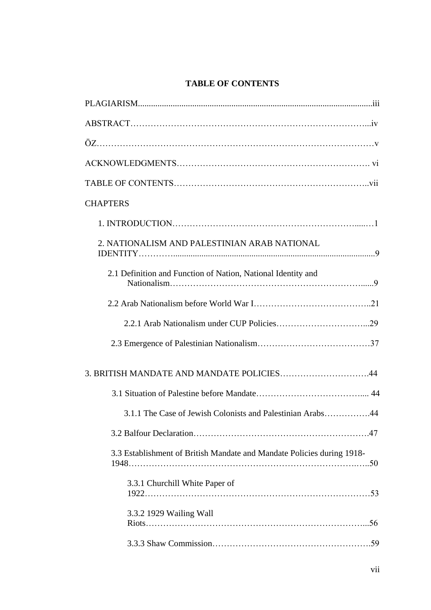# **TABLE OF CONTENTS**

| <b>CHAPTERS</b>                                                        |  |
|------------------------------------------------------------------------|--|
|                                                                        |  |
| 2. NATIONALISM AND PALESTINIAN ARAB NATIONAL                           |  |
| 2.1 Definition and Function of Nation, National Identity and           |  |
|                                                                        |  |
|                                                                        |  |
|                                                                        |  |
|                                                                        |  |
|                                                                        |  |
| 3.1.1 The Case of Jewish Colonists and Palestinian Arabs44             |  |
|                                                                        |  |
| 3.3 Establishment of British Mandate and Mandate Policies during 1918- |  |
| 3.3.1 Churchill White Paper of                                         |  |
| 3.3.2 1929 Wailing Wall                                                |  |
|                                                                        |  |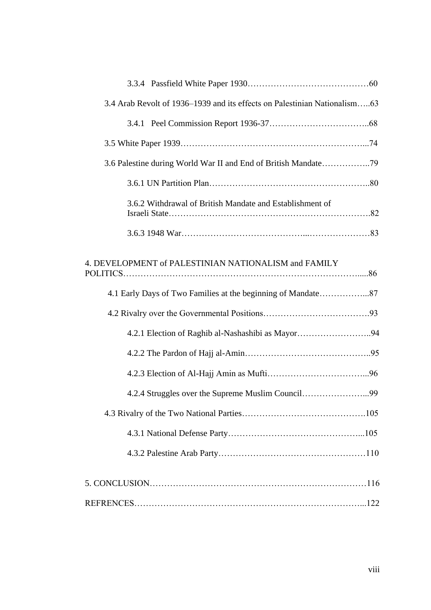| 3.4 Arab Revolt of 1936–1939 and its effects on Palestinian Nationalism63 |  |
|---------------------------------------------------------------------------|--|
|                                                                           |  |
|                                                                           |  |
| 3.6 Palestine during World War II and End of British Mandate79            |  |
|                                                                           |  |
| 3.6.2 Withdrawal of British Mandate and Establishment of                  |  |
|                                                                           |  |
| 4. DEVELOPMENT of PALESTINIAN NATIONALISM and FAMILY                      |  |
|                                                                           |  |
|                                                                           |  |
| 4.2.1 Election of Raghib al-Nashashibi as Mayor94                         |  |
|                                                                           |  |
|                                                                           |  |
|                                                                           |  |
|                                                                           |  |
|                                                                           |  |
|                                                                           |  |
|                                                                           |  |
|                                                                           |  |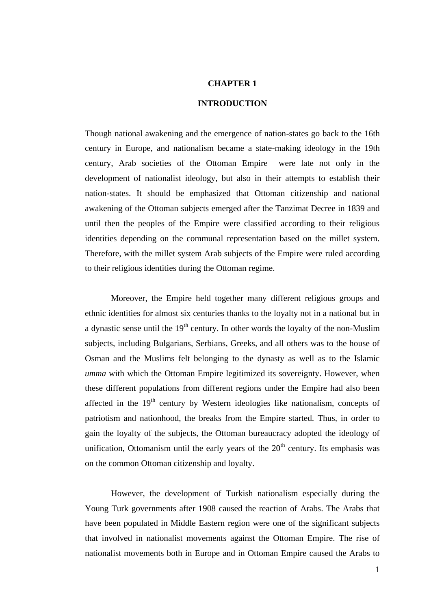#### **CHAPTER 1**

#### **INTRODUCTION**

Though national awakening and the emergence of nation-states go back to the 16th century in Europe, and nationalism became a state-making ideology in the 19th century, Arab societies of the Ottoman Empire were late not only in the development of nationalist ideology, but also in their attempts to establish their nation-states. It should be emphasized that Ottoman citizenship and national awakening of the Ottoman subjects emerged after the Tanzimat Decree in 1839 and until then the peoples of the Empire were classified according to their religious identities depending on the communal representation based on the millet system. Therefore, with the millet system Arab subjects of the Empire were ruled according to their religious identities during the Ottoman regime.

Moreover, the Empire held together many different religious groups and ethnic identities for almost six centuries thanks to the loyalty not in a national but in a dynastic sense until the  $19<sup>th</sup>$  century. In other words the loyalty of the non-Muslim subjects, including Bulgarians, Serbians, Greeks, and all others was to the house of Osman and the Muslims felt belonging to the dynasty as well as to the Islamic *umma* with which the Ottoman Empire legitimized its sovereignty. However, when these different populations from different regions under the Empire had also been affected in the  $19<sup>th</sup>$  century by Western ideologies like nationalism, concepts of patriotism and nationhood, the breaks from the Empire started. Thus, in order to gain the loyalty of the subjects, the Ottoman bureaucracy adopted the ideology of unification, Ottomanism until the early years of the  $20<sup>th</sup>$  century. Its emphasis was on the common Ottoman citizenship and loyalty.

However, the development of Turkish nationalism especially during the Young Turk governments after 1908 caused the reaction of Arabs. The Arabs that have been populated in Middle Eastern region were one of the significant subjects that involved in nationalist movements against the Ottoman Empire. The rise of nationalist movements both in Europe and in Ottoman Empire caused the Arabs to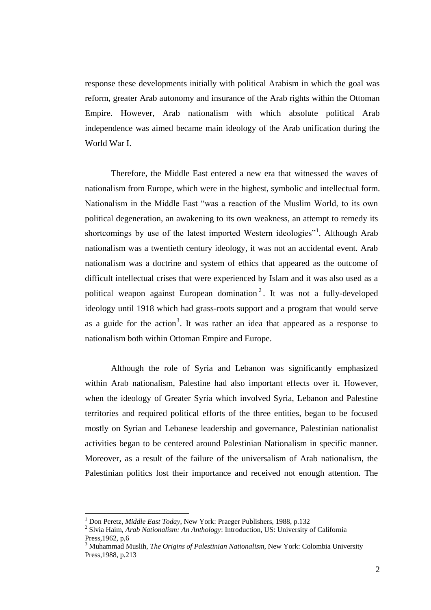response these developments initially with political Arabism in which the goal was reform, greater Arab autonomy and insurance of the Arab rights within the Ottoman Empire. However, Arab nationalism with which absolute political Arab independence was aimed became main ideology of the Arab unification during the World War I.

Therefore, the Middle East entered a new era that witnessed the waves of nationalism from Europe, which were in the highest, symbolic and intellectual form. Nationalism in the Middle East "was a reaction of the Muslim World, to its own political degeneration, an awakening to its own weakness, an attempt to remedy its shortcomings by use of the latest imported Western ideologies"<sup>1</sup>. Although Arab nationalism was a twentieth century ideology, it was not an accidental event. Arab nationalism was a doctrine and system of ethics that appeared as the outcome of difficult intellectual crises that were experienced by Islam and it was also used as a political weapon against European domination<sup>2</sup>. It was not a fully-developed ideology until 1918 which had grass-roots support and a program that would serve as a guide for the action<sup>3</sup>. It was rather an idea that appeared as a response to nationalism both within Ottoman Empire and Europe.

Although the role of Syria and Lebanon was significantly emphasized within Arab nationalism, Palestine had also important effects over it. However, when the ideology of Greater Syria which involved Syria, Lebanon and Palestine territories and required political efforts of the three entities, began to be focused mostly on Syrian and Lebanese leadership and governance, Palestinian nationalist activities began to be centered around Palestinian Nationalism in specific manner. Moreover, as a result of the failure of the universalism of Arab nationalism, the Palestinian politics lost their importance and received not enough attention. The

<sup>1</sup> Don Peretz, *Middle East Today*, New York: Praeger Publishers, 1988, p.132

<sup>2</sup> Slvia Haim, *Arab Nationalism: An Anthology*: Introduction, US: University of California Press,1962, p,6

<sup>3</sup> Muhammad Muslih, *The Origins of Palestinian Nationalism*, New York: Colombia University Press,1988, p.213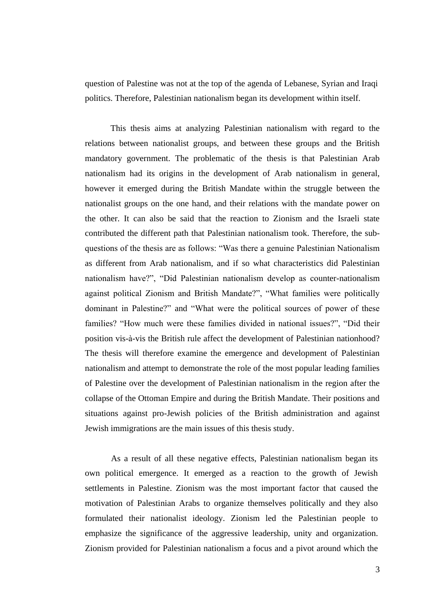question of Palestine was not at the top of the agenda of Lebanese, Syrian and Iraqi politics. Therefore, Palestinian nationalism began its development within itself.

This thesis aims at analyzing Palestinian nationalism with regard to the relations between nationalist groups, and between these groups and the British mandatory government. The problematic of the thesis is that Palestinian Arab nationalism had its origins in the development of Arab nationalism in general, however it emerged during the British Mandate within the struggle between the nationalist groups on the one hand, and their relations with the mandate power on the other. It can also be said that the reaction to Zionism and the Israeli state contributed the different path that Palestinian nationalism took. Therefore, the subquestions of the thesis are as follows: "Was there a genuine Palestinian Nationalism as different from Arab nationalism, and if so what characteristics did Palestinian nationalism have?", "Did Palestinian nationalism develop as counter-nationalism against political Zionism and British Mandate?", "What families were politically dominant in Palestine?" and "What were the political sources of power of these families? "How much were these families divided in national issues?", "Did their position vis-à-vis the British rule affect the development of Palestinian nationhood? The thesis will therefore examine the emergence and development of Palestinian nationalism and attempt to demonstrate the role of the most popular leading families of Palestine over the development of Palestinian nationalism in the region after the collapse of the Ottoman Empire and during the British Mandate. Their positions and situations against pro-Jewish policies of the British administration and against Jewish immigrations are the main issues of this thesis study.

As a result of all these negative effects, Palestinian nationalism began its own political emergence. It emerged as a reaction to the growth of Jewish settlements in Palestine. Zionism was the most important factor that caused the motivation of Palestinian Arabs to organize themselves politically and they also formulated their nationalist ideology. Zionism led the Palestinian people to emphasize the significance of the aggressive leadership, unity and organization. Zionism provided for Palestinian nationalism a focus and a pivot around which the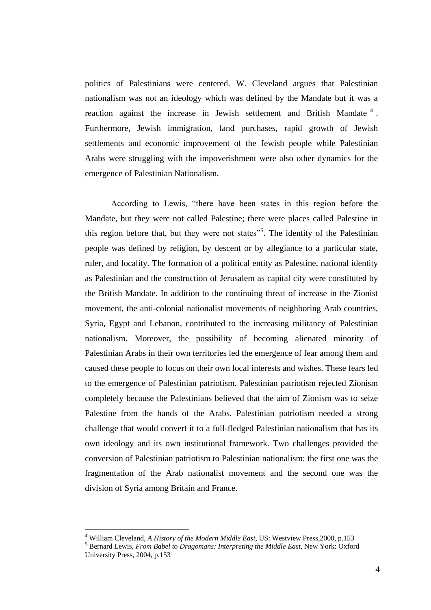politics of Palestinians were centered. W. Cleveland argues that Palestinian nationalism was not an ideology which was defined by the Mandate but it was a reaction against the increase in Jewish settlement and British Mandate  $4$ . Furthermore, Jewish immigration, land purchases, rapid growth of Jewish settlements and economic improvement of the Jewish people while Palestinian Arabs were struggling with the impoverishment were also other dynamics for the emergence of Palestinian Nationalism.

According to Lewis, "there have been states in this region before the Mandate, but they were not called Palestine; there were places called Palestine in this region before that, but they were not states<sup>55</sup>. The identity of the Palestinian people was defined by religion, by descent or by allegiance to a particular state, ruler, and locality. The formation of a political entity as Palestine, national identity as Palestinian and the construction of Jerusalem as capital city were constituted by the British Mandate. In addition to the continuing threat of increase in the Zionist movement, the anti-colonial nationalist movements of neighboring Arab countries, Syria, Egypt and Lebanon, contributed to the increasing militancy of Palestinian nationalism. Moreover, the possibility of becoming alienated minority of Palestinian Arabs in their own territories led the emergence of fear among them and caused these people to focus on their own local interests and wishes. These fears led to the emergence of Palestinian patriotism. Palestinian patriotism rejected Zionism completely because the Palestinians believed that the aim of Zionism was to seize Palestine from the hands of the Arabs. Palestinian patriotism needed a strong challenge that would convert it to a full-fledged Palestinian nationalism that has its own ideology and its own institutional framework. Two challenges provided the conversion of Palestinian patriotism to Palestinian nationalism: the first one was the fragmentation of the Arab nationalist movement and the second one was the division of Syria among Britain and France.

<sup>4</sup> William Cleveland, *A History of the Modern Middle East*, US: Westview Press,2000, p.153

<sup>5</sup> Bernard Lewis, *From Babel to Dragomans: Interpreting the Middle East*, New York: Oxford University Press, 2004, p.153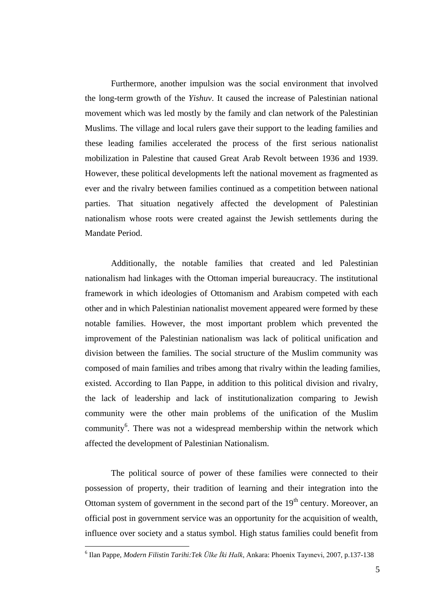Furthermore, another impulsion was the social environment that involved the long-term growth of the *Yishuv*. It caused the increase of Palestinian national movement which was led mostly by the family and clan network of the Palestinian Muslims. The village and local rulers gave their support to the leading families and these leading families accelerated the process of the first serious nationalist mobilization in Palestine that caused Great Arab Revolt between 1936 and 1939. However, these political developments left the national movement as fragmented as ever and the rivalry between families continued as a competition between national parties. That situation negatively affected the development of Palestinian nationalism whose roots were created against the Jewish settlements during the Mandate Period.

Additionally, the notable families that created and led Palestinian nationalism had linkages with the Ottoman imperial bureaucracy. The institutional framework in which ideologies of Ottomanism and Arabism competed with each other and in which Palestinian nationalist movement appeared were formed by these notable families. However, the most important problem which prevented the improvement of the Palestinian nationalism was lack of political unification and division between the families. The social structure of the Muslim community was composed of main families and tribes among that rivalry within the leading families, existed. According to Ilan Pappe, in addition to this political division and rivalry, the lack of leadership and lack of institutionalization comparing to Jewish community were the other main problems of the unification of the Muslim community<sup>6</sup>. There was not a widespread membership within the network which affected the development of Palestinian Nationalism.

The political source of power of these families were connected to their possession of property, their tradition of learning and their integration into the Ottoman system of government in the second part of the  $19<sup>th</sup>$  century. Moreover, an official post in government service was an opportunity for the acquisition of wealth, influence over society and a status symbol. High status families could benefit from

<u>.</u>

<sup>6</sup> Ilan Pappe, *Modern Filistin Tarihi:Tek Ülke İki Halk*, Ankara: Phoenix Tayınevi, 2007, p.137-138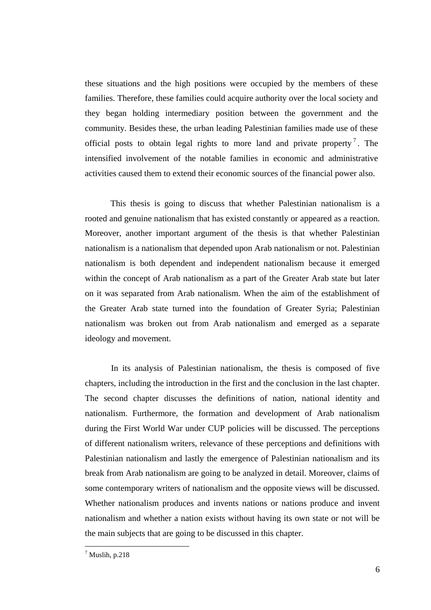these situations and the high positions were occupied by the members of these families. Therefore, these families could acquire authority over the local society and they began holding intermediary position between the government and the community. Besides these, the urban leading Palestinian families made use of these official posts to obtain legal rights to more land and private property<sup>7</sup>. The intensified involvement of the notable families in economic and administrative activities caused them to extend their economic sources of the financial power also.

This thesis is going to discuss that whether Palestinian nationalism is a rooted and genuine nationalism that has existed constantly or appeared as a reaction. Moreover, another important argument of the thesis is that whether Palestinian nationalism is a nationalism that depended upon Arab nationalism or not. Palestinian nationalism is both dependent and independent nationalism because it emerged within the concept of Arab nationalism as a part of the Greater Arab state but later on it was separated from Arab nationalism. When the aim of the establishment of the Greater Arab state turned into the foundation of Greater Syria; Palestinian nationalism was broken out from Arab nationalism and emerged as a separate ideology and movement.

In its analysis of Palestinian nationalism, the thesis is composed of five chapters, including the introduction in the first and the conclusion in the last chapter. The second chapter discusses the definitions of nation, national identity and nationalism. Furthermore, the formation and development of Arab nationalism during the First World War under CUP policies will be discussed. The perceptions of different nationalism writers, relevance of these perceptions and definitions with Palestinian nationalism and lastly the emergence of Palestinian nationalism and its break from Arab nationalism are going to be analyzed in detail. Moreover, claims of some contemporary writers of nationalism and the opposite views will be discussed. Whether nationalism produces and invents nations or nations produce and invent nationalism and whether a nation exists without having its own state or not will be the main subjects that are going to be discussed in this chapter.

<u>.</u>

 $<sup>7</sup>$  Muslih, p.218</sup>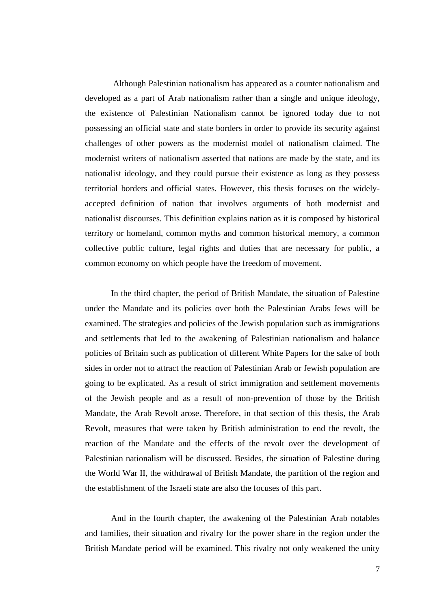Although Palestinian nationalism has appeared as a counter nationalism and developed as a part of Arab nationalism rather than a single and unique ideology, the existence of Palestinian Nationalism cannot be ignored today due to not possessing an official state and state borders in order to provide its security against challenges of other powers as the modernist model of nationalism claimed. The modernist writers of nationalism asserted that nations are made by the state, and its nationalist ideology, and they could pursue their existence as long as they possess territorial borders and official states. However, this thesis focuses on the widelyaccepted definition of nation that involves arguments of both modernist and nationalist discourses. This definition explains nation as it is composed by historical territory or homeland, common myths and common historical memory, a common collective public culture, legal rights and duties that are necessary for public, a common economy on which people have the freedom of movement.

In the third chapter, the period of British Mandate, the situation of Palestine under the Mandate and its policies over both the Palestinian Arabs Jews will be examined. The strategies and policies of the Jewish population such as immigrations and settlements that led to the awakening of Palestinian nationalism and balance policies of Britain such as publication of different White Papers for the sake of both sides in order not to attract the reaction of Palestinian Arab or Jewish population are going to be explicated. As a result of strict immigration and settlement movements of the Jewish people and as a result of non-prevention of those by the British Mandate, the Arab Revolt arose. Therefore, in that section of this thesis, the Arab Revolt, measures that were taken by British administration to end the revolt, the reaction of the Mandate and the effects of the revolt over the development of Palestinian nationalism will be discussed. Besides, the situation of Palestine during the World War II, the withdrawal of British Mandate, the partition of the region and the establishment of the Israeli state are also the focuses of this part.

And in the fourth chapter, the awakening of the Palestinian Arab notables and families, their situation and rivalry for the power share in the region under the British Mandate period will be examined. This rivalry not only weakened the unity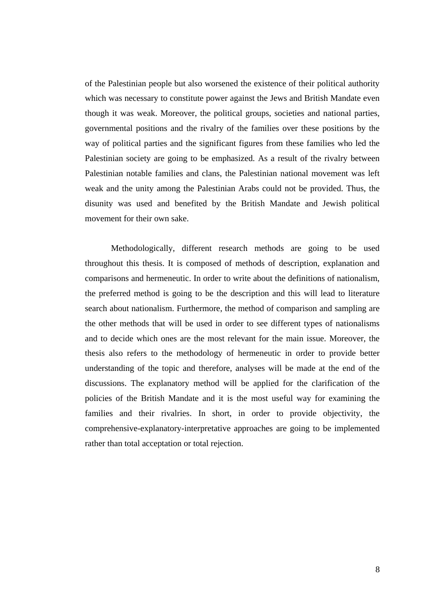of the Palestinian people but also worsened the existence of their political authority which was necessary to constitute power against the Jews and British Mandate even though it was weak. Moreover, the political groups, societies and national parties, governmental positions and the rivalry of the families over these positions by the way of political parties and the significant figures from these families who led the Palestinian society are going to be emphasized. As a result of the rivalry between Palestinian notable families and clans, the Palestinian national movement was left weak and the unity among the Palestinian Arabs could not be provided. Thus, the disunity was used and benefited by the British Mandate and Jewish political movement for their own sake.

Methodologically, different research methods are going to be used throughout this thesis. It is composed of methods of description, explanation and comparisons and hermeneutic. In order to write about the definitions of nationalism, the preferred method is going to be the description and this will lead to literature search about nationalism. Furthermore, the method of comparison and sampling are the other methods that will be used in order to see different types of nationalisms and to decide which ones are the most relevant for the main issue. Moreover, the thesis also refers to the methodology of hermeneutic in order to provide better understanding of the topic and therefore, analyses will be made at the end of the discussions. The explanatory method will be applied for the clarification of the policies of the British Mandate and it is the most useful way for examining the families and their rivalries. In short, in order to provide objectivity, the comprehensive-explanatory-interpretative approaches are going to be implemented rather than total acceptation or total rejection.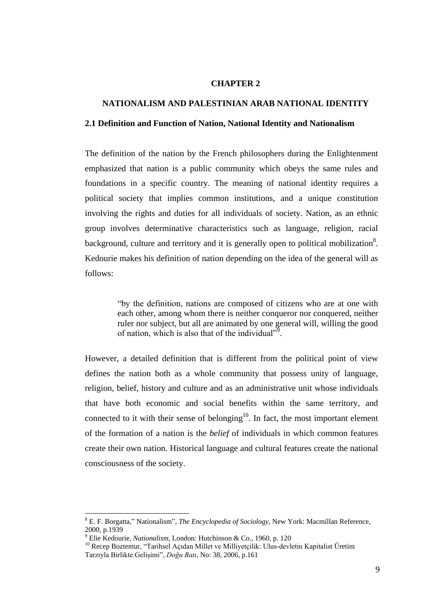#### **CHAPTER 2**

#### **NATIONALISM AND PALESTINIAN ARAB NATIONAL IDENTITY**

#### **2.1 Definition and Function of Nation, National Identity and Nationalism**

The definition of the nation by the French philosophers during the Enlightenment emphasized that nation is a public community which obeys the same rules and foundations in a specific country. The meaning of national identity requires a political society that implies common institutions, and a unique constitution involving the rights and duties for all individuals of society. Nation, as an ethnic group involves determinative characteristics such as language, religion, racial background, culture and territory and it is generally open to political mobilization<sup>8</sup>. Kedourie makes his definition of nation depending on the idea of the general will as follows:

> "by the definition, nations are composed of citizens who are at one with each other, among whom there is neither conqueror nor conquered, neither ruler nor subject, but all are animated by one general will, willing the good of nation, which is also that of the individual".

However, a detailed definition that is different from the political point of view defines the nation both as a whole community that possess unity of language, religion, belief, history and culture and as an administrative unit whose individuals that have both economic and social benefits within the same territory, and connected to it with their sense of belonging<sup>10</sup>. In fact, the most important element of the formation of a nation is the *belief* of individuals in which common features create their own nation. Historical language and cultural features create the national consciousness of the society.

<sup>8</sup> E. F. Borgatta," Nationalism", *The Encyclopedia of Sociology*, New York: Macmillan Reference, 2000, p.1939

<sup>9</sup> Elie Kedourie, *Nationalism*, London: Hutchinson & Co., 1960, p. 120

<sup>&</sup>lt;sup>10</sup> Recep Boztemur, "Tarihsel Açıdan Millet ve Milliyetçilik: Ulus-devletin Kapitalist Üretim Tarzıyla Birlikte GeliĢimi", *Doğu Batı*, No: 38, 2006, p.161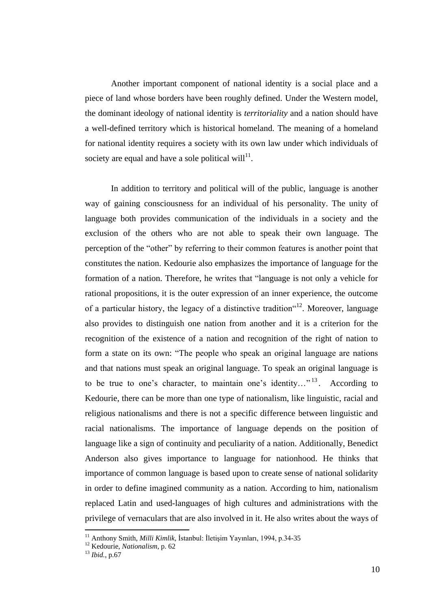Another important component of national identity is a social place and a piece of land whose borders have been roughly defined. Under the Western model, the dominant ideology of national identity is *territoriality* and a nation should have a well-defined territory which is historical homeland. The meaning of a homeland for national identity requires a society with its own law under which individuals of society are equal and have a sole political will $^{11}$ .

In addition to territory and political will of the public, language is another way of gaining consciousness for an individual of his personality. The unity of language both provides communication of the individuals in a society and the exclusion of the others who are not able to speak their own language. The perception of the "other" by referring to their common features is another point that constitutes the nation. Kedourie also emphasizes the importance of language for the formation of a nation. Therefore, he writes that "language is not only a vehicle for rational propositions, it is the outer expression of an inner experience, the outcome of a particular history, the legacy of a distinctive tradition  $12$ . Moreover, language also provides to distinguish one nation from another and it is a criterion for the recognition of the existence of a nation and recognition of the right of nation to form a state on its own: "The people who speak an original language are nations and that nations must speak an original language. To speak an original language is to be true to one's character, to maintain one's identity..."<sup>13</sup>. According to Kedourie, there can be more than one type of nationalism, like linguistic, racial and religious nationalisms and there is not a specific difference between linguistic and racial nationalisms. The importance of language depends on the position of language like a sign of continuity and peculiarity of a nation. Additionally, Benedict Anderson also gives importance to language for nationhood. He thinks that importance of common language is based upon to create sense of national solidarity in order to define imagined community as a nation. According to him, nationalism replaced Latin and used-languages of high cultures and administrations with the privilege of vernaculars that are also involved in it. He also writes about the ways of

<sup>&</sup>lt;sup>11</sup> Anthony Smith, *Milli Kimlik*, İstanbul: İletişim Yayınları, 1994, p.34-35

<sup>12</sup> Kedourie, *Nationalism*, p. 62

<sup>13</sup> *Ibid.*, p.67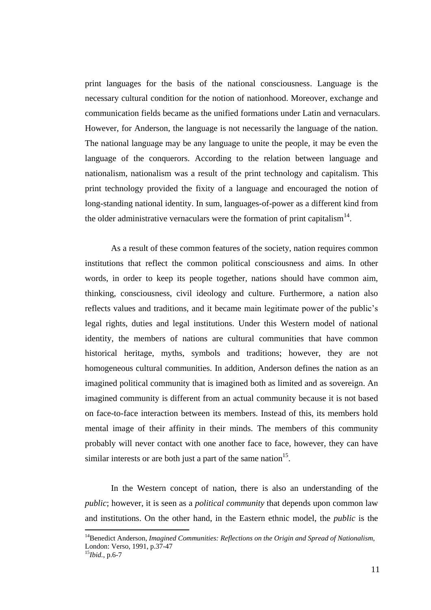print languages for the basis of the national consciousness. Language is the necessary cultural condition for the notion of nationhood. Moreover, exchange and communication fields became as the unified formations under Latin and vernaculars. However, for Anderson, the language is not necessarily the language of the nation. The national language may be any language to unite the people, it may be even the language of the conquerors. According to the relation between language and nationalism, nationalism was a result of the print technology and capitalism. This print technology provided the fixity of a language and encouraged the notion of long-standing national identity. In sum, languages-of-power as a different kind from the older administrative vernaculars were the formation of print capitalism<sup>14</sup>.

As a result of these common features of the society, nation requires common institutions that reflect the common political consciousness and aims. In other words, in order to keep its people together, nations should have common aim, thinking, consciousness, civil ideology and culture. Furthermore, a nation also reflects values and traditions, and it became main legitimate power of the public"s legal rights, duties and legal institutions. Under this Western model of national identity, the members of nations are cultural communities that have common historical heritage, myths, symbols and traditions; however, they are not homogeneous cultural communities. In addition, Anderson defines the nation as an imagined political community that is imagined both as limited and as sovereign. An imagined community is different from an actual [community](http://en.wikipedia.org/wiki/Community) because it is not based on face-to-face interaction between its members. Instead of this, its members hold mental image of their affinity in their minds. The members of this community probably will never contact with one another face to face, however, they can have similar interests or are both just a part of the same nation<sup>15</sup>.

In the Western concept of nation, there is also an understanding of the *public*; however, it is seen as a *political community* that depends upon common law and institutions. On the other hand, in the Eastern ethnic model, the *public* is the

<sup>14</sup>Benedict Anderson, *Imagined Communities: Reflections on the Origin and Spread of Nationalism*, London: Verso, 1991, p.37-47

<sup>15</sup>*Ibid.*, p.6-7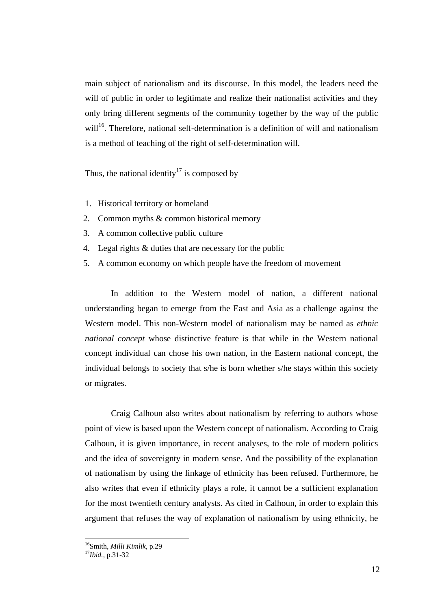main subject of nationalism and its discourse. In this model, the leaders need the will of public in order to legitimate and realize their nationalist activities and they only bring different segments of the community together by the way of the public will<sup>16</sup>. Therefore, national self-determination is a definition of will and nationalism is a method of teaching of the right of self-determination will.

Thus, the national identity<sup>17</sup> is composed by

- 1. Historical territory or homeland
- 2. Common myths & common historical memory
- 3. A common collective public culture
- 4. Legal rights & duties that are necessary for the public
- 5. A common economy on which people have the freedom of movement

In addition to the Western model of nation, a different national understanding began to emerge from the East and Asia as a challenge against the Western model. This non-Western model of nationalism may be named as *ethnic national concept* whose distinctive feature is that while in the Western national concept individual can chose his own nation, in the Eastern national concept, the individual belongs to society that s/he is born whether s/he stays within this society or migrates.

Craig Calhoun also writes about nationalism by referring to authors whose point of view is based upon the Western concept of nationalism. According to Craig Calhoun, it is given importance, in recent analyses, to the role of modern politics and the idea of sovereignty in modern sense. And the possibility of the explanation of nationalism by using the linkage of ethnicity has been refused. Furthermore, he also writes that even if ethnicity plays a role, it cannot be a sufficient explanation for the most twentieth century analysts. As cited in Calhoun, in order to explain this argument that refuses the way of explanation of nationalism by using ethnicity, he

<sup>16</sup>Smith, *Milli Kimlik*, p.29

<sup>17</sup>*Ibid.,* p.31-32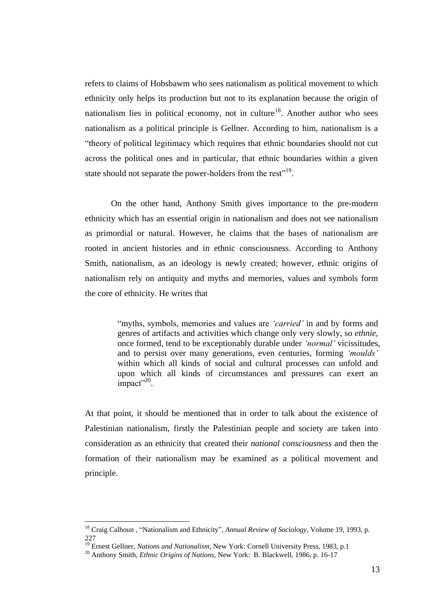refers to claims of Hobsbawm who sees nationalism as political movement to which ethnicity only helps its production but not to its explanation because the origin of nationalism lies in political economy, not in culture<sup>18</sup>. Another author who sees nationalism as a political principle is Gellner. According to him, nationalism is a "theory of political legitimacy which requires that ethnic boundaries should not cut across the political ones and in particular, that ethnic boundaries within a given state should not separate the power-holders from the rest<sup>119</sup>.

On the other hand, Anthony Smith gives importance to the pre-modern ethnicity which has an essential origin in nationalism and does not see nationalism as primordial or natural. However, he claims that the bases of nationalism are rooted in ancient histories and in ethnic consciousness. According to Anthony Smith, nationalism, as an ideology is newly created; however, ethnic origins of nationalism rely on antiquity and myths and memories, values and symbols form the core of ethnicity. He writes that

> "myths, symbols, memories and values are *'carried'* in and by forms and genres of artifacts and activities which change only very slowly, so *ethnie*, once formed, tend to be exceptionably durable under *'normal'* vicissitudes, and to persist over many generations, even centuries, forming *'moulds'*  within which all kinds of social and cultural processes can unfold and upon which all kinds of circumstances and pressures can exert an impact"<sup>20</sup>.

At that point, it should be mentioned that in order to talk about the existence of Palestinian nationalism, firstly the Palestinian people and society are taken into consideration as an ethnicity that created their *national consciousness* and then the formation of their nationalism may be examined as a political movement and principle.

<u>.</u>

<sup>18</sup> Craig Calhoun , "Nationalism and Ethnicity", *Annual Review of Sociology*, Volume 19, 1993, p. 227

<sup>&</sup>lt;sup>19</sup> Ernest Gellner, *Nations and Nationalism*, New York: Cornell University Press, 1983, p.1

<sup>20</sup> Anthony Smith, *Ethnic Origins of Nations*, New York: B. Blackwell, 1986, p. 16-17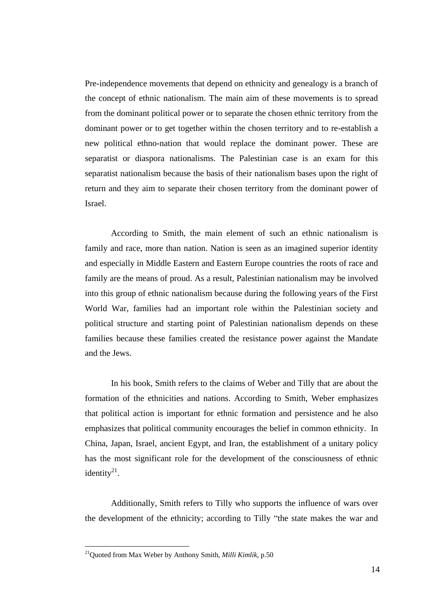Pre-independence movements that depend on ethnicity and genealogy is a branch of the concept of ethnic nationalism. The main aim of these movements is to spread from the dominant political power or to separate the chosen ethnic territory from the dominant power or to get together within the chosen territory and to re-establish a new political ethno-nation that would replace the dominant power. These are separatist or diaspora nationalisms. The Palestinian case is an exam for this separatist nationalism because the basis of their nationalism bases upon the right of return and they aim to separate their chosen territory from the dominant power of Israel.

According to Smith, the main element of such an ethnic nationalism is family and race, more than nation. Nation is seen as an imagined superior identity and especially in Middle Eastern and Eastern Europe countries the roots of race and family are the means of proud. As a result, Palestinian nationalism may be involved into this group of ethnic nationalism because during the following years of the First World War, families had an important role within the Palestinian society and political structure and starting point of Palestinian nationalism depends on these families because these families created the resistance power against the Mandate and the Jews.

In his book, Smith refers to the claims of Weber and Tilly that are about the formation of the ethnicities and nations. According to Smith, Weber emphasizes that political action is important for ethnic formation and persistence and he also emphasizes that political community encourages the belief in common ethnicity. In China, Japan, Israel, ancient Egypt, and Iran, the establishment of a unitary policy has the most significant role for the development of the consciousness of ethnic identity $^{21}$ .

Additionally, Smith refers to Tilly who supports the influence of wars over the development of the ethnicity; according to Tilly "the state makes the war and

<u>.</u>

<sup>21</sup>Quoted from Max Weber by Anthony Smith, *Milli Kimlik*, p.50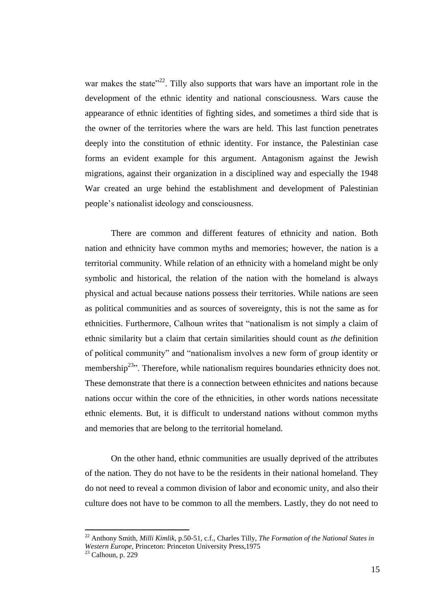war makes the state<sup> $22$ </sup>. Tilly also supports that wars have an important role in the development of the ethnic identity and national consciousness. Wars cause the appearance of ethnic identities of fighting sides, and sometimes a third side that is the owner of the territories where the wars are held. This last function penetrates deeply into the constitution of ethnic identity. For instance, the Palestinian case forms an evident example for this argument. Antagonism against the Jewish migrations, against their organization in a disciplined way and especially the 1948 War created an urge behind the establishment and development of Palestinian people"s nationalist ideology and consciousness.

There are common and different features of ethnicity and nation. Both nation and ethnicity have common myths and memories; however, the nation is a territorial community. While relation of an ethnicity with a homeland might be only symbolic and historical, the relation of the nation with the homeland is always physical and actual because nations possess their territories. While nations are seen as political communities and as sources of sovereignty, this is not the same as for ethnicities. Furthermore, Calhoun writes that "nationalism is not simply a claim of ethnic similarity but a claim that certain similarities should count as *the* definition of political community" and "nationalism involves a new form of group identity or membership<sup>23</sup><sup>23</sup>. Therefore, while nationalism requires boundaries ethnicity does not. These demonstrate that there is a connection between ethnicites and nations because nations occur within the core of the ethnicities, in other words nations necessitate ethnic elements. But, it is difficult to understand nations without common myths and memories that are belong to the territorial homeland.

On the other hand, ethnic communities are usually deprived of the attributes of the nation. They do not have to be the residents in their national homeland. They do not need to reveal a common division of labor and economic unity, and also their culture does not have to be common to all the members. Lastly, they do not need to

<sup>22</sup> Anthony Smith, *Milli Kimlik*, p.50-51, c.f., Charles Tilly, *The Formation of the National States in Western Europe*, Princeton: Princeton University Press,1975

 $23$  Calhoun, p. 229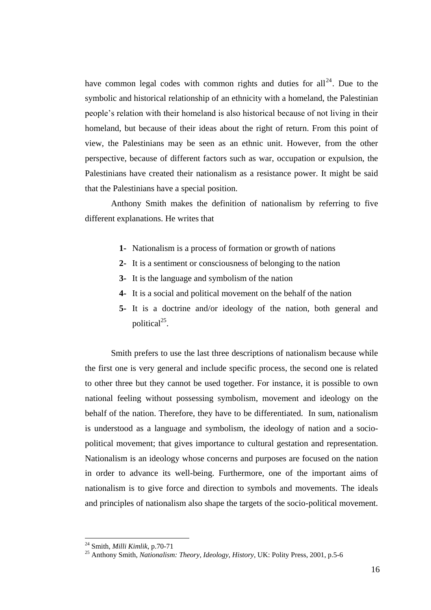have common legal codes with common rights and duties for all<sup>24</sup>. Due to the symbolic and historical relationship of an ethnicity with a homeland, the Palestinian people"s relation with their homeland is also historical because of not living in their homeland, but because of their ideas about the right of return. From this point of view, the Palestinians may be seen as an ethnic unit. However, from the other perspective, because of different factors such as war, occupation or expulsion, the Palestinians have created their nationalism as a resistance power. It might be said that the Palestinians have a special position.

Anthony Smith makes the definition of nationalism by referring to five different explanations. He writes that

- **1-** Nationalism is a process of formation or growth of nations
- **2-** It is a sentiment or consciousness of belonging to the nation
- **3-** It is the language and symbolism of the nation
- **4-** It is a social and political movement on the behalf of the nation
- **5-** It is a doctrine and/or ideology of the nation, both general and political<sup>25</sup>.

Smith prefers to use the last three descriptions of nationalism because while the first one is very general and include specific process, the second one is related to other three but they cannot be used together. For instance, it is possible to own national feeling without possessing symbolism, movement and ideology on the behalf of the nation. Therefore, they have to be differentiated. In sum, nationalism is understood as a language and symbolism, the ideology of nation and a sociopolitical movement; that gives importance to cultural gestation and representation. Nationalism is an ideology whose concerns and purposes are focused on the nation in order to advance its well-being. Furthermore, one of the important aims of nationalism is to give force and direction to symbols and movements. The ideals and principles of nationalism also shape the targets of the socio-political movement.

<sup>24</sup> Smith, *Milli Kimlik*, p.70-71

<sup>25</sup> Anthony Smith, *Nationalism: Theory, Ideology, History*, UK: Polity Press, 2001, p.5-6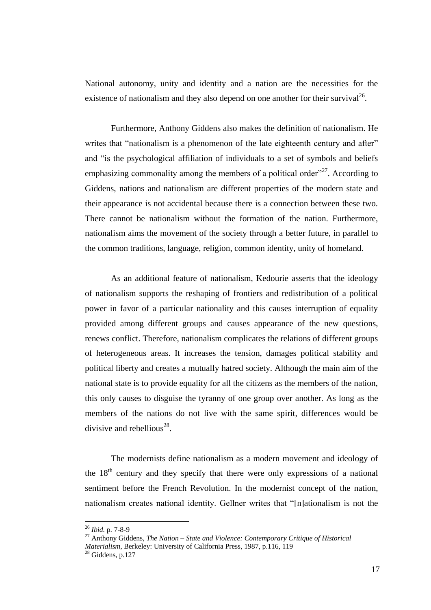National autonomy, unity and identity and a nation are the necessities for the existence of nationalism and they also depend on one another for their survival<sup>26</sup>.

Furthermore, Anthony Giddens also makes the definition of nationalism. He writes that "nationalism is a phenomenon of the late eighteenth century and after" and "is the psychological affiliation of individuals to a set of symbols and beliefs emphasizing commonality among the members of a political order<sup> $27$ </sup>. According to Giddens, nations and nationalism are different properties of the modern state and their appearance is not accidental because there is a connection between these two. There cannot be nationalism without the formation of the nation. Furthermore, nationalism aims the movement of the society through a better future, in parallel to the common traditions, language, religion, common identity, unity of homeland.

As an additional feature of nationalism, Kedourie asserts that the ideology of nationalism supports the reshaping of frontiers and redistribution of a political power in favor of a particular nationality and this causes interruption of equality provided among different groups and causes appearance of the new questions, renews conflict. Therefore, nationalism complicates the relations of different groups of heterogeneous areas. It increases the tension, damages political stability and political liberty and creates a mutually hatred society. Although the main aim of the national state is to provide equality for all the citizens as the members of the nation, this only causes to disguise the tyranny of one group over another. As long as the members of the nations do not live with the same spirit, differences would be divisive and rebellious<sup>28</sup>.

The modernists define nationalism as a modern movement and ideology of the  $18<sup>th</sup>$  century and they specify that there were only expressions of a national sentiment before the French Revolution. In the modernist concept of the nation, nationalism creates national identity. Gellner writes that "[n]ationalism is not the

<u>.</u>

<sup>26</sup> *Ibid.* p. 7-8-9

<sup>27</sup> Anthony Giddens, *The Nation – State and Violence: Contemporary Critique of Historical Materialism*, Berkeley: University of California Press, 1987, p.116, 119

<sup>28</sup> Giddens, p.127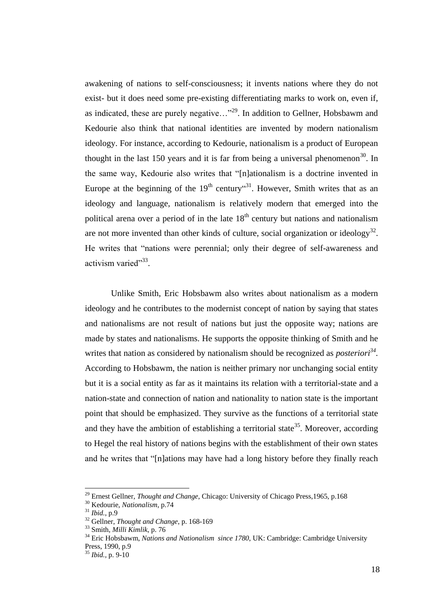awakening of nations to self-consciousness; it invents nations where they do not exist- but it does need some pre-existing differentiating marks to work on, even if, as indicated, these are purely negative... $"^{29}$ . In addition to Gellner, Hobsbawm and Kedourie also think that national identities are invented by modern nationalism ideology. For instance, according to Kedourie, nationalism is a product of European thought in the last 150 years and it is far from being a universal phenomenon<sup>30</sup>. In the same way, Kedourie also writes that "[n]ationalism is a doctrine invented in Europe at the beginning of the  $19<sup>th</sup>$  century<sup> $\cdot$ 31</sup>. However, Smith writes that as an ideology and language, nationalism is relatively modern that emerged into the political arena over a period of in the late  $18<sup>th</sup>$  century but nations and nationalism are not more invented than other kinds of culture, social organization or ideology<sup>32</sup>. He writes that "nations were perennial; only their degree of self-awareness and activism varied"33.

Unlike Smith, Eric Hobsbawm also writes about nationalism as a modern ideology and he contributes to the modernist concept of nation by saying that states and nationalisms are not result of nations but just the opposite way; nations are made by states and nationalisms. He supports the opposite thinking of Smith and he writes that nation as considered by nationalism should be recognized as *posteriori<sup>34</sup> .* According to Hobsbawm, the nation is neither primary nor unchanging social entity but it is a social entity as far as it maintains its relation with a territorial-state and a nation-state and connection of nation and nationality to nation state is the important point that should be emphasized. They survive as the functions of a territorial state and they have the ambition of establishing a territorial state<sup>35</sup>. Moreover, according to Hegel the real history of nations begins with the establishment of their own states and he writes that "[n]ations may have had a long history before they finally reach

<sup>29</sup> Ernest Gellner, *Thought and Change*, Chicago: University of Chicago Press,1965, p.168

<sup>30</sup> Kedourie, *Nationalism*, p.74

<sup>31</sup> *Ibid.*, p.9

<sup>32</sup> Gellner, *Thought and Change*, p. 168-169

<sup>33</sup> Smith, *Milli Kimlik*, p. 76

<sup>34</sup> Eric Hobsbawm, *Nations and Nationalism since 1780*, UK: Cambridge: Cambridge University Press, 1990, p.9

<sup>35</sup> *Ibid.,* p. 9-10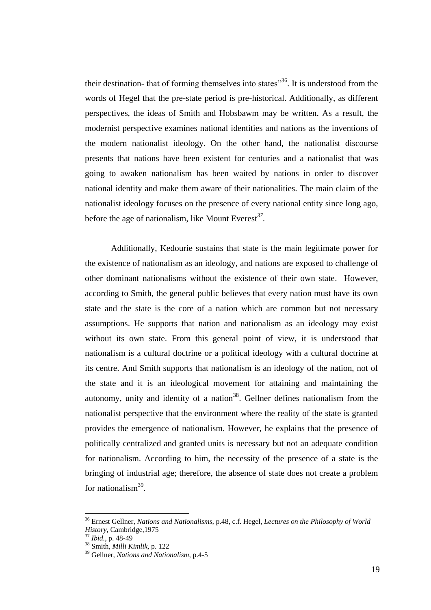their destination- that of forming themselves into states"<sup>36</sup>. It is understood from the words of Hegel that the pre-state period is pre-historical. Additionally, as different perspectives, the ideas of Smith and Hobsbawm may be written. As a result, the modernist perspective examines national identities and nations as the inventions of the modern nationalist ideology. On the other hand, the nationalist discourse presents that nations have been existent for centuries and a nationalist that was going to awaken nationalism has been waited by nations in order to discover national identity and make them aware of their nationalities. The main claim of the nationalist ideology focuses on the presence of every national entity since long ago, before the age of nationalism, like Mount Everest*<sup>37</sup> .*

Additionally, Kedourie sustains that state is the main legitimate power for the existence of nationalism as an ideology, and nations are exposed to challenge of other dominant nationalisms without the existence of their own state. However, according to Smith, the general public believes that every nation must have its own state and the state is the core of a nation which are common but not necessary assumptions. He supports that nation and nationalism as an ideology may exist without its own state. From this general point of view, it is understood that nationalism is a cultural doctrine or a political ideology with a cultural doctrine at its centre. And Smith supports that nationalism is an ideology of the nation, not of the state and it is an ideological movement for attaining and maintaining the autonomy, unity and identity of a nation $38$ . Gellner defines nationalism from the nationalist perspective that the environment where the reality of the state is granted provides the emergence of nationalism. However, he explains that the presence of politically centralized and granted units is necessary but not an adequate condition for nationalism. According to him, the necessity of the presence of a state is the bringing of industrial age; therefore, the absence of state does not create a problem for nationalism<sup>39</sup>.

<sup>36</sup> Ernest Gellner, *Nations and Nationalisms*, p.48, c.f. Hegel, *Lectures on the Philosophy of World History*, Cambridge,1975

<sup>37</sup> *Ibid.*, p. 48-49

<sup>38</sup> Smith, *Milli Kimlik*, p. 122

<sup>39</sup> Gellner, *Nations and Nationalism*, p.4-5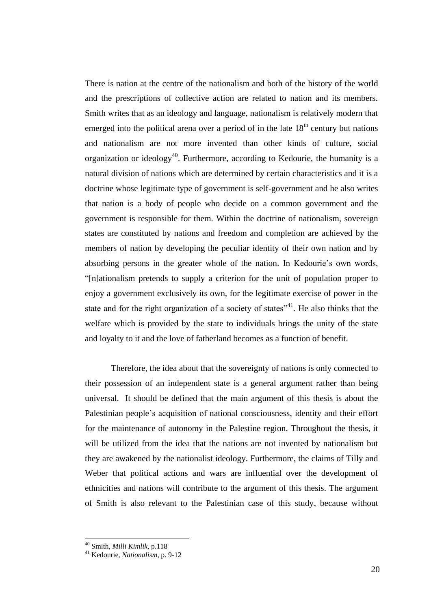There is nation at the centre of the nationalism and both of the history of the world and the prescriptions of collective action are related to nation and its members. Smith writes that as an ideology and language, nationalism is relatively modern that emerged into the political arena over a period of in the late  $18<sup>th</sup>$  century but nations and nationalism are not more invented than other kinds of culture, social organization or ideology<sup>40</sup>. Furthermore, according to Kedourie, the humanity is a natural division of nations which are determined by certain characteristics and it is a doctrine whose legitimate type of government is self-government and he also writes that nation is a body of people who decide on a common government and the government is responsible for them. Within the doctrine of nationalism, sovereign states are constituted by nations and freedom and completion are achieved by the members of nation by developing the peculiar identity of their own nation and by absorbing persons in the greater whole of the nation. In Kedourie"s own words, "[n]ationalism pretends to supply a criterion for the unit of population proper to enjoy a government exclusively its own, for the legitimate exercise of power in the state and for the right organization of a society of states $^{341}$ . He also thinks that the welfare which is provided by the state to individuals brings the unity of the state and loyalty to it and the love of fatherland becomes as a function of benefit.

Therefore, the idea about that the sovereignty of nations is only connected to their possession of an independent state is a general argument rather than being universal. It should be defined that the main argument of this thesis is about the Palestinian people"s acquisition of national consciousness, identity and their effort for the maintenance of autonomy in the Palestine region. Throughout the thesis, it will be utilized from the idea that the nations are not invented by nationalism but they are awakened by the nationalist ideology. Furthermore, the claims of Tilly and Weber that political actions and wars are influential over the development of ethnicities and nations will contribute to the argument of this thesis. The argument of Smith is also relevant to the Palestinian case of this study, because without

<sup>40</sup> Smith, *Milli Kimlik*, p.118

<sup>41</sup> Kedourie*, Nationalism*, p. 9-12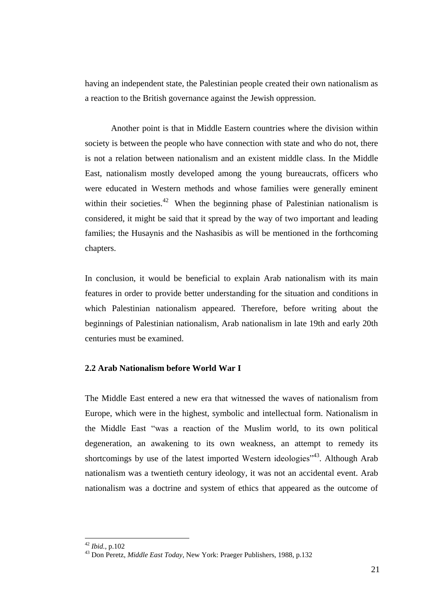having an independent state, the Palestinian people created their own nationalism as a reaction to the British governance against the Jewish oppression.

Another point is that in Middle Eastern countries where the division within society is between the people who have connection with state and who do not, there is not a relation between nationalism and an existent middle class. In the Middle East, nationalism mostly developed among the young bureaucrats, officers who were educated in Western methods and whose families were generally eminent within their societies. $42$  When the beginning phase of Palestinian nationalism is considered, it might be said that it spread by the way of two important and leading families; the Husaynis and the Nashasibis as will be mentioned in the forthcoming chapters.

In conclusion, it would be beneficial to explain Arab nationalism with its main features in order to provide better understanding for the situation and conditions in which Palestinian nationalism appeared. Therefore, before writing about the beginnings of Palestinian nationalism, Arab nationalism in late 19th and early 20th centuries must be examined.

### **2.2 Arab Nationalism before World War I**

The Middle East entered a new era that witnessed the waves of nationalism from Europe, which were in the highest, symbolic and intellectual form. Nationalism in the Middle East "was a reaction of the Muslim world, to its own political degeneration, an awakening to its own weakness, an attempt to remedy its shortcomings by use of the latest imported Western ideologies<sup> $3,43$ </sup>. Although Arab nationalism was a twentieth century ideology, it was not an accidental event. Arab nationalism was a doctrine and system of ethics that appeared as the outcome of

<sup>42</sup> *Ibid.*, p.102

<sup>43</sup> Don Peretz, *Middle East Today*, New York: Praeger Publishers, 1988, p.132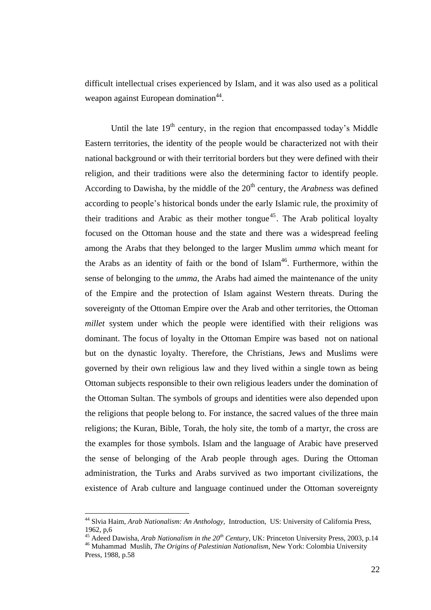difficult intellectual crises experienced by Islam, and it was also used as a political weapon against European domination<sup>44</sup>.

Until the late  $19<sup>th</sup>$  century, in the region that encompassed today's Middle Eastern territories, the identity of the people would be characterized not with their national background or with their territorial borders but they were defined with their religion, and their traditions were also the determining factor to identify people. According to Dawisha, by the middle of the 20<sup>th</sup> century, the *Arabness* was defined according to people"s historical bonds under the early Islamic rule, the proximity of their traditions and Arabic as their mother tongue<sup>45</sup>. The Arab political loyalty focused on the Ottoman house and the state and there was a widespread feeling among the Arabs that they belonged to the larger Muslim *umma* which meant for the Arabs as an identity of faith or the bond of  $Islam<sup>46</sup>$ . Furthermore, within the sense of belonging to the *umma*, the Arabs had aimed the maintenance of the unity of the Empire and the protection of Islam against Western threats. During the sovereignty of the Ottoman Empire over the Arab and other territories, the Ottoman *millet* system under which the people were identified with their religions was dominant. The focus of loyalty in the Ottoman Empire was based not on national but on the dynastic loyalty. Therefore, the Christians, Jews and Muslims were governed by their own religious law and they lived within a single town as being Ottoman subjects responsible to their own religious leaders under the domination of the Ottoman Sultan. The symbols of groups and identities were also depended upon the religions that people belong to. For instance, the sacred values of the three main religions; the Kuran, Bible, Torah, the holy site, the tomb of a martyr, the cross are the examples for those symbols. Islam and the language of Arabic have preserved the sense of belonging of the Arab people through ages. During the Ottoman administration, the Turks and Arabs survived as two important civilizations, the existence of Arab culture and language continued under the Ottoman sovereignty

<sup>44</sup> Slvia Haim, *Arab Nationalism: An Anthology,* Introduction, US: University of California Press, 1962, p,6

<sup>45</sup> Adeed Dawisha, *Arab Nationalism in the 20th Century*, UK: Princeton University Press, 2003, p.14 <sup>46</sup> Muhammad Muslih, *The Origins of Palestinian Nationalism*, New York: Colombia University Press, 1988, p.58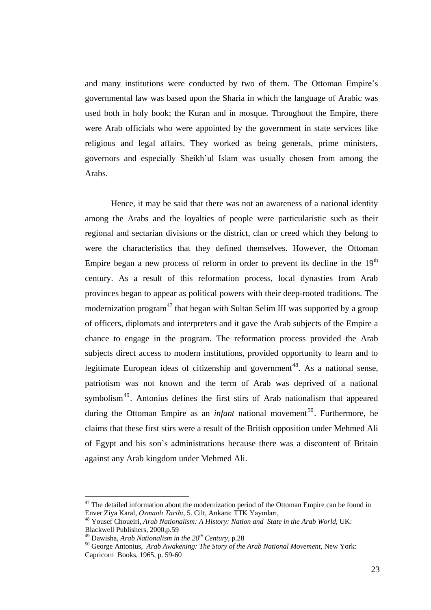and many institutions were conducted by two of them. The Ottoman Empire"s governmental law was based upon the Sharia in which the language of Arabic was used both in holy book; the Kuran and in mosque. Throughout the Empire, there were Arab officials who were appointed by the government in state services like religious and legal affairs. They worked as being generals, prime ministers, governors and especially Sheikh"ul Islam was usually chosen from among the Arabs.

Hence, it may be said that there was not an awareness of a national identity among the Arabs and the loyalties of people were particularistic such as their regional and sectarian divisions or the district, clan or creed which they belong to were the characteristics that they defined themselves. However, the Ottoman Empire began a new process of reform in order to prevent its decline in the  $19<sup>th</sup>$ century. As a result of this reformation process, local dynasties from Arab provinces began to appear as political powers with their deep-rooted traditions. The modernization program<sup>47</sup> that began with Sultan Selim III was supported by a group of officers, diplomats and interpreters and it gave the Arab subjects of the Empire a chance to engage in the program. The reformation process provided the Arab subjects direct access to modern institutions, provided opportunity to learn and to legitimate European ideas of citizenship and government<sup>48</sup>. As a national sense, patriotism was not known and the term of Arab was deprived of a national symbolism<sup>49</sup>. Antonius defines the first stirs of Arab nationalism that appeared during the Ottoman Empire as an *infant* national movement<sup>50</sup>. Furthermore, he claims that these first stirs were a result of the British opposition under Mehmed Ali of Egypt and his son"s administrations because there was a discontent of Britain against any Arab kingdom under Mehmed Ali.

 $47$  The detailed information about the modernization period of the Ottoman Empire can be found in Enver Ziya Karal, *Osmanlı Tarihi*, 5. Cilt, Ankara: TTK Yayınları,

<sup>48</sup> Yousef Choueiri, *Arab Nationalism: A History: Nation and State in the Arab World*, UK: Blackwell Publishers, 2000,p.59

<sup>49</sup> Dawisha, *Arab Nationalism in the 20th Century*, p.28

<sup>50</sup> George Antonius, *Arab Awakening: The Story of the Arab National Movement*, New York: Capricorn Books, 1965, p. 59-60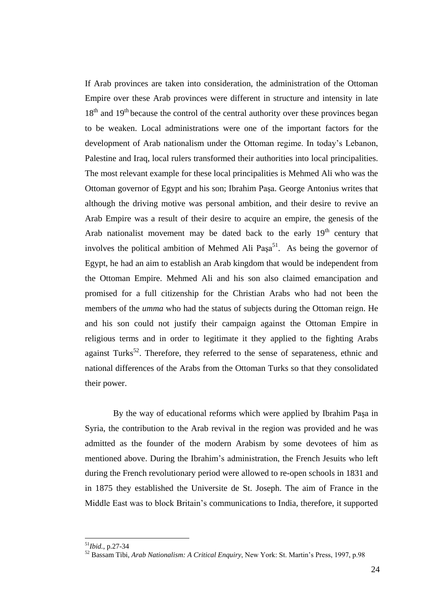If Arab provinces are taken into consideration, the administration of the Ottoman Empire over these Arab provinces were different in structure and intensity in late  $18<sup>th</sup>$  and  $19<sup>th</sup>$  because the control of the central authority over these provinces began to be weaken. Local administrations were one of the important factors for the development of Arab nationalism under the Ottoman regime. In today"s Lebanon, Palestine and Iraq, local rulers transformed their authorities into local principalities. The most relevant example for these local principalities is Mehmed Ali who was the Ottoman governor of Egypt and his son; Ibrahim PaĢa. George Antonius writes that although the driving motive was personal ambition, and their desire to revive an Arab Empire was a result of their desire to acquire an empire, the genesis of the Arab nationalist movement may be dated back to the early  $19<sup>th</sup>$  century that involves the political ambition of Mehmed Ali Paşa<sup>51</sup>. As being the governor of Egypt, he had an aim to establish an Arab kingdom that would be independent from the Ottoman Empire. Mehmed Ali and his son also claimed emancipation and promised for a full citizenship for the Christian Arabs who had not been the members of the *umma* who had the status of subjects during the Ottoman reign. He and his son could not justify their campaign against the Ottoman Empire in religious terms and in order to legitimate it they applied to the fighting Arabs against Turks<sup>52</sup>. Therefore, they referred to the sense of separateness, ethnic and national differences of the Arabs from the Ottoman Turks so that they consolidated their power.

By the way of educational reforms which were applied by Ibrahim Paşa in Syria, the contribution to the Arab revival in the region was provided and he was admitted as the founder of the modern Arabism by some devotees of him as mentioned above. During the Ibrahim"s administration, the French Jesuits who left during the French revolutionary period were allowed to re-open schools in 1831 and in 1875 they established the Universite de St. Joseph. The aim of France in the Middle East was to block Britain"s communications to India, therefore, it supported

<sup>51</sup>*Ibid.*, p.27-34

<sup>52</sup> Bassam Tibi, *Arab Nationalism: A Critical Enquiry*, New York: St. Martin"s Press, 1997, p.98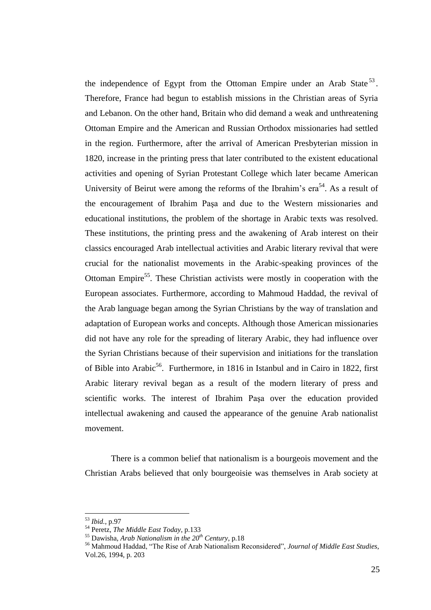the independence of Egypt from the Ottoman Empire under an Arab State<sup>53</sup>. Therefore, France had begun to establish missions in the Christian areas of Syria and Lebanon. On the other hand, Britain who did demand a weak and unthreatening Ottoman Empire and the American and Russian Orthodox missionaries had settled in the region. Furthermore, after the arrival of American Presbyterian mission in 1820, increase in the printing press that later contributed to the existent educational activities and opening of Syrian Protestant College which later became American University of Beirut were among the reforms of the Ibrahim's  $era^{54}$ . As a result of the encouragement of Ibrahim PaĢa and due to the Western missionaries and educational institutions, the problem of the shortage in Arabic texts was resolved. These institutions, the printing press and the awakening of Arab interest on their classics encouraged Arab intellectual activities and Arabic literary revival that were crucial for the nationalist movements in the Arabic-speaking provinces of the Ottoman Empire<sup>55</sup>. These Christian activists were mostly in cooperation with the European associates. Furthermore, according to Mahmoud Haddad, the revival of the Arab language began among the Syrian Christians by the way of translation and adaptation of European works and concepts. Although those American missionaries did not have any role for the spreading of literary Arabic, they had influence over the Syrian Christians because of their supervision and initiations for the translation of Bible into Arabic<sup>56</sup>. Furthermore, in 1816 in Istanbul and in Cairo in 1822, first Arabic literary revival began as a result of the modern literary of press and scientific works. The interest of Ibrahim Paşa over the education provided intellectual awakening and caused the appearance of the genuine Arab nationalist movement.

There is a common belief that nationalism is a bourgeois movement and the Christian Arabs believed that only bourgeoisie was themselves in Arab society at

<sup>53</sup> *Ibid.*, p.97

<sup>54</sup> Peretz, *The Middle East Today*, p.133

<sup>55</sup> Dawisha, *Arab Nationalism in the 20th Century*, p.18

<sup>56</sup> Mahmoud Haddad, "The Rise of Arab Nationalism Reconsidered", *Journal of Middle East Studies*, Vol.26, 1994, p. 203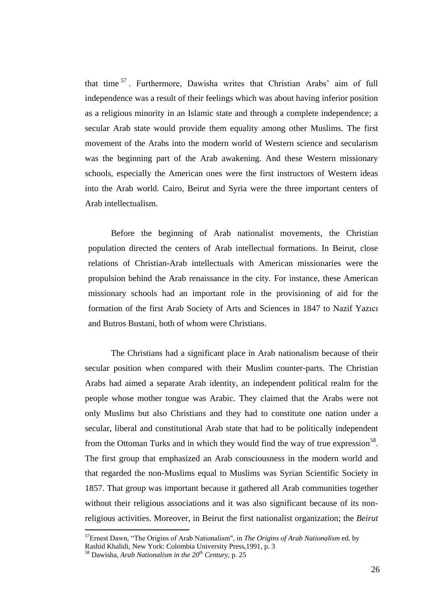that time<sup>57</sup>. Furthermore, Dawisha writes that Christian Arabs' aim of full independence was a result of their feelings which was about having inferior position as a religious minority in an Islamic state and through a complete independence; a secular Arab state would provide them equality among other Muslims. The first movement of the Arabs into the modern world of Western science and secularism was the beginning part of the Arab awakening. And these Western missionary schools, especially the American ones were the first instructors of Western ideas into the Arab world. Cairo, Beirut and Syria were the three important centers of Arab intellectualism.

Before the beginning of Arab nationalist movements, the Christian population directed the centers of Arab intellectual formations. In Beirut, close relations of Christian-Arab intellectuals with American missionaries were the propulsion behind the Arab renaissance in the city. For instance, these American missionary schools had an important role in the provisioning of aid for the formation of the first Arab Society of Arts and Sciences in 1847 to Nazif Yazıcı and Butros Bustani, both of whom were Christians.

The Christians had a significant place in Arab nationalism because of their secular position when compared with their Muslim counter-parts. The Christian Arabs had aimed a separate Arab identity, an independent political realm for the people whose mother tongue was Arabic. They claimed that the Arabs were not only Muslims but also Christians and they had to constitute one nation under a secular, liberal and constitutional Arab state that had to be politically independent from the Ottoman Turks and in which they would find the way of true expression<sup>58</sup>. The first group that emphasized an Arab consciousness in the modern world and that regarded the non-Muslims equal to Muslims was Syrian Scientific Society in 1857. That group was important because it gathered all Arab communities together without their religious associations and it was also significant because of its nonreligious activities. Moreover, in Beirut the first nationalist organization; the *Beirut* 

<sup>57</sup>Ernest Dawn, "The Origins of Arab Nationalism", in *The Origins of Arab Nationalism* ed. by

Rashid Khalidi, New York: Colombia University Press,1991, p. 3

<sup>58</sup> Dawisha, *Arab Nationalism in the 20th Century*, p. 25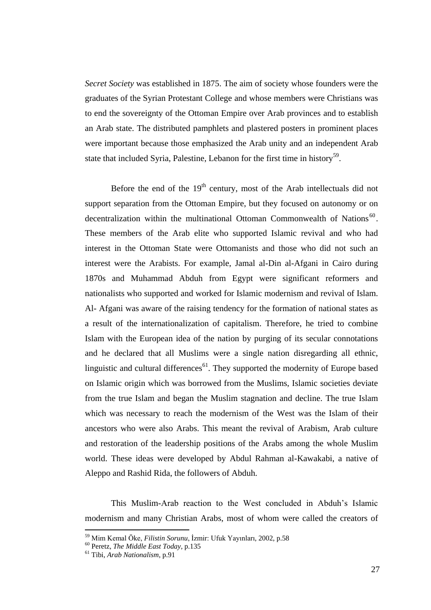*Secret Society* was established in 1875. The aim of society whose founders were the graduates of the Syrian Protestant College and whose members were Christians was to end the sovereignty of the Ottoman Empire over Arab provinces and to establish an Arab state. The distributed pamphlets and plastered posters in prominent places were important because those emphasized the Arab unity and an independent Arab state that included Syria, Palestine, Lebanon for the first time in history<sup>59</sup>.

Before the end of the  $19<sup>th</sup>$  century, most of the Arab intellectuals did not support separation from the Ottoman Empire, but they focused on autonomy or on decentralization within the multinational Ottoman Commonwealth of Nations<sup>60</sup>. These members of the Arab elite who supported Islamic revival and who had interest in the Ottoman State were Ottomanists and those who did not such an interest were the Arabists. For example, Jamal al-Din al-Afgani in Cairo during 1870s and Muhammad Abduh from Egypt were significant reformers and nationalists who supported and worked for Islamic modernism and revival of Islam. Al- Afgani was aware of the raising tendency for the formation of national states as a result of the internationalization of capitalism. Therefore, he tried to combine Islam with the European idea of the nation by purging of its secular connotations and he declared that all Muslims were a single nation disregarding all ethnic, linguistic and cultural differences $^{61}$ . They supported the modernity of Europe based on Islamic origin which was borrowed from the Muslims, Islamic societies deviate from the true Islam and began the Muslim stagnation and decline. The true Islam which was necessary to reach the modernism of the West was the Islam of their ancestors who were also Arabs. This meant the revival of Arabism, Arab culture and restoration of the leadership positions of the Arabs among the whole Muslim world. These ideas were developed by Abdul Rahman al-Kawakabi, a native of Aleppo and Rashid Rida, the followers of Abduh.

This Muslim-Arab reaction to the West concluded in Abduh"s Islamic modernism and many Christian Arabs, most of whom were called the creators of

<sup>&</sup>lt;sup>59</sup> Mim Kemal Öke, *Filistin Sorunu*, İzmir: Ufuk Yayınları, 2002, p.58

<sup>60</sup> Peretz, *The Middle East Today*, p.135

<sup>61</sup> Tibi, *Arab Nationalism*, p.91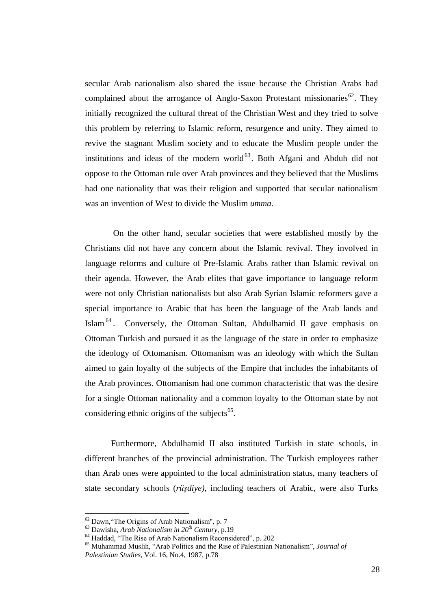secular Arab nationalism also shared the issue because the Christian Arabs had complained about the arrogance of Anglo-Saxon Protestant missionaries<sup>62</sup>. They initially recognized the cultural threat of the Christian West and they tried to solve this problem by referring to Islamic reform, resurgence and unity. They aimed to revive the stagnant Muslim society and to educate the Muslim people under the institutions and ideas of the modern world $^{63}$ . Both Afgani and Abduh did not oppose to the Ottoman rule over Arab provinces and they believed that the Muslims had one nationality that was their religion and supported that secular nationalism was an invention of West to divide the Muslim *umma*.

On the other hand, secular societies that were established mostly by the Christians did not have any concern about the Islamic revival. They involved in language reforms and culture of Pre-Islamic Arabs rather than Islamic revival on their agenda. However, the Arab elites that gave importance to language reform were not only Christian nationalists but also Arab Syrian Islamic reformers gave a special importance to Arabic that has been the language of the Arab lands and Islam<sup>64</sup>. Conversely, the Ottoman Sultan, Abdulhamid II gave emphasis on Ottoman Turkish and pursued it as the language of the state in order to emphasize the ideology of Ottomanism. Ottomanism was an ideology with which the Sultan aimed to gain loyalty of the subjects of the Empire that includes the inhabitants of the Arab provinces. Ottomanism had one common characteristic that was the desire for a single Ottoman nationality and a common loyalty to the Ottoman state by not considering ethnic origins of the subjects<sup>65</sup>.

Furthermore, Abdulhamid II also instituted Turkish in state schools, in different branches of the provincial administration. The Turkish employees rather than Arab ones were appointed to the local administration status, many teachers of state secondary schools (*rüşdiye)*, including teachers of Arabic, were also Turks

<sup>62</sup> Dawn,"The Origins of Arab Nationalism", p. 7

<sup>63</sup> Dawisha, *Arab Nationalism in 20th Century*, p.19

<sup>&</sup>lt;sup>64</sup> Haddad, "The Rise of Arab Nationalism Reconsidered", p. 202

<sup>65</sup> Muhammad Muslih, "Arab Politics and the Rise of Palestinian Nationalism", *Journal of Palestinian Studies*, Vol. 16, No.4, 1987, p.78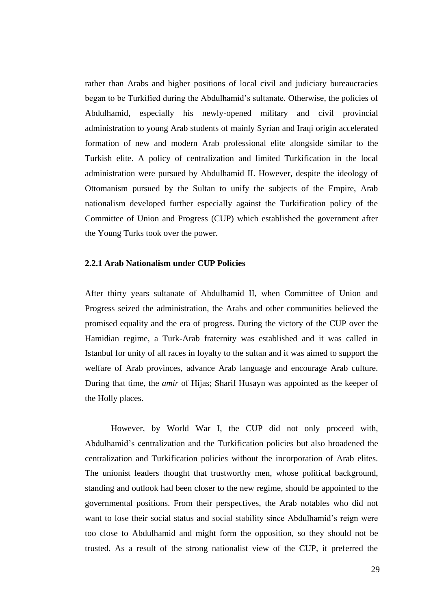rather than Arabs and higher positions of local civil and judiciary bureaucracies began to be Turkified during the Abdulhamid"s sultanate. Otherwise, the policies of Abdulhamid, especially his newly-opened military and civil provincial administration to young Arab students of mainly Syrian and Iraqi origin accelerated formation of new and modern Arab professional elite alongside similar to the Turkish elite. A policy of centralization and limited Turkification in the local administration were pursued by Abdulhamid II. However, despite the ideology of Ottomanism pursued by the Sultan to unify the subjects of the Empire, Arab nationalism developed further especially against the Turkification policy of the Committee of Union and Progress (CUP) which established the government after the Young Turks took over the power.

## **2.2.1 Arab Nationalism under CUP Policies**

After thirty years sultanate of Abdulhamid II, when Committee of Union and Progress seized the administration, the Arabs and other communities believed the promised equality and the era of progress. During the victory of the CUP over the Hamidian regime, a Turk-Arab fraternity was established and it was called in Istanbul for unity of all races in loyalty to the sultan and it was aimed to support the welfare of Arab provinces, advance Arab language and encourage Arab culture. During that time, the *amir* of Hijas; Sharif Husayn was appointed as the keeper of the Holly places.

However, by World War I, the CUP did not only proceed with, Abdulhamid"s centralization and the Turkification policies but also broadened the centralization and Turkification policies without the incorporation of Arab elites. The unionist leaders thought that trustworthy men, whose political background, standing and outlook had been closer to the new regime, should be appointed to the governmental positions. From their perspectives, the Arab notables who did not want to lose their social status and social stability since Abdulhamid's reign were too close to Abdulhamid and might form the opposition, so they should not be trusted. As a result of the strong nationalist view of the CUP, it preferred the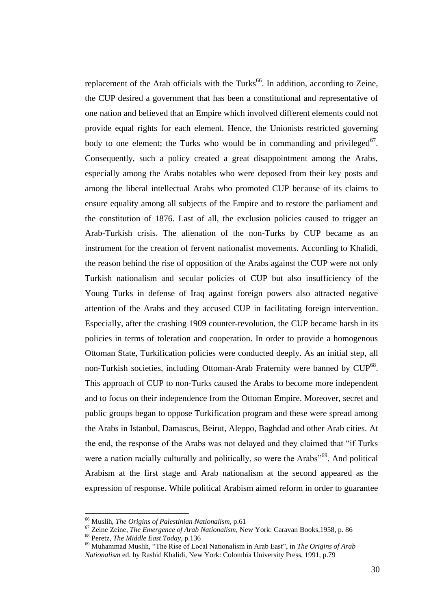replacement of the Arab officials with the Turks<sup>66</sup>. In addition, according to Zeine, the CUP desired a government that has been a constitutional and representative of one nation and believed that an Empire which involved different elements could not provide equal rights for each element. Hence, the Unionists restricted governing body to one element; the Turks who would be in commanding and privileged<sup>67</sup>. Consequently, such a policy created a great disappointment among the Arabs, especially among the Arabs notables who were deposed from their key posts and among the liberal intellectual Arabs who promoted CUP because of its claims to ensure equality among all subjects of the Empire and to restore the parliament and the constitution of 1876. Last of all, the exclusion policies caused to trigger an Arab-Turkish crisis. The alienation of the non-Turks by CUP became as an instrument for the creation of fervent nationalist movements. According to Khalidi, the reason behind the rise of opposition of the Arabs against the CUP were not only Turkish nationalism and secular policies of CUP but also insufficiency of the Young Turks in defense of Iraq against foreign powers also attracted negative attention of the Arabs and they accused CUP in facilitating foreign intervention. Especially, after the crashing 1909 counter-revolution, the CUP became harsh in its policies in terms of toleration and cooperation. In order to provide a homogenous Ottoman State, Turkification policies were conducted deeply. As an initial step, all non-Turkish societies, including Ottoman-Arab Fraternity were banned by CUP<sup>68</sup>. This approach of CUP to non-Turks caused the Arabs to become more independent and to focus on their independence from the Ottoman Empire. Moreover, secret and public groups began to oppose Turkification program and these were spread among the Arabs in Istanbul, Damascus, Beirut, Aleppo, Baghdad and other Arab cities. At the end, the response of the Arabs was not delayed and they claimed that "if Turks were a nation racially culturally and politically, so were the Arabs<sup>"69</sup>. And political Arabism at the first stage and Arab nationalism at the second appeared as the expression of response. While political Arabism aimed reform in order to guarantee

<sup>66</sup> Muslih, *The Origins of Palestinian Nationalism*, p.61

<sup>67</sup> Zeine Zeine, *The Emergence of Arab Nationalism*, New York: Caravan Books,1958, p. 86 <sup>68</sup> Peretz, *The Middle East Today,* p.136

<sup>69</sup> Muhammad Muslih, "The Rise of Local Nationalism in Arab East", in *The Origins of Arab Nationalism* ed. by Rashid Khalidi, New York: Colombia University Press, 1991, p.79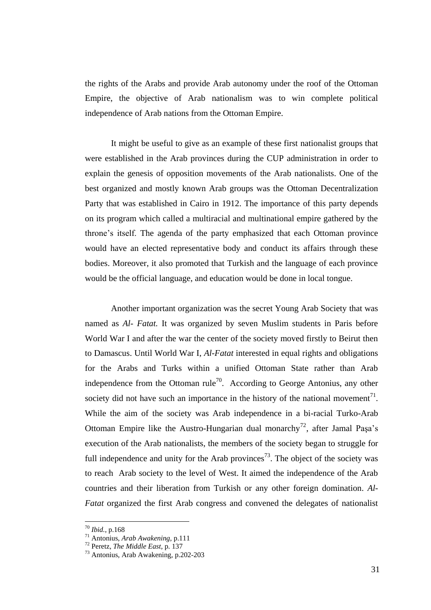the rights of the Arabs and provide Arab autonomy under the roof of the Ottoman Empire, the objective of Arab nationalism was to win complete political independence of Arab nations from the Ottoman Empire.

It might be useful to give as an example of these first nationalist groups that were established in the Arab provinces during the CUP administration in order to explain the genesis of opposition movements of the Arab nationalists. One of the best organized and mostly known Arab groups was the Ottoman Decentralization Party that was established in Cairo in 1912. The importance of this party depends on its program which called a multiracial and multinational empire gathered by the throne"s itself. The agenda of the party emphasized that each Ottoman province would have an elected representative body and conduct its affairs through these bodies. Moreover, it also promoted that Turkish and the language of each province would be the official language, and education would be done in local tongue.

Another important organization was the secret Young Arab Society that was named as *Al- Fatat.* It was organized by seven Muslim students in Paris before World War I and after the war the center of the society moved firstly to Beirut then to Damascus. Until World War I, *Al-Fatat* interested in equal rights and obligations for the Arabs and Turks within a unified Ottoman State rather than Arab independence from the Ottoman rule<sup>70</sup>. According to George Antonius, any other society did not have such an importance in the history of the national movement<sup>71</sup>. While the aim of the society was Arab independence in a bi-racial Turko-Arab Ottoman Empire like the Austro-Hungarian dual monarchy<sup>72</sup>, after Jamal Paşa's execution of the Arab nationalists, the members of the society began to struggle for full independence and unity for the Arab provinces<sup>73</sup>. The object of the society was to reach Arab society to the level of West. It aimed the independence of the Arab countries and their liberation from Turkish or any other foreign domination. *Al-Fatat* organized the first Arab congress and convened the delegates of nationalist

<sup>70</sup> *Ibid.*, p.168

<sup>71</sup> Antonius, *Arab Awakening*, p.111

<sup>72</sup> Peretz, *The Middle East*, p. 137

<sup>73</sup> Antonius, Arab Awakening, p.202-203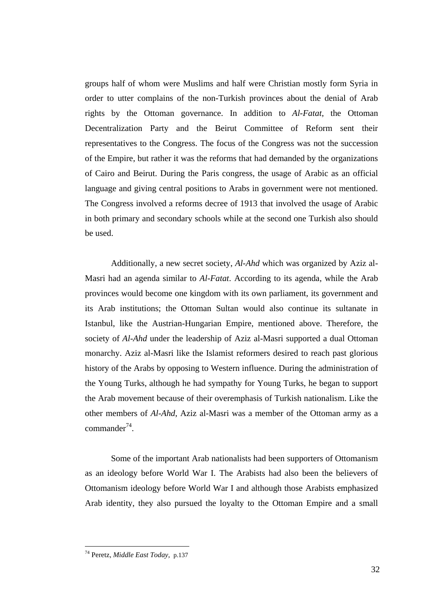groups half of whom were Muslims and half were Christian mostly form Syria in order to utter complains of the non-Turkish provinces about the denial of Arab rights by the Ottoman governance. In addition to *Al-Fatat*, the Ottoman Decentralization Party and the Beirut Committee of Reform sent their representatives to the Congress. The focus of the Congress was not the succession of the Empire, but rather it was the reforms that had demanded by the organizations of Cairo and Beirut. During the Paris congress, the usage of Arabic as an official language and giving central positions to Arabs in government were not mentioned. The Congress involved a reforms decree of 1913 that involved the usage of Arabic in both primary and secondary schools while at the second one Turkish also should be used.

Additionally, a new secret society, *Al-Ahd* which was organized by Aziz al-Masri had an agenda similar to *Al-Fatat*. According to its agenda, while the Arab provinces would become one kingdom with its own parliament, its government and its Arab institutions; the Ottoman Sultan would also continue its sultanate in Istanbul, like the Austrian-Hungarian Empire, mentioned above. Therefore, the society of *Al-Ahd* under the leadership of Aziz al-Masri supported a dual Ottoman monarchy. Aziz al-Masri like the Islamist reformers desired to reach past glorious history of the Arabs by opposing to Western influence. During the administration of the Young Turks, although he had sympathy for Young Turks, he began to support the Arab movement because of their overemphasis of Turkish nationalism. Like the other members of *Al-Ahd*, Aziz al-Masri was a member of the Ottoman army as a  $commander<sup>74</sup>$ .

Some of the important Arab nationalists had been supporters of Ottomanism as an ideology before World War I. The Arabists had also been the believers of Ottomanism ideology before World War I and although those Arabists emphasized Arab identity, they also pursued the loyalty to the Ottoman Empire and a small

<sup>74</sup> Peretz, *Middle East Today,* p.137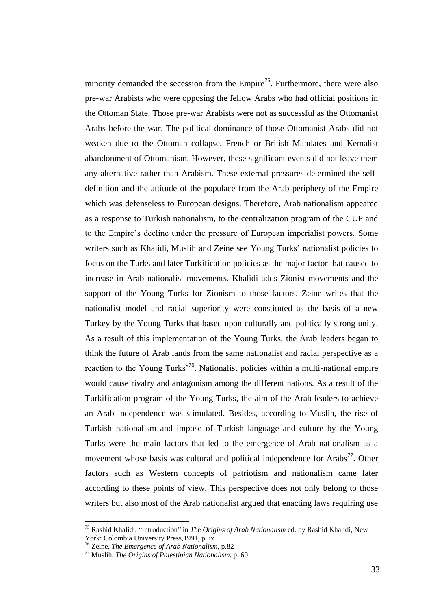minority demanded the secession from the Empire<sup>75</sup>. Furthermore, there were also pre-war Arabists who were opposing the fellow Arabs who had official positions in the Ottoman State. Those pre-war Arabists were not as successful as the Ottomanist Arabs before the war. The political dominance of those Ottomanist Arabs did not weaken due to the Ottoman collapse, French or British Mandates and Kemalist abandonment of Ottomanism. However, these significant events did not leave them any alternative rather than Arabism. These external pressures determined the selfdefinition and the attitude of the populace from the Arab periphery of the Empire which was defenseless to European designs. Therefore, Arab nationalism appeared as a response to Turkish nationalism, to the centralization program of the CUP and to the Empire"s decline under the pressure of European imperialist powers. Some writers such as Khalidi, Muslih and Zeine see Young Turks' nationalist policies to focus on the Turks and later Turkification policies as the major factor that caused to increase in Arab nationalist movements. Khalidi adds Zionist movements and the support of the Young Turks for Zionism to those factors. Zeine writes that the nationalist model and racial superiority were constituted as the basis of a new Turkey by the Young Turks that based upon culturally and politically strong unity. As a result of this implementation of the Young Turks, the Arab leaders began to think the future of Arab lands from the same nationalist and racial perspective as a reaction to the Young Turks<sup>76</sup>. Nationalist policies within a multi-national empire would cause rivalry and antagonism among the different nations. As a result of the Turkification program of the Young Turks, the aim of the Arab leaders to achieve an Arab independence was stimulated. Besides, according to Muslih, the rise of Turkish nationalism and impose of Turkish language and culture by the Young Turks were the main factors that led to the emergence of Arab nationalism as a movement whose basis was cultural and political independence for Arabs<sup>77</sup>. Other factors such as Western concepts of patriotism and nationalism came later according to these points of view. This perspective does not only belong to those writers but also most of the Arab nationalist argued that enacting laws requiring use

<sup>75</sup> Rashid Khalidi, "Introduction" in *The Origins of Arab Nationalism* ed. by Rashid Khalidi, New York: Colombia University Press,1991, p. ix

<sup>76</sup> Zeine, *The Emergence of Arab Nationalism*, p.82

<sup>77</sup> Muslih, *The Origins of Palestinian Nationalism*, p. 60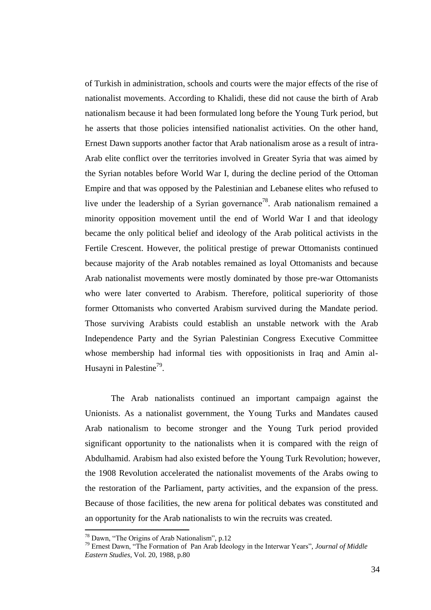of Turkish in administration, schools and courts were the major effects of the rise of nationalist movements. According to Khalidi, these did not cause the birth of Arab nationalism because it had been formulated long before the Young Turk period, but he asserts that those policies intensified nationalist activities. On the other hand, Ernest Dawn supports another factor that Arab nationalism arose as a result of intra-Arab elite conflict over the territories involved in Greater Syria that was aimed by the Syrian notables before World War I, during the decline period of the Ottoman Empire and that was opposed by the Palestinian and Lebanese elites who refused to live under the leadership of a Syrian governance<sup>78</sup>. Arab nationalism remained a minority opposition movement until the end of World War I and that ideology became the only political belief and ideology of the Arab political activists in the Fertile Crescent. However, the political prestige of prewar Ottomanists continued because majority of the Arab notables remained as loyal Ottomanists and because Arab nationalist movements were mostly dominated by those pre-war Ottomanists who were later converted to Arabism. Therefore, political superiority of those former Ottomanists who converted Arabism survived during the Mandate period. Those surviving Arabists could establish an unstable network with the Arab Independence Party and the Syrian Palestinian Congress Executive Committee whose membership had informal ties with oppositionists in Iraq and Amin al-Husayni in Palestine<sup>79</sup>.

The Arab nationalists continued an important campaign against the Unionists. As a nationalist government, the Young Turks and Mandates caused Arab nationalism to become stronger and the Young Turk period provided significant opportunity to the nationalists when it is compared with the reign of Abdulhamid. Arabism had also existed before the Young Turk Revolution; however, the 1908 Revolution accelerated the nationalist movements of the Arabs owing to the restoration of the Parliament, party activities, and the expansion of the press. Because of those facilities, the new arena for political debates was constituted and an opportunity for the Arab nationalists to win the recruits was created.

<sup>78</sup> Dawn, "The Origins of Arab Nationalism", p.12

<sup>79</sup> Ernest Dawn, "The Formation of Pan Arab Ideology in the Interwar Years", *Journal of Middle Eastern Studies*, Vol. 20, 1988, p.80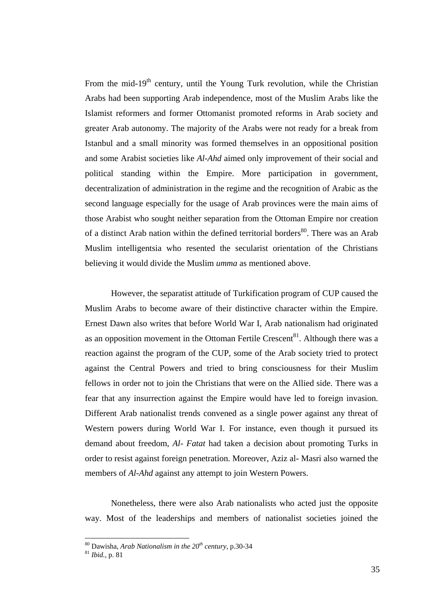From the mid-19<sup>th</sup> century, until the Young Turk revolution, while the Christian Arabs had been supporting Arab independence, most of the Muslim Arabs like the Islamist reformers and former Ottomanist promoted reforms in Arab society and greater Arab autonomy. The majority of the Arabs were not ready for a break from Istanbul and a small minority was formed themselves in an oppositional position and some Arabist societies like *Al-Ahd* aimed only improvement of their social and political standing within the Empire. More participation in government, decentralization of administration in the regime and the recognition of Arabic as the second language especially for the usage of Arab provinces were the main aims of those Arabist who sought neither separation from the Ottoman Empire nor creation of a distinct Arab nation within the defined territorial borders<sup>80</sup>. There was an Arab Muslim intelligentsia who resented the secularist orientation of the Christians believing it would divide the Muslim *umma* as mentioned above.

However, the separatist attitude of Turkification program of CUP caused the Muslim Arabs to become aware of their distinctive character within the Empire. Ernest Dawn also writes that before World War I, Arab nationalism had originated as an opposition movement in the Ottoman Fertile Crescent $81$ . Although there was a reaction against the program of the CUP, some of the Arab society tried to protect against the Central Powers and tried to bring consciousness for their Muslim fellows in order not to join the Christians that were on the Allied side. There was a fear that any insurrection against the Empire would have led to foreign invasion. Different Arab nationalist trends convened as a single power against any threat of Western powers during World War I. For instance, even though it pursued its demand about freedom, *Al- Fatat* had taken a decision about promoting Turks in order to resist against foreign penetration. Moreover, Aziz al- Masri also warned the members of *Al-Ahd* against any attempt to join Western Powers.

Nonetheless, there were also Arab nationalists who acted just the opposite way. Most of the leaderships and members of nationalist societies joined the

<sup>80</sup> Dawisha, *Arab Nationalism in the 20th century*, p.30-34

<sup>81</sup> *Ibid.*, p. 81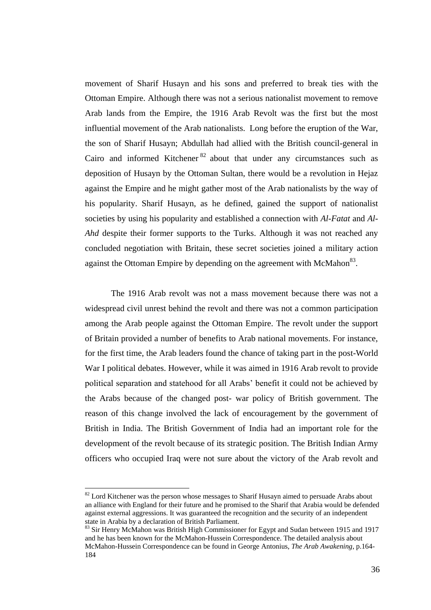movement of Sharif Husayn and his sons and preferred to break ties with the Ottoman Empire. Although there was not a serious nationalist movement to remove Arab lands from the Empire, the 1916 Arab Revolt was the first but the most influential movement of the Arab nationalists. Long before the eruption of the War, the son of Sharif Husayn; Abdullah had allied with the British council-general in Cairo and informed Kitchener<sup>82</sup> about that under any circumstances such as deposition of Husayn by the Ottoman Sultan, there would be a revolution in Hejaz against the Empire and he might gather most of the Arab nationalists by the way of his popularity. Sharif Husayn, as he defined, gained the support of nationalist societies by using his popularity and established a connection with *Al-Fatat* and *Al-Ahd* despite their former supports to the Turks. Although it was not reached any concluded negotiation with Britain, these secret societies joined a military action against the Ottoman Empire by depending on the agreement with  $McMahon<sup>83</sup>$ .

The 1916 Arab revolt was not a mass movement because there was not a widespread civil unrest behind the revolt and there was not a common participation among the Arab people against the Ottoman Empire. The revolt under the support of Britain provided a number of benefits to Arab national movements. For instance, for the first time, the Arab leaders found the chance of taking part in the post-World War I political debates. However, while it was aimed in 1916 Arab revolt to provide political separation and statehood for all Arabs" benefit it could not be achieved by the Arabs because of the changed post- war policy of British government. The reason of this change involved the lack of encouragement by the government of British in India. The British Government of India had an important role for the development of the revolt because of its strategic position. The British Indian Army officers who occupied Iraq were not sure about the victory of the Arab revolt and

 $82$  Lord Kitchener was the person whose messages to Sharif Husayn aimed to persuade Arabs about an alliance with England for their future and he promised to the Sharif that Arabia would be defended against external aggressions. It was guaranteed the recognition and the security of an independent state in Arabia by a declaration of British Parliament.

<sup>&</sup>lt;sup>83</sup> Sir Henry McMahon was British High Commissioner for Egypt and Sudan between 1915 and 1917 and he has been known for the McMahon-Hussein Correspondence. The detailed analysis about McMahon-Hussein Correspondence can be found in George Antonius, *The Arab Awakening*, p.164- 184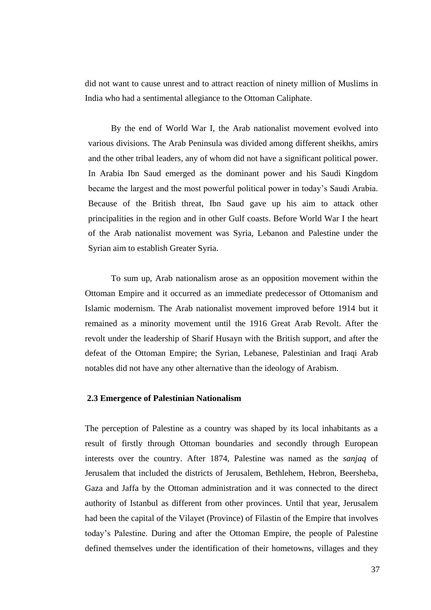did not want to cause unrest and to attract reaction of ninety million of Muslims in India who had a sentimental allegiance to the Ottoman Caliphate.

By the end of World War I, the Arab nationalist movement evolved into various divisions. The Arab Peninsula was divided among different sheikhs, amirs and the other tribal leaders, any of whom did not have a significant political power. In Arabia Ibn Saud emerged as the dominant power and his Saudi Kingdom became the largest and the most powerful political power in today"s Saudi Arabia. Because of the British threat, Ibn Saud gave up his aim to attack other principalities in the region and in other Gulf coasts. Before World War I the heart of the Arab nationalist movement was Syria, Lebanon and Palestine under the Syrian aim to establish Greater Syria.

To sum up, Arab nationalism arose as an opposition movement within the Ottoman Empire and it occurred as an immediate predecessor of Ottomanism and Islamic modernism. The Arab nationalist movement improved before 1914 but it remained as a minority movement until the 1916 Great Arab Revolt. After the revolt under the leadership of Sharif Husayn with the British support, and after the defeat of the Ottoman Empire; the Syrian, Lebanese, Palestinian and Iraqi Arab notables did not have any other alternative than the ideology of Arabism.

### **2.3 Emergence of Palestinian Nationalism**

The perception of Palestine as a country was shaped by its local inhabitants as a result of firstly through Ottoman boundaries and secondly through European interests over the country. After 1874, Palestine was named as the *sanjaq* of Jerusalem that included the districts of Jerusalem, Bethlehem, Hebron, Beersheba, Gaza and Jaffa by the Ottoman administration and it was connected to the direct authority of Istanbul as different from other provinces. Until that year, Jerusalem had been the capital of the Vilayet (Province) of Filastin of the Empire that involves today"s Palestine. During and after the Ottoman Empire, the people of Palestine defined themselves under the identification of their hometowns, villages and they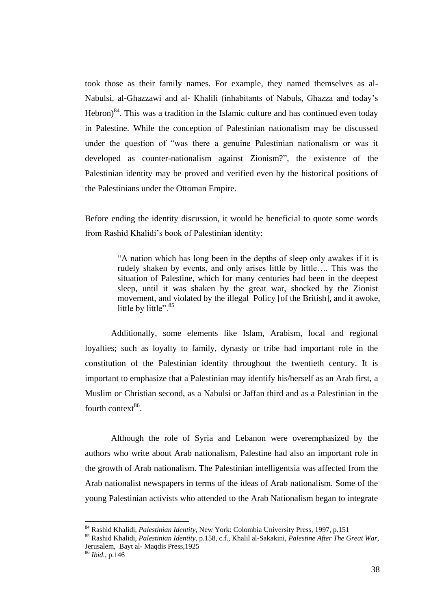took those as their family names. For example, they named themselves as al-Nabulsi, al-Ghazzawi and al- Khalili (inhabitants of Nabuls, Ghazza and today"s Hebron) $84$ . This was a tradition in the Islamic culture and has continued even today in Palestine. While the conception of Palestinian nationalism may be discussed under the question of "was there a genuine Palestinian nationalism or was it developed as counter-nationalism against Zionism?", the existence of the Palestinian identity may be proved and verified even by the historical positions of the Palestinians under the Ottoman Empire.

Before ending the identity discussion, it would be beneficial to quote some words from Rashid Khalidi"s book of Palestinian identity;

> "A nation which has long been in the depths of sleep only awakes if it is rudely shaken by events, and only arises little by little…. This was the situation of Palestine, which for many centuries had been in the deepest sleep, until it was shaken by the great war, shocked by the Zionist movement, and violated by the illegal Policy [of the British], and it awoke, little by little". $85$

Additionally, some elements like Islam, Arabism, local and regional loyalties; such as loyalty to family, dynasty or tribe had important role in the constitution of the Palestinian identity throughout the twentieth century. It is important to emphasize that a Palestinian may identify his/herself as an Arab first, a Muslim or Christian second, as a Nabulsi or Jaffan third and as a Palestinian in the fourth context<sup>86</sup>.

Although the role of Syria and Lebanon were overemphasized by the authors who write about Arab nationalism, Palestine had also an important role in the growth of Arab nationalism. The Palestinian intelligentsia was affected from the Arab nationalist newspapers in terms of the ideas of Arab nationalism. Some of the young Palestinian activists who attended to the Arab Nationalism began to integrate

<sup>84</sup> Rashid Khalidi, *Palestinian Identity*, New York: Colombia University Press, 1997, p.151

<sup>85</sup> Rashid Khalidi, *Palestinian Identity*, p.158, c.f., Khalil al-Sakakini, *Palestine After The Great War*, Jerusalem, Bayt al- Maqdis Press,1925

<sup>86</sup> *Ibid.*, p.146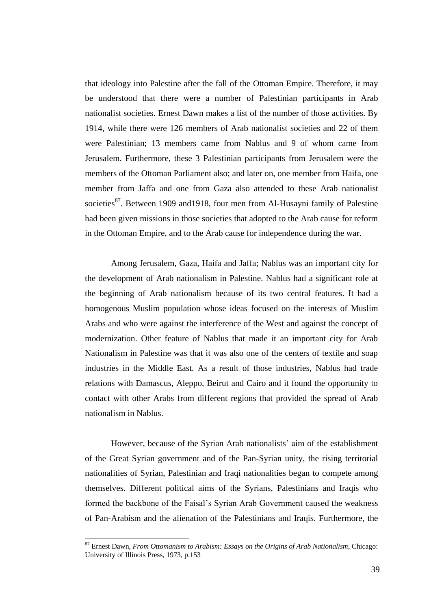that ideology into Palestine after the fall of the Ottoman Empire. Therefore, it may be understood that there were a number of Palestinian participants in Arab nationalist societies. Ernest Dawn makes a list of the number of those activities. By 1914, while there were 126 members of Arab nationalist societies and 22 of them were Palestinian; 13 members came from Nablus and 9 of whom came from Jerusalem. Furthermore, these 3 Palestinian participants from Jerusalem were the members of the Ottoman Parliament also; and later on, one member from Haifa, one member from Jaffa and one from Gaza also attended to these Arab nationalist societies<sup>87</sup>. Between 1909 and 1918, four men from Al-Husayni family of Palestine had been given missions in those societies that adopted to the Arab cause for reform in the Ottoman Empire, and to the Arab cause for independence during the war.

Among Jerusalem, Gaza, Haifa and Jaffa; Nablus was an important city for the development of Arab nationalism in Palestine. Nablus had a significant role at the beginning of Arab nationalism because of its two central features. It had a homogenous Muslim population whose ideas focused on the interests of Muslim Arabs and who were against the interference of the West and against the concept of modernization. Other feature of Nablus that made it an important city for Arab Nationalism in Palestine was that it was also one of the centers of textile and soap industries in the Middle East. As a result of those industries, Nablus had trade relations with Damascus, Aleppo, Beirut and Cairo and it found the opportunity to contact with other Arabs from different regions that provided the spread of Arab nationalism in Nablus.

However, because of the Syrian Arab nationalists" aim of the establishment of the Great Syrian government and of the Pan-Syrian unity, the rising territorial nationalities of Syrian, Palestinian and Iraqi nationalities began to compete among themselves. Different political aims of the Syrians, Palestinians and Iraqis who formed the backbone of the Faisal"s Syrian Arab Government caused the weakness of Pan-Arabism and the alienation of the Palestinians and Iraqis. Furthermore, the

<sup>87</sup> Ernest Dawn, *From Ottomanism to Arabism: Essays on the Origins of Arab Nationalism*, Chicago: University of Illinois Press, 1973, p.153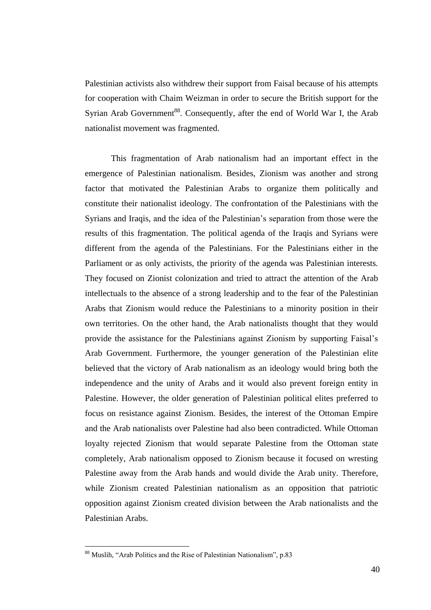Palestinian activists also withdrew their support from Faisal because of his attempts for cooperation with Chaim Weizman in order to secure the British support for the Syrian Arab Government<sup>88</sup>. Consequently, after the end of World War I, the Arab nationalist movement was fragmented.

This fragmentation of Arab nationalism had an important effect in the emergence of Palestinian nationalism. Besides, Zionism was another and strong factor that motivated the Palestinian Arabs to organize them politically and constitute their nationalist ideology. The confrontation of the Palestinians with the Syrians and Iraqis, and the idea of the Palestinian"s separation from those were the results of this fragmentation. The political agenda of the Iraqis and Syrians were different from the agenda of the Palestinians. For the Palestinians either in the Parliament or as only activists, the priority of the agenda was Palestinian interests. They focused on Zionist colonization and tried to attract the attention of the Arab intellectuals to the absence of a strong leadership and to the fear of the Palestinian Arabs that Zionism would reduce the Palestinians to a minority position in their own territories. On the other hand, the Arab nationalists thought that they would provide the assistance for the Palestinians against Zionism by supporting Faisal"s Arab Government. Furthermore, the younger generation of the Palestinian elite believed that the victory of Arab nationalism as an ideology would bring both the independence and the unity of Arabs and it would also prevent foreign entity in Palestine. However, the older generation of Palestinian political elites preferred to focus on resistance against Zionism. Besides, the interest of the Ottoman Empire and the Arab nationalists over Palestine had also been contradicted. While Ottoman loyalty rejected Zionism that would separate Palestine from the Ottoman state completely, Arab nationalism opposed to Zionism because it focused on wresting Palestine away from the Arab hands and would divide the Arab unity. Therefore, while Zionism created Palestinian nationalism as an opposition that patriotic opposition against Zionism created division between the Arab nationalists and the Palestinian Arabs.

<sup>88</sup> Muslih, "Arab Politics and the Rise of Palestinian Nationalism", p.83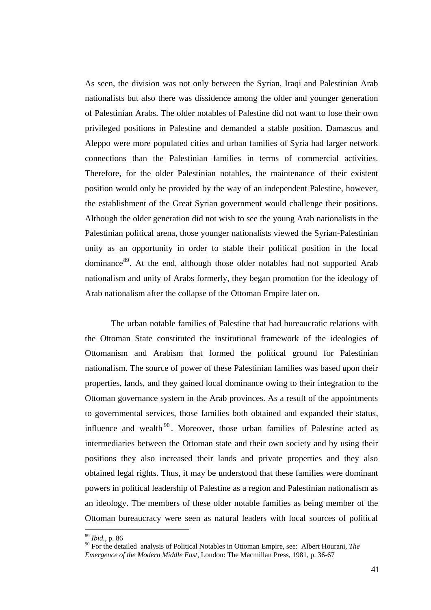As seen, the division was not only between the Syrian, Iraqi and Palestinian Arab nationalists but also there was dissidence among the older and younger generation of Palestinian Arabs. The older notables of Palestine did not want to lose their own privileged positions in Palestine and demanded a stable position. Damascus and Aleppo were more populated cities and urban families of Syria had larger network connections than the Palestinian families in terms of commercial activities. Therefore, for the older Palestinian notables, the maintenance of their existent position would only be provided by the way of an independent Palestine, however, the establishment of the Great Syrian government would challenge their positions. Although the older generation did not wish to see the young Arab nationalists in the Palestinian political arena, those younger nationalists viewed the Syrian-Palestinian unity as an opportunity in order to stable their political position in the local dominance<sup>89</sup>. At the end, although those older notables had not supported Arab nationalism and unity of Arabs formerly, they began promotion for the ideology of Arab nationalism after the collapse of the Ottoman Empire later on.

The urban notable families of Palestine that had bureaucratic relations with the Ottoman State constituted the institutional framework of the ideologies of Ottomanism and Arabism that formed the political ground for Palestinian nationalism. The source of power of these Palestinian families was based upon their properties, lands, and they gained local dominance owing to their integration to the Ottoman governance system in the Arab provinces. As a result of the appointments to governmental services, those families both obtained and expanded their status, influence and wealth<sup>90</sup>. Moreover, those urban families of Palestine acted as intermediaries between the Ottoman state and their own society and by using their positions they also increased their lands and private properties and they also obtained legal rights. Thus, it may be understood that these families were dominant powers in political leadership of Palestine as a region and Palestinian nationalism as an ideology. The members of these older notable families as being member of the Ottoman bureaucracy were seen as natural leaders with local sources of political

<sup>89</sup> *Ibid.*, p. 86

<sup>90</sup> For the detailed analysis of Political Notables in Ottoman Empire, see: Albert Hourani, *The Emergence of the Modern Middle East*, London: The Macmillan Press, 1981, p. 36-67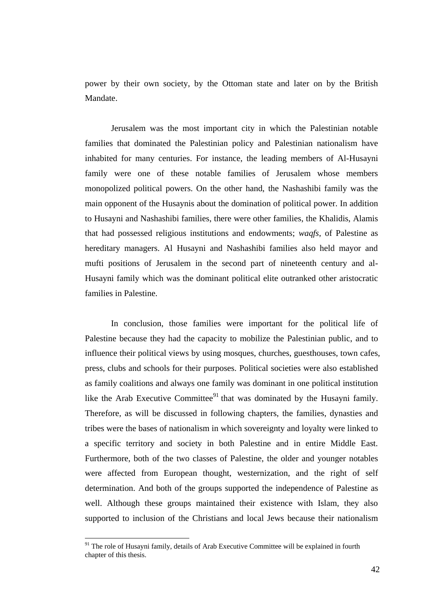power by their own society, by the Ottoman state and later on by the British Mandate.

Jerusalem was the most important city in which the Palestinian notable families that dominated the Palestinian policy and Palestinian nationalism have inhabited for many centuries. For instance, the leading members of Al-Husayni family were one of these notable families of Jerusalem whose members monopolized political powers. On the other hand, the Nashashibi family was the main opponent of the Husaynis about the domination of political power. In addition to Husayni and Nashashibi families, there were other families, the Khalidis, Alamis that had possessed religious institutions and endowments; *waqfs*, of Palestine as hereditary managers. Al Husayni and Nashashibi families also held mayor and mufti positions of Jerusalem in the second part of nineteenth century and al-Husayni family which was the dominant political elite outranked other aristocratic families in Palestine.

In conclusion, those families were important for the political life of Palestine because they had the capacity to mobilize the Palestinian public, and to influence their political views by using mosques, churches, guesthouses, town cafes, press, clubs and schools for their purposes. Political societies were also established as family coalitions and always one family was dominant in one political institution like the Arab Executive Committee<sup>91</sup> that was dominated by the Husayni family. Therefore, as will be discussed in following chapters, the families, dynasties and tribes were the bases of nationalism in which sovereignty and loyalty were linked to a specific territory and society in both Palestine and in entire Middle East. Furthermore, both of the two classes of Palestine, the older and younger notables were affected from European thought, westernization, and the right of self determination. And both of the groups supported the independence of Palestine as well. Although these groups maintained their existence with Islam, they also supported to inclusion of the Christians and local Jews because their nationalism

<sup>&</sup>lt;sup>91</sup> The role of Husayni family, details of Arab Executive Committee will be explained in fourth chapter of this thesis.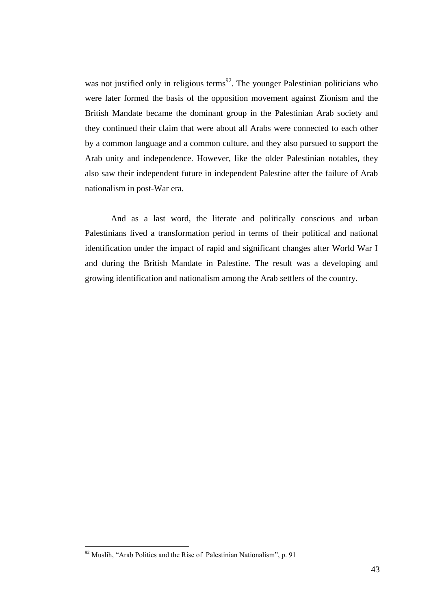was not justified only in religious terms<sup>92</sup>. The younger Palestinian politicians who were later formed the basis of the opposition movement against Zionism and the British Mandate became the dominant group in the Palestinian Arab society and they continued their claim that were about all Arabs were connected to each other by a common language and a common culture, and they also pursued to support the Arab unity and independence. However, like the older Palestinian notables, they also saw their independent future in independent Palestine after the failure of Arab nationalism in post-War era.

And as a last word, the literate and politically conscious and urban Palestinians lived a transformation period in terms of their political and national identification under the impact of rapid and significant changes after World War I and during the British Mandate in Palestine. The result was a developing and growing identification and nationalism among the Arab settlers of the country.

 $92$  Muslih, "Arab Politics and the Rise of Palestinian Nationalism", p. 91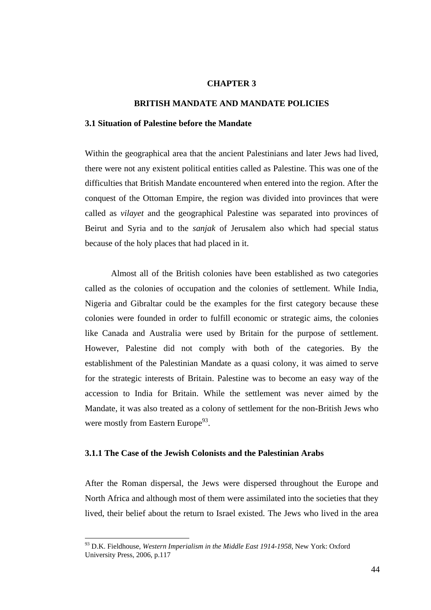# **CHAPTER 3**

### **BRITISH MANDATE AND MANDATE POLICIES**

# **3.1 Situation of Palestine before the Mandate**

Within the geographical area that the ancient Palestinians and later Jews had lived, there were not any existent political entities called as Palestine. This was one of the difficulties that British Mandate encountered when entered into the region. After the conquest of the Ottoman Empire, the region was divided into provinces that were called as *vilayet* and the geographical Palestine was separated into provinces of Beirut and Syria and to the *sanjak* of Jerusalem also which had special status because of the holy places that had placed in it.

Almost all of the British colonies have been established as two categories called as the colonies of occupation and the colonies of settlement. While India, Nigeria and Gibraltar could be the examples for the first category because these colonies were founded in order to fulfill economic or strategic aims, the colonies like Canada and Australia were used by Britain for the purpose of settlement. However, Palestine did not comply with both of the categories. By the establishment of the Palestinian Mandate as a quasi colony, it was aimed to serve for the strategic interests of Britain. Palestine was to become an easy way of the accession to India for Britain. While the settlement was never aimed by the Mandate, it was also treated as a colony of settlement for the non-British Jews who were mostly from Eastern Europe<sup>93</sup>.

### **3.1.1 The Case of the Jewish Colonists and the Palestinian Arabs**

After the Roman dispersal, the Jews were dispersed throughout the Europe and North Africa and although most of them were assimilated into the societies that they lived, their belief about the return to Israel existed. The Jews who lived in the area

<sup>93</sup> D.K. Fieldhouse, *Western Imperialism in the Middle East 1914-1958*, New York: Oxford University Press, 2006, p.117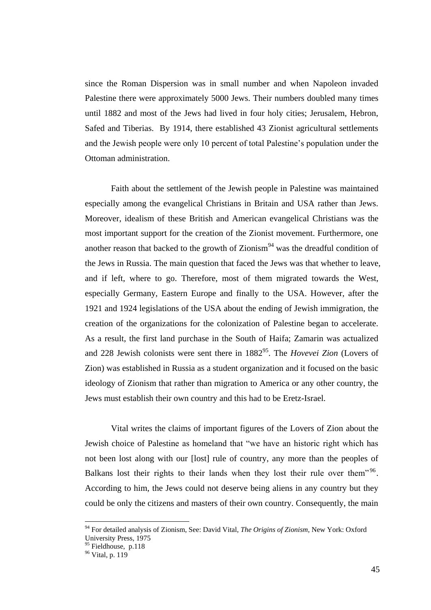since the Roman Dispersion was in small number and when Napoleon invaded Palestine there were approximately 5000 Jews. Their numbers doubled many times until 1882 and most of the Jews had lived in four holy cities; Jerusalem, Hebron, Safed and Tiberias. By 1914, there established 43 Zionist agricultural settlements and the Jewish people were only 10 percent of total Palestine"s population under the Ottoman administration.

Faith about the settlement of the Jewish people in Palestine was maintained especially among the evangelical Christians in Britain and USA rather than Jews. Moreover, idealism of these British and American evangelical Christians was the most important support for the creation of the Zionist movement. Furthermore, one another reason that backed to the growth of Zionism<sup>94</sup> was the dreadful condition of the Jews in Russia. The main question that faced the Jews was that whether to leave, and if left, where to go. Therefore, most of them migrated towards the West, especially Germany, Eastern Europe and finally to the USA. However, after the 1921 and 1924 legislations of the USA about the ending of Jewish immigration, the creation of the organizations for the colonization of Palestine began to accelerate. As a result, the first land purchase in the South of Haifa; Zamarin was actualized and 228 Jewish colonists were sent there in 1882<sup>95</sup>. The *Hovevei Zion* (Lovers of Zion) was established in Russia as a student organization and it focused on the basic ideology of Zionism that rather than migration to America or any other country, the Jews must establish their own country and this had to be Eretz-Israel.

Vital writes the claims of important figures of the Lovers of Zion about the Jewish choice of Palestine as homeland that "we have an historic right which has not been lost along with our [lost] rule of country, any more than the peoples of Balkans lost their rights to their lands when they lost their rule over them"<sup>96</sup>. According to him, the Jews could not deserve being aliens in any country but they could be only the citizens and masters of their own country. Consequently, the main

<sup>94</sup> For detailed analysis of Zionism, See: David Vital, *The Origins of Zionism*, New York: Oxford University Press, 1975

<sup>&</sup>lt;sup>95</sup> Fieldhouse, p.118

 $96$  Vital, p. 119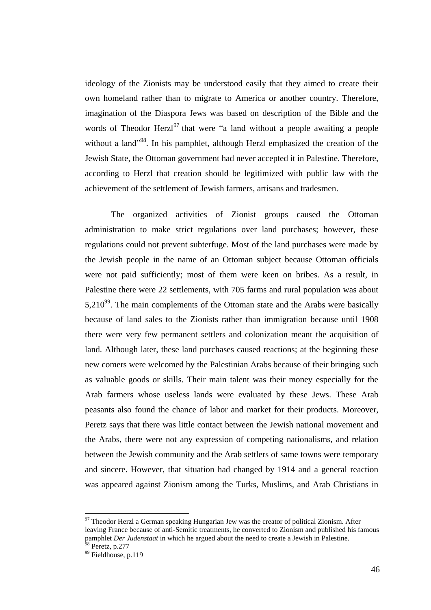ideology of the Zionists may be understood easily that they aimed to create their own homeland rather than to migrate to America or another country. Therefore, imagination of the Diaspora Jews was based on description of the Bible and the words of Theodor Herzl<sup>97</sup> that were "a land without a people awaiting a people without a land<sup>"98</sup>. In his pamphlet, although Herzl emphasized the creation of the Jewish State, the Ottoman government had never accepted it in Palestine. Therefore, according to Herzl that creation should be legitimized with public law with the achievement of the settlement of Jewish farmers, artisans and tradesmen.

The organized activities of Zionist groups caused the Ottoman administration to make strict regulations over land purchases; however, these regulations could not prevent subterfuge. Most of the land purchases were made by the Jewish people in the name of an Ottoman subject because Ottoman officials were not paid sufficiently; most of them were keen on bribes. As a result, in Palestine there were 22 settlements, with 705 farms and rural population was about  $5,210^{99}$ . The main complements of the Ottoman state and the Arabs were basically because of land sales to the Zionists rather than immigration because until 1908 there were very few permanent settlers and colonization meant the acquisition of land. Although later, these land purchases caused reactions; at the beginning these new comers were welcomed by the Palestinian Arabs because of their bringing such as valuable goods or skills. Their main talent was their money especially for the Arab farmers whose useless lands were evaluated by these Jews. These Arab peasants also found the chance of labor and market for their products. Moreover, Peretz says that there was little contact between the Jewish national movement and the Arabs, there were not any expression of competing nationalisms, and relation between the Jewish community and the Arab settlers of same towns were temporary and sincere. However, that situation had changed by 1914 and a general reaction was appeared against Zionism among the Turks, Muslims, and Arab Christians in

<sup>&</sup>lt;sup>97</sup> Theodor Herzl a German speaking Hungarian Jew was the creator of political Zionism. After leaving France because of anti-Semitic treatments, he converted to Zionism and published his famous pamphlet *Der Judenstaat* in which he argued about the need to create a Jewish in Palestine.

 $98$  Peretz, p.277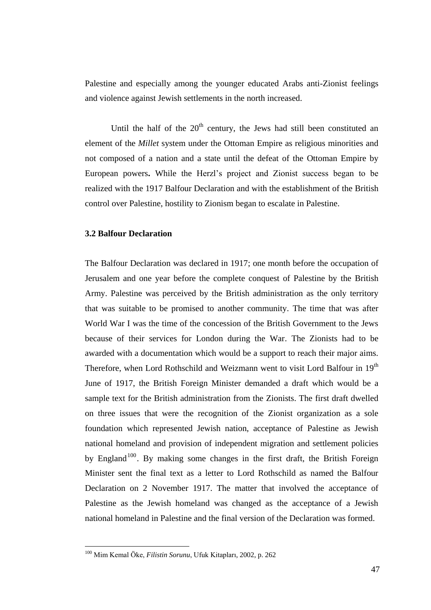Palestine and especially among the younger educated Arabs anti-Zionist feelings and violence against Jewish settlements in the north increased.

Until the half of the  $20<sup>th</sup>$  century, the Jews had still been constituted an element of the *Millet* system under the Ottoman Empire as religious minorities and not composed of a nation and a state until the defeat of the Ottoman Empire by European powers**.** While the Herzl"s project and Zionist success began to be realized with the 1917 Balfour Declaration and with the establishment of the British control over Palestine, hostility to Zionism began to escalate in Palestine.

# **3.2 Balfour Declaration**

The Balfour Declaration was declared in 1917; one month before the occupation of Jerusalem and one year before the complete conquest of Palestine by the British Army. Palestine was perceived by the British administration as the only territory that was suitable to be promised to another community. The time that was after World War I was the time of the concession of the British Government to the Jews because of their services for London during the War. The Zionists had to be awarded with a documentation which would be a support to reach their major aims. Therefore, when Lord Rothschild and Weizmann went to visit Lord Balfour in 19<sup>th</sup> June of 1917, the British Foreign Minister demanded a draft which would be a sample text for the British administration from the Zionists. The first draft dwelled on three issues that were the recognition of the Zionist organization as a sole foundation which represented Jewish nation, acceptance of Palestine as Jewish national homeland and provision of independent migration and settlement policies by England<sup>100</sup>. By making some changes in the first draft, the British Foreign Minister sent the final text as a letter to Lord Rothschild as named the Balfour Declaration on 2 November 1917. The matter that involved the acceptance of Palestine as the Jewish homeland was changed as the acceptance of a Jewish national homeland in Palestine and the final version of the Declaration was formed.

<sup>100</sup> Mim Kemal Öke, *Filistin Sorunu*, Ufuk Kitapları, 2002, p. 262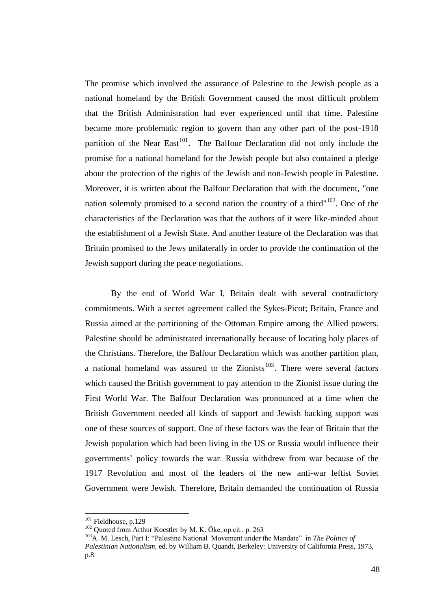The promise which involved the assurance of Palestine to the Jewish people as a national homeland by the British Government caused the most difficult problem that the British Administration had ever experienced until that time. Palestine became more problematic region to govern than any other part of the post-1918 partition of the Near East<sup>101</sup>. The Balfour Declaration did not only include the promise for a national homeland for the Jewish people but also contained a pledge about the protection of the rights of the Jewish and non-Jewish people in Palestine. Moreover, it is written about the Balfour Declaration that with the document, "one nation solemnly promised to a second nation the country of a third"<sup>102</sup>. One of the characteristics of the Declaration was that the authors of it were like-minded about the establishment of a Jewish State. And another feature of the Declaration was that Britain promised to the Jews unilaterally in order to provide the continuation of the Jewish support during the peace negotiations.

By the end of World War I, Britain dealt with several contradictory commitments. With a secret agreement called the Sykes-Picot; Britain, France and Russia aimed at the partitioning of the Ottoman Empire among the Allied powers. Palestine should be administrated internationally because of locating holy places of the Christians. Therefore, the Balfour Declaration which was another partition plan, a national homeland was assured to the Zionists<sup>103</sup>. There were several factors which caused the British government to pay attention to the Zionist issue during the First World War. The Balfour Declaration was pronounced at a time when the British Government needed all kinds of support and Jewish backing support was one of these sources of support. One of these factors was the fear of Britain that the Jewish population which had been living in the US or Russia would influence their governments" policy towards the war. Russia withdrew from war because of the 1917 Revolution and most of the leaders of the new anti-war leftist Soviet Government were Jewish. Therefore, Britain demanded the continuation of Russia

<sup>&</sup>lt;sup>101</sup> Fieldhouse, p.129

 $102$  Quoted from Arthur Koestler by M. K. Öke, op.cit., p. 263

<sup>&</sup>lt;sup>103</sup>A. M. Lesch, Part I: "Palestine National Movement under the Mandate" in *The Politics of Palestinian Nationalism,* ed. by William B. Quandt, Berkeley: University of California Press, 1973, p.8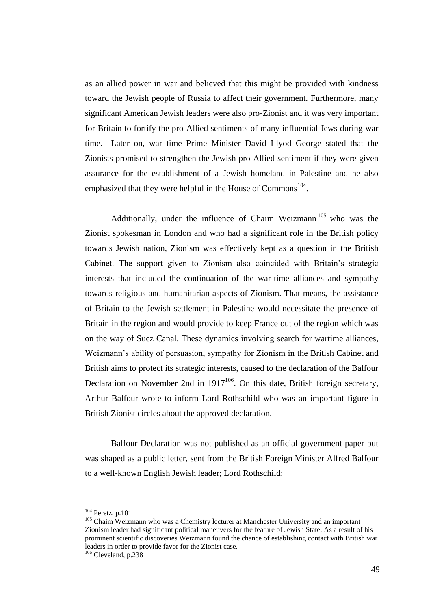as an allied power in war and believed that this might be provided with kindness toward the Jewish people of Russia to affect their government. Furthermore, many significant American Jewish leaders were also pro-Zionist and it was very important for Britain to fortify the pro-Allied sentiments of many influential Jews during war time. Later on, war time Prime Minister David Llyod George stated that the Zionists promised to strengthen the Jewish pro-Allied sentiment if they were given assurance for the establishment of a Jewish homeland in Palestine and he also emphasized that they were helpful in the House of Commons $^{104}$ .

Additionally, under the influence of Chaim Weizmann<sup>105</sup> who was the Zionist spokesman in London and who had a significant role in the British policy towards Jewish nation, Zionism was effectively kept as a question in the British Cabinet. The support given to Zionism also coincided with Britain"s strategic interests that included the continuation of the war-time alliances and sympathy towards religious and humanitarian aspects of Zionism. That means, the assistance of Britain to the Jewish settlement in Palestine would necessitate the presence of Britain in the region and would provide to keep France out of the region which was on the way of Suez Canal. These dynamics involving search for wartime alliances, Weizmann"s ability of persuasion, sympathy for Zionism in the British Cabinet and British aims to protect its strategic interests, caused to the declaration of the Balfour Declaration on November 2nd in  $1917^{106}$ . On this date, British foreign secretary, Arthur Balfour wrote to inform Lord Rothschild who was an important figure in British Zionist circles about the approved declaration.

Balfour Declaration was not published as an official government paper but was shaped as a public letter, sent from the British Foreign Minister Alfred Balfour to a well-known English Jewish leader; Lord Rothschild:

 $104$  Peretz, p.101

<sup>&</sup>lt;sup>105</sup> Chaim Weizmann who was a Chemistry lecturer at Manchester University and an important Zionism leader had significant political maneuvers for the feature of Jewish State. As a result of his prominent scientific discoveries Weizmann found the chance of establishing contact with British war leaders in order to provide favor for the Zionist case.

<sup>106</sup> Cleveland, p.238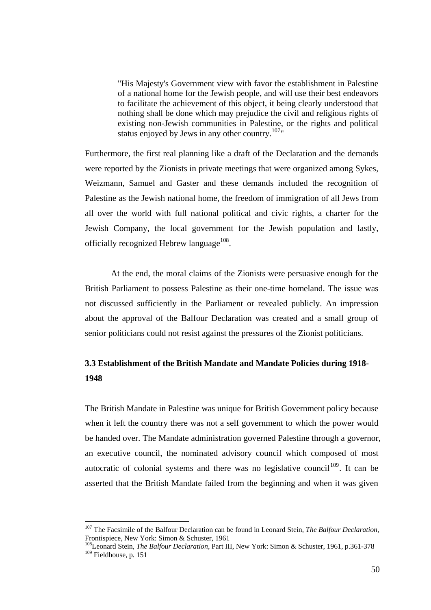"His Majesty's Government view with favor the establishment in Palestine of a national home for the Jewish people, and will use their best endeavors to facilitate the achievement of this object, it being clearly understood that nothing shall be done which may prejudice the civil and religious rights of existing non-Jewish communities in Palestine, or the rights and political status enjoyed by Jews in any other country.<sup>107</sup>"

Furthermore, the first real planning like a draft of the Declaration and the demands were reported by the Zionists in private meetings that were organized among Sykes, Weizmann, Samuel and Gaster and these demands included the recognition of Palestine as the Jewish national home, the freedom of immigration of all Jews from all over the world with full national political and civic rights, a charter for the Jewish Company, the local government for the Jewish population and lastly, officially recognized Hebrew language $^{108}$ .

At the end, the moral claims of the Zionists were persuasive enough for the British Parliament to possess Palestine as their one-time homeland. The issue was not discussed sufficiently in the Parliament or revealed publicly. An impression about the approval of the Balfour Declaration was created and a small group of senior politicians could not resist against the pressures of the Zionist politicians.

# **3.3 Establishment of the British Mandate and Mandate Policies during 1918- 1948**

The British Mandate in Palestine was unique for British Government policy because when it left the country there was not a self government to which the power would be handed over. The Mandate administration governed Palestine through a governor, an executive council, the nominated advisory council which composed of most autocratic of colonial systems and there was no legislative council<sup>109</sup>. It can be asserted that the British Mandate failed from the beginning and when it was given

<sup>107</sup> The Facsimile of the Balfour Declaration can be found in Leonard Stein, *The Balfour Declaration,*  Frontispiece, New York: Simon & Schuster, 1961

<sup>108</sup>Leonard Stein, *The Balfour Declaration*, Part III, New York: Simon & Schuster, 1961, p.361-378 <sup>109</sup> Fieldhouse, p. 151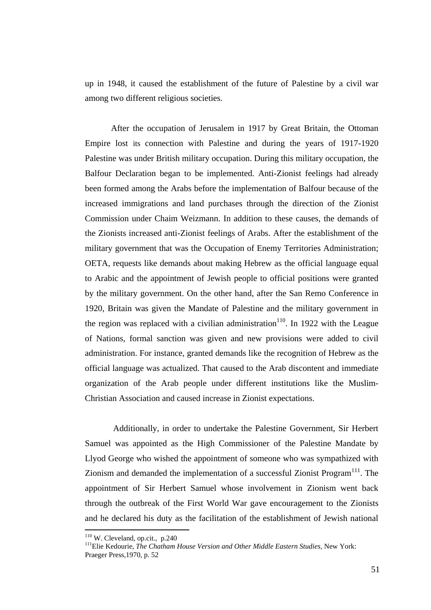up in 1948, it caused the establishment of the future of Palestine by a civil war among two different religious societies.

After the occupation of Jerusalem in 1917 by Great Britain, the Ottoman Empire lost its connection with Palestine and during the years of 1917-1920 Palestine was under British military occupation. During this military occupation, the Balfour Declaration began to be implemented. Anti-Zionist feelings had already been formed among the Arabs before the implementation of Balfour because of the increased immigrations and land purchases through the direction of the Zionist Commission under Chaim Weizmann. In addition to these causes, the demands of the Zionists increased anti-Zionist feelings of Arabs. After the establishment of the military government that was the Occupation of Enemy Territories Administration; OETA, requests like demands about making Hebrew as the official language equal to Arabic and the appointment of Jewish people to official positions were granted by the military government. On the other hand, after the San Remo Conference in 1920, Britain was given the Mandate of Palestine and the military government in the region was replaced with a civilian administration<sup>110</sup>. In 1922 with the League of Nations, formal sanction was given and new provisions were added to civil administration. For instance, granted demands like the recognition of Hebrew as the official language was actualized. That caused to the Arab discontent and immediate organization of the Arab people under different institutions like the Muslim-Christian Association and caused increase in Zionist expectations.

Additionally, in order to undertake the Palestine Government, Sir Herbert Samuel was appointed as the High Commissioner of the Palestine Mandate by Llyod George who wished the appointment of someone who was sympathized with Zionism and demanded the implementation of a successful Zionist Program $<sup>111</sup>$ . The</sup> appointment of Sir Herbert Samuel whose involvement in Zionism went back through the outbreak of the First World War gave encouragement to the Zionists and he declared his duty as the facilitation of the establishment of Jewish national

 $110$  W. Cleveland, op.cit., p.240

<sup>111</sup>Elie Kedourie, *The Chatham House Version and Other Middle Eastern Studies*, New York: Praeger Press,1970, p. 52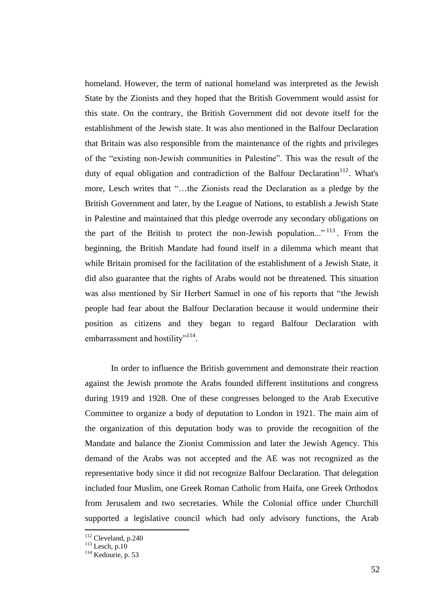homeland. However, the term of national homeland was interpreted as the Jewish State by the Zionists and they hoped that the British Government would assist for this state. On the contrary, the British Government did not devote itself for the establishment of the Jewish state. It was also mentioned in the Balfour Declaration that Britain was also responsible from the maintenance of the rights and privileges of the "existing non-Jewish communities in Palestine". This was the result of the duty of equal obligation and contradiction of the Balfour Declaration<sup>112</sup>. What's more, Lesch writes that "…the Zionists read the Declaration as a pledge by the British Government and later, by the League of Nations, to establish a Jewish State in Palestine and maintained that this pledge overrode any secondary obligations on the part of the British to protect the non-Jewish population..."<sup>113</sup>. From the beginning, the British Mandate had found itself in a dilemma which meant that while Britain promised for the facilitation of the establishment of a Jewish State, it did also guarantee that the rights of Arabs would not be threatened. This situation was also mentioned by Sir Herbert Samuel in one of his reports that "the Jewish people had fear about the Balfour Declaration because it would undermine their position as citizens and they began to regard Balfour Declaration with embarrassment and hostility"<sup>114</sup>.

In order to influence the British government and demonstrate their reaction against the Jewish promote the Arabs founded different institutions and congress during 1919 and 1928. One of these congresses belonged to the Arab Executive Committee to organize a body of deputation to London in 1921. The main aim of the organization of this deputation body was to provide the recognition of the Mandate and balance the Zionist Commission and later the Jewish Agency. This demand of the Arabs was not accepted and the AE was not recognized as the representative body since it did not recognize Balfour Declaration. That delegation included four Muslim, one Greek Roman Catholic from Haifa, one Greek Orthodox from Jerusalem and two secretaries. While the Colonial office under Churchill supported a legislative council which had only advisory functions, the Arab

<sup>112</sup> Cleveland, p.240

 $113$  Lesch, p.10

<sup>114</sup> Kedourie, p. 53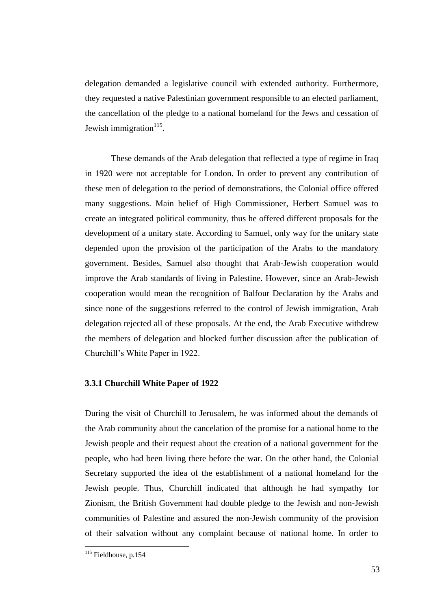delegation demanded a legislative council with extended authority. Furthermore, they requested a native Palestinian government responsible to an elected parliament, the cancellation of the pledge to a national homeland for the Jews and cessation of Jewish immigration $115$ .

These demands of the Arab delegation that reflected a type of regime in Iraq in 1920 were not acceptable for London. In order to prevent any contribution of these men of delegation to the period of demonstrations, the Colonial office offered many suggestions. Main belief of High Commissioner, Herbert Samuel was to create an integrated political community, thus he offered different proposals for the development of a unitary state. According to Samuel, only way for the unitary state depended upon the provision of the participation of the Arabs to the mandatory government. Besides, Samuel also thought that Arab-Jewish cooperation would improve the Arab standards of living in Palestine. However, since an Arab-Jewish cooperation would mean the recognition of Balfour Declaration by the Arabs and since none of the suggestions referred to the control of Jewish immigration, Arab delegation rejected all of these proposals. At the end, the Arab Executive withdrew the members of delegation and blocked further discussion after the publication of Churchill"s White Paper in 1922.

### **3.3.1 Churchill White Paper of 1922**

During the visit of Churchill to Jerusalem, he was informed about the demands of the Arab community about the cancelation of the promise for a national home to the Jewish people and their request about the creation of a national government for the people, who had been living there before the war. On the other hand, the Colonial Secretary supported the idea of the establishment of a national homeland for the Jewish people. Thus, Churchill indicated that although he had sympathy for Zionism, the British Government had double pledge to the Jewish and non-Jewish communities of Palestine and assured the non-Jewish community of the provision of their salvation without any complaint because of national home. In order to

<sup>&</sup>lt;sup>115</sup> Fieldhouse, p.154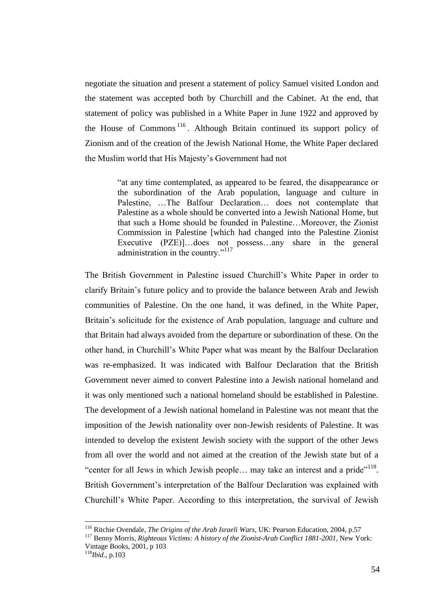negotiate the situation and present a statement of policy Samuel visited London and the statement was accepted both by Churchill and the Cabinet. At the end, that statement of policy was published in a White Paper in June 1922 and approved by the House of Commons<sup>116</sup>. Although Britain continued its support policy of Zionism and of the creation of the Jewish National Home, the White Paper declared the Muslim world that His Majesty"s Government had not

> "at any time contemplated, as appeared to be feared, the disappearance or the subordination of the Arab population, language and culture in Palestine, …The Balfour Declaration… does not contemplate that Palestine as a whole should be converted into a Jewish National Home, but that such a Home should be founded in Palestine…Moreover, the Zionist Commission in Palestine [which had changed into the Palestine Zionist Executive (PZE)]…does not possess…any share in the general administration in the country."<sup>117</sup>

The British Government in Palestine issued Churchill"s White Paper in order to clarify Britain"s future policy and to provide the balance between Arab and Jewish communities of Palestine. On the one hand, it was defined, in the White Paper, Britain"s solicitude for the existence of Arab population, language and culture and that Britain had always avoided from the departure or subordination of these. On the other hand, in Churchill"s White Paper what was meant by the Balfour Declaration was re-emphasized. It was indicated with Balfour Declaration that the British Government never aimed to convert Palestine into a Jewish national homeland and it was only mentioned such a national homeland should be established in Palestine. The development of a Jewish national homeland in Palestine was not meant that the imposition of the Jewish nationality over non-Jewish residents of Palestine. It was intended to develop the existent Jewish society with the support of the other Jews from all over the world and not aimed at the creation of the Jewish state but of a "center for all Jews in which Jewish people... may take an interest and a pride"<sup>118</sup>. British Government's interpretation of the Balfour Declaration was explained with Churchill"s White Paper. According to this interpretation, the survival of Jewish

<sup>116</sup> Ritchie Ovendale, *The Origins of the Arab Israeli Wars*, UK: Pearson Education, 2004, p.57

<sup>117</sup> Benny Morris, *Righteous Victims: A history of the Zionist-Arab Conflict 1881-2001*, New York: Vintage Books, 2001, p 103

<sup>118</sup>*Ibid.*, p.103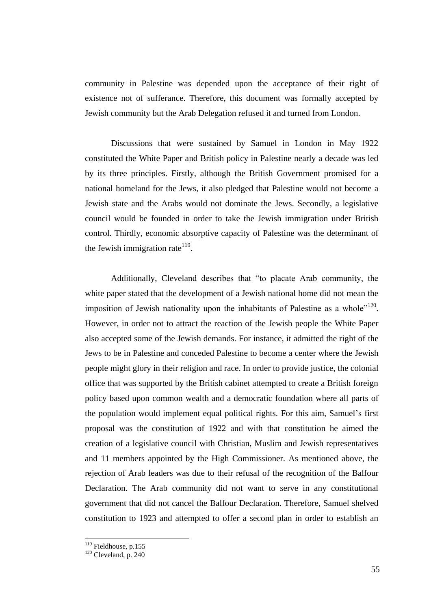community in Palestine was depended upon the acceptance of their right of existence not of sufferance. Therefore, this document was formally accepted by Jewish community but the Arab Delegation refused it and turned from London.

Discussions that were sustained by Samuel in London in May 1922 constituted the White Paper and British policy in Palestine nearly a decade was led by its three principles. Firstly, although the British Government promised for a national homeland for the Jews, it also pledged that Palestine would not become a Jewish state and the Arabs would not dominate the Jews. Secondly, a legislative council would be founded in order to take the Jewish immigration under British control. Thirdly, economic absorptive capacity of Palestine was the determinant of the Jewish immigration rate $^{119}$ .

Additionally, Cleveland describes that "to placate Arab community, the white paper stated that the development of a Jewish national home did not mean the imposition of Jewish nationality upon the inhabitants of Palestine as a whole<sup> $120$ </sup>. However, in order not to attract the reaction of the Jewish people the White Paper also accepted some of the Jewish demands. For instance, it admitted the right of the Jews to be in Palestine and conceded Palestine to become a center where the Jewish people might glory in their religion and race. In order to provide justice, the colonial office that was supported by the British cabinet attempted to create a British foreign policy based upon common wealth and a democratic foundation where all parts of the population would implement equal political rights. For this aim, Samuel"s first proposal was the constitution of 1922 and with that constitution he aimed the creation of a legislative council with Christian, Muslim and Jewish representatives and 11 members appointed by the High Commissioner. As mentioned above, the rejection of Arab leaders was due to their refusal of the recognition of the Balfour Declaration. The Arab community did not want to serve in any constitutional government that did not cancel the Balfour Declaration. Therefore, Samuel shelved constitution to 1923 and attempted to offer a second plan in order to establish an

<sup>&</sup>lt;sup>119</sup> Fieldhouse, p.155

 $120$  Cleveland, p. 240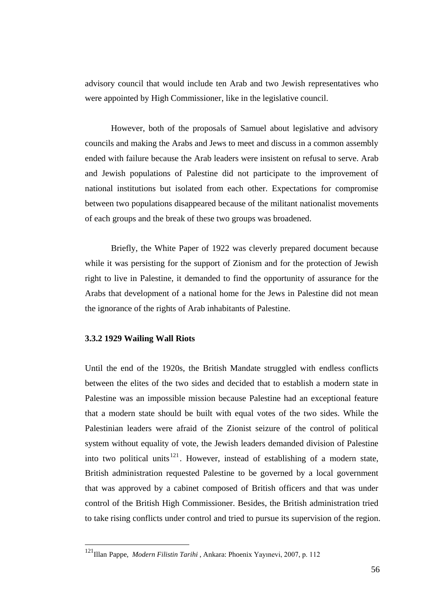advisory council that would include ten Arab and two Jewish representatives who were appointed by High Commissioner, like in the legislative council.

However, both of the proposals of Samuel about legislative and advisory councils and making the Arabs and Jews to meet and discuss in a common assembly ended with failure because the Arab leaders were insistent on refusal to serve. Arab and Jewish populations of Palestine did not participate to the improvement of national institutions but isolated from each other. Expectations for compromise between two populations disappeared because of the militant nationalist movements of each groups and the break of these two groups was broadened.

Briefly, the White Paper of 1922 was cleverly prepared document because while it was persisting for the support of Zionism and for the protection of Jewish right to live in Palestine, it demanded to find the opportunity of assurance for the Arabs that development of a national home for the Jews in Palestine did not mean the ignorance of the rights of Arab inhabitants of Palestine.

## **3.3.2 1929 Wailing Wall Riots**

<u>.</u>

Until the end of the 1920s, the British Mandate struggled with endless conflicts between the elites of the two sides and decided that to establish a modern state in Palestine was an impossible mission because Palestine had an exceptional feature that a modern state should be built with equal votes of the two sides. While the Palestinian leaders were afraid of the Zionist seizure of the control of political system without equality of vote, the Jewish leaders demanded division of Palestine into two political units  $121$ . However, instead of establishing of a modern state, British administration requested Palestine to be governed by a local government that was approved by a cabinet composed of British officers and that was under control of the British High Commissioner. Besides, the British administration tried to take rising conflicts under control and tried to pursue its supervision of the region.

<sup>121</sup>Illan Pappe, *Modern Filistin Tarihi* , Ankara: Phoenix Yayınevi, 2007, p. 112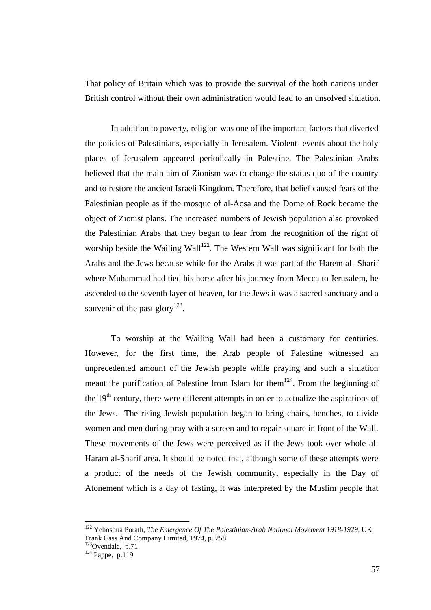That policy of Britain which was to provide the survival of the both nations under British control without their own administration would lead to an unsolved situation.

In addition to poverty, religion was one of the important factors that diverted the policies of Palestinians, especially in Jerusalem. Violent events about the holy places of Jerusalem appeared periodically in Palestine. The Palestinian Arabs believed that the main aim of Zionism was to change the status quo of the country and to restore the ancient Israeli Kingdom. Therefore, that belief caused fears of the Palestinian people as if the mosque of al-Aqsa and the Dome of Rock became the object of Zionist plans. The increased numbers of Jewish population also provoked the Palestinian Arabs that they began to fear from the recognition of the right of worship beside the Wailing Wall<sup>122</sup>. The Western Wall was significant for both the Arabs and the Jews because while for the Arabs it was part of the Harem al- Sharif where Muhammad had tied his horse after his journey from Mecca to Jerusalem, he ascended to the seventh layer of heaven, for the Jews it was a sacred sanctuary and a souvenir of the past glory<sup>123</sup>.

To worship at the Wailing Wall had been a customary for centuries. However, for the first time, the Arab people of Palestine witnessed an unprecedented amount of the Jewish people while praying and such a situation meant the purification of Palestine from Islam for them<sup>124</sup>. From the beginning of the  $19<sup>th</sup>$  century, there were different attempts in order to actualize the aspirations of the Jews. The rising Jewish population began to bring chairs, benches, to divide women and men during pray with a screen and to repair square in front of the Wall. These movements of the Jews were perceived as if the Jews took over whole al-Haram al-Sharif area. It should be noted that, although some of these attempts were a product of the needs of the Jewish community, especially in the Day of Atonement which is a day of fasting, it was interpreted by the Muslim people that

<sup>122</sup> Yehoshua Porath, *The Emergence Of The Palestinian-Arab National Movement 1918-1929*, UK: Frank Cass And Company Limited, 1974, p. 258

 $123$ Ovendale, p.71

 $124$  Pappe, p.119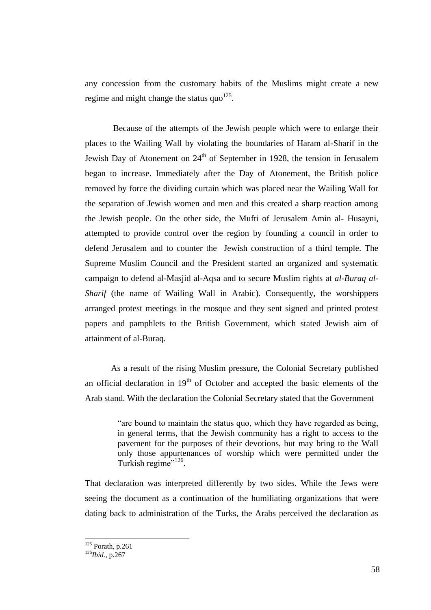any concession from the customary habits of the Muslims might create a new regime and might change the status  $q\omega^{125}$ .

Because of the attempts of the Jewish people which were to enlarge their places to the Wailing Wall by violating the boundaries of Haram al-Sharif in the Jewish Day of Atonement on  $24<sup>th</sup>$  of September in 1928, the tension in Jerusalem began to increase. Immediately after the Day of Atonement, the British police removed by force the dividing curtain which was placed near the Wailing Wall for the separation of Jewish women and men and this created a sharp reaction among the Jewish people. On the other side, the Mufti of Jerusalem Amin al- Husayni, attempted to provide control over the region by founding a council in order to defend Jerusalem and to counter the Jewish construction of a third temple. The Supreme Muslim Council and the President started an organized and systematic campaign to defend al-Masjid al-Aqsa and to secure Muslim rights at *al-Buraq al-Sharif* (the name of Wailing Wall in Arabic). Consequently, the worshippers arranged protest meetings in the mosque and they sent signed and printed protest papers and pamphlets to the British Government, which stated Jewish aim of attainment of al-Buraq.

As a result of the rising Muslim pressure, the Colonial Secretary published an official declaration in  $19<sup>th</sup>$  of October and accepted the basic elements of the Arab stand. With the declaration the Colonial Secretary stated that the Government

> "are bound to maintain the status quo, which they have regarded as being, in general terms, that the Jewish community has a right to access to the pavement for the purposes of their devotions, but may bring to the Wall only those appurtenances of worship which were permitted under the Turkish regime"<sup>126</sup>.

That declaration was interpreted differently by two sides. While the Jews were seeing the document as a continuation of the humiliating organizations that were dating back to administration of the Turks, the Arabs perceived the declaration as

 $125$  Porath, p.261

<sup>126</sup>*Ibid.*, p.267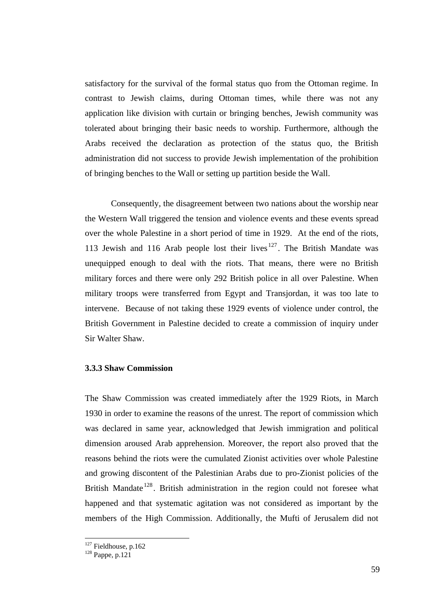satisfactory for the survival of the formal status quo from the Ottoman regime. In contrast to Jewish claims, during Ottoman times, while there was not any application like division with curtain or bringing benches, Jewish community was tolerated about bringing their basic needs to worship. Furthermore, although the Arabs received the declaration as protection of the status quo, the British administration did not success to provide Jewish implementation of the prohibition of bringing benches to the Wall or setting up partition beside the Wall.

Consequently, the disagreement between two nations about the worship near the Western Wall triggered the tension and violence events and these events spread over the whole Palestine in a short period of time in 1929. At the end of the riots, 113 Jewish and 116 Arab people lost their lives  $127$ . The British Mandate was unequipped enough to deal with the riots. That means, there were no British military forces and there were only 292 British police in all over Palestine. When military troops were transferred from Egypt and Transjordan, it was too late to intervene. Because of not taking these 1929 events of violence under control, the British Government in Palestine decided to create a commission of inquiry under Sir Walter Shaw.

## **3.3.3 Shaw Commission**

The Shaw Commission was created immediately after the 1929 Riots, in March 1930 in order to examine the reasons of the unrest. The report of commission which was declared in same year, acknowledged that Jewish immigration and political dimension aroused Arab apprehension. Moreover, the report also proved that the reasons behind the riots were the cumulated Zionist activities over whole Palestine and growing discontent of the Palestinian Arabs due to pro-Zionist policies of the British Mandate<sup>128</sup>. British administration in the region could not foresee what happened and that systematic agitation was not considered as important by the members of the High Commission. Additionally, the Mufti of Jerusalem did not

 $127$  Fieldhouse, p.162

 $128$  Pappe, p.121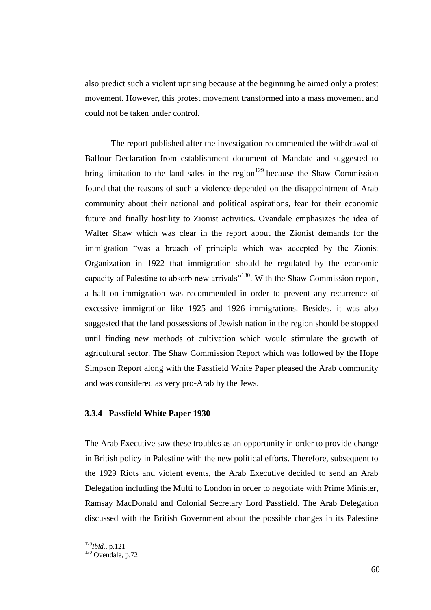also predict such a violent uprising because at the beginning he aimed only a protest movement. However, this protest movement transformed into a mass movement and could not be taken under control.

The report published after the investigation recommended the withdrawal of Balfour Declaration from establishment document of Mandate and suggested to bring limitation to the land sales in the region<sup>129</sup> because the Shaw Commission found that the reasons of such a violence depended on the disappointment of Arab community about their national and political aspirations, fear for their economic future and finally hostility to Zionist activities. Ovandale emphasizes the idea of Walter Shaw which was clear in the report about the Zionist demands for the immigration "was a breach of principle which was accepted by the Zionist Organization in 1922 that immigration should be regulated by the economic capacity of Palestine to absorb new arrivals"<sup>130</sup>. With the Shaw Commission report, a halt on immigration was recommended in order to prevent any recurrence of excessive immigration like 1925 and 1926 immigrations. Besides, it was also suggested that the land possessions of Jewish nation in the region should be stopped until finding new methods of cultivation which would stimulate the growth of agricultural sector. The Shaw Commission Report which was followed by the Hope Simpson Report along with the Passfield White Paper pleased the Arab community and was considered as very pro-Arab by the Jews.

### **3.3.4 Passfield White Paper 1930**

The Arab Executive saw these troubles as an opportunity in order to provide change in British policy in Palestine with the new political efforts. Therefore, subsequent to the 1929 Riots and violent events, the Arab Executive decided to send an Arab Delegation including the Mufti to London in order to negotiate with Prime Minister, Ramsay MacDonald and Colonial Secretary Lord Passfield. The Arab Delegation discussed with the British Government about the possible changes in its Palestine

<sup>129</sup>*Ibid.,* p.121

 $130$  Ovendale, p.72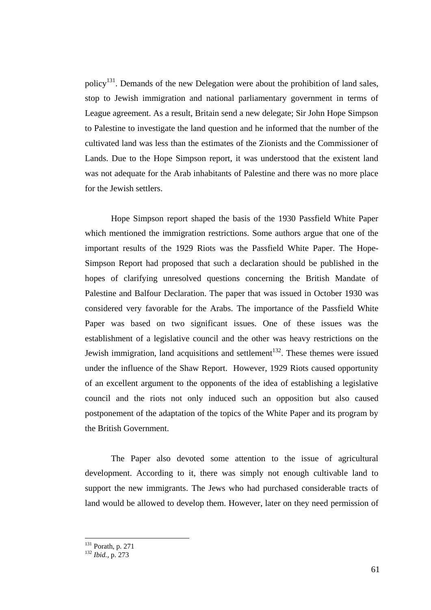policy<sup>131</sup>. Demands of the new Delegation were about the prohibition of land sales, stop to Jewish immigration and national parliamentary government in terms of League agreement. As a result, Britain send a new delegate; Sir John Hope Simpson to Palestine to investigate the land question and he informed that the number of the cultivated land was less than the estimates of the Zionists and the Commissioner of Lands. Due to the Hope Simpson report, it was understood that the existent land was not adequate for the Arab inhabitants of Palestine and there was no more place for the Jewish settlers.

Hope Simpson report shaped the basis of the 1930 Passfield White Paper which mentioned the immigration restrictions. Some authors argue that one of the important results of the 1929 Riots was the Passfield White Paper. The Hope-Simpson Report had proposed that such a declaration should be published in the hopes of clarifying unresolved questions concerning the British Mandate of Palestine and Balfour Declaration. The paper that was issued in October 1930 was considered very favorable for the Arabs. The importance of the Passfield White Paper was based on two significant issues. One of these issues was the establishment of a legislative council and the other was heavy restrictions on the Jewish immigration, land acquisitions and settlement<sup>132</sup>. These themes were issued under the influence of the Shaw Report. However, 1929 Riots caused opportunity of an excellent argument to the opponents of the idea of establishing a legislative council and the riots not only induced such an opposition but also caused postponement of the adaptation of the topics of the White Paper and its program by the British Government.

The Paper also devoted some attention to the issue of agricultural development. According to it, there was simply not enough cultivable land to support the new immigrants. The Jews who had purchased considerable tracts of land would be allowed to develop them. However, later on they need permission of

 $131$  Porath, p. 271

<sup>132</sup> *Ibid.,* p. 273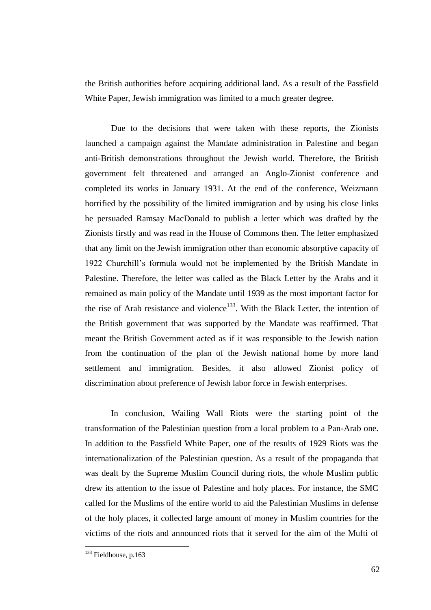the British authorities before acquiring additional land. As a result of the Passfield White Paper, Jewish immigration was limited to a much greater degree.

Due to the decisions that were taken with these reports, the Zionists launched a campaign against the Mandate administration in Palestine and began anti-British demonstrations throughout the Jewish world. Therefore, the British government felt threatened and arranged an Anglo-Zionist conference and completed its works in January 1931. At the end of the conference, Weizmann horrified by the possibility of the limited immigration and by using his close links he persuaded Ramsay MacDonald to publish a letter which was drafted by the Zionists firstly and was read in the House of Commons then. The letter emphasized that any limit on the Jewish immigration other than economic absorptive capacity of 1922 Churchill"s formula would not be implemented by the British Mandate in Palestine. Therefore, the letter was called as the Black Letter by the Arabs and it remained as main policy of the Mandate until 1939 as the most important factor for the rise of Arab resistance and violence<sup>133</sup>. With the Black Letter, the intention of the British government that was supported by the Mandate was reaffirmed. That meant the British Government acted as if it was responsible to the Jewish nation from the continuation of the plan of the Jewish national home by more land settlement and immigration. Besides, it also allowed Zionist policy of discrimination about preference of Jewish labor force in Jewish enterprises.

In conclusion, Wailing Wall Riots were the starting point of the transformation of the Palestinian question from a local problem to a Pan-Arab one. In addition to the Passfield White Paper, one of the results of 1929 Riots was the internationalization of the Palestinian question. As a result of the propaganda that was dealt by the Supreme Muslim Council during riots, the whole Muslim public drew its attention to the issue of Palestine and holy places. For instance, the SMC called for the Muslims of the entire world to aid the Palestinian Muslims in defense of the holy places, it collected large amount of money in Muslim countries for the victims of the riots and announced riots that it served for the aim of the Mufti of

<sup>&</sup>lt;sup>133</sup> Fieldhouse, p.163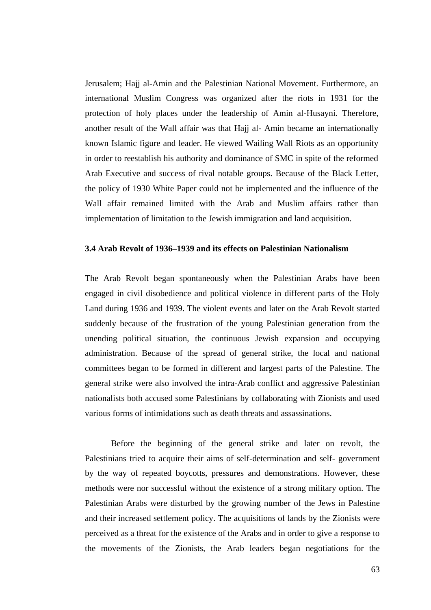Jerusalem; Hajj al-Amin and the Palestinian National Movement. Furthermore, an international Muslim Congress was organized after the riots in 1931 for the protection of holy places under the leadership of Amin al-Husayni. Therefore, another result of the Wall affair was that Hajj al- Amin became an internationally known Islamic figure and leader. He viewed Wailing Wall Riots as an opportunity in order to reestablish his authority and dominance of SMC in spite of the reformed Arab Executive and success of rival notable groups. Because of the Black Letter, the policy of 1930 White Paper could not be implemented and the influence of the Wall affair remained limited with the Arab and Muslim affairs rather than implementation of limitation to the Jewish immigration and land acquisition.

### **3.4 Arab Revolt of 1936–1939 and its effects on Palestinian Nationalism**

The Arab Revolt began spontaneously when the Palestinian Arabs have been engaged in civil disobedience and political violence in different parts of the Holy Land during 1936 and 1939. The violent events and later on the Arab Revolt started suddenly because of the frustration of the young Palestinian generation from the unending political situation, the continuous Jewish expansion and occupying administration. Because of the spread of general strike, the local and national committees began to be formed in different and largest parts of the Palestine. The general strike were also involved the intra-Arab conflict and aggressive Palestinian nationalists both accused some Palestinians by collaborating with Zionists and used various forms of intimidations such as death threats and assassinations.

Before the beginning of the general strike and later on revolt, the Palestinians tried to acquire their aims of self-determination and self- government by the way of repeated boycotts, pressures and demonstrations. However, these methods were nor successful without the existence of a strong military option. The Palestinian Arabs were disturbed by the growing number of the Jews in Palestine and their increased settlement policy. The acquisitions of lands by the Zionists were perceived as a threat for the existence of the Arabs and in order to give a response to the movements of the Zionists, the Arab leaders began negotiations for the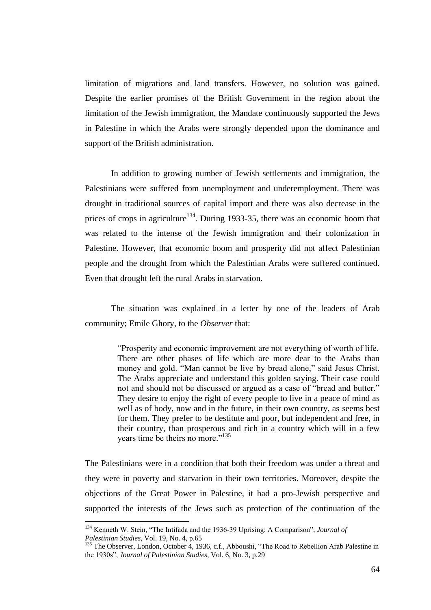limitation of migrations and land transfers. However, no solution was gained. Despite the earlier promises of the British Government in the region about the limitation of the Jewish immigration, the Mandate continuously supported the Jews in Palestine in which the Arabs were strongly depended upon the dominance and support of the British administration.

In addition to growing number of Jewish settlements and immigration, the Palestinians were suffered from unemployment and underemployment. There was drought in traditional sources of capital import and there was also decrease in the prices of crops in agriculture<sup>134</sup>. During 1933-35, there was an economic boom that was related to the intense of the Jewish immigration and their colonization in Palestine. However, that economic boom and prosperity did not affect Palestinian people and the drought from which the Palestinian Arabs were suffered continued. Even that drought left the rural Arabs in starvation.

The situation was explained in a letter by one of the leaders of Arab community; Emile Ghory, to the *Observer* that:

> "Prosperity and economic improvement are not everything of worth of life. There are other phases of life which are more dear to the Arabs than money and gold. "Man cannot be live by bread alone," said Jesus Christ. The Arabs appreciate and understand this golden saying. Their case could not and should not be discussed or argued as a case of "bread and butter." They desire to enjoy the right of every people to live in a peace of mind as well as of body, now and in the future, in their own country, as seems best for them. They prefer to be destitute and poor, but independent and free, in their country, than prosperous and rich in a country which will in a few years time be theirs no more."<sup>135</sup>

The Palestinians were in a condition that both their freedom was under a threat and they were in poverty and starvation in their own territories. Moreover, despite the objections of the Great Power in Palestine, it had a pro-Jewish perspective and supported the interests of the Jews such as protection of the continuation of the

<sup>134</sup> Kenneth W. Stein, "The Intifada and the 1936-39 Uprising: A Comparison", *Journal of Palestinian Studies*, Vol. 19, No. 4, p.65

<sup>&</sup>lt;sup>135</sup> The Observer, London, October 4, 1936, c.f., Abboushi, "The Road to Rebellion Arab Palestine in the 1930s", *Journal of Palestinian Studies*, Vol. 6, No. 3, p.29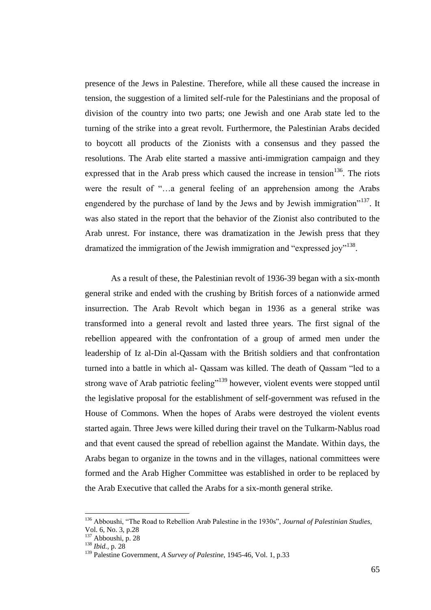presence of the Jews in Palestine. Therefore, while all these caused the increase in tension, the suggestion of a limited self-rule for the Palestinians and the proposal of division of the country into two parts; one Jewish and one Arab state led to the turning of the strike into a great revolt. Furthermore, the Palestinian Arabs decided to boycott all products of the Zionists with a consensus and they passed the resolutions. The Arab elite started a massive anti-immigration campaign and they expressed that in the Arab press which caused the increase in tension $136$ . The riots were the result of "…a general feeling of an apprehension among the Arabs engendered by the purchase of land by the Jews and by Jewish immigration<sup>"137</sup>. It was also stated in the report that the behavior of the Zionist also contributed to the Arab unrest. For instance, there was dramatization in the Jewish press that they dramatized the immigration of the Jewish immigration and "expressed joy"<sup>138</sup>.

As a result of these, the Palestinian revolt of 1936-39 began with a six-month general strike and ended with the crushing by British forces of a nationwide armed insurrection. The Arab Revolt which began in 1936 as a general strike was transformed into a general revolt and lasted three years. The first signal of the rebellion appeared with the confrontation of a group of armed men under the leadership of Iz al-Din al-Qassam with the British soldiers and that confrontation turned into a battle in which al- Qassam was killed. The death of Qassam "led to a strong wave of Arab patriotic feeling"<sup>139</sup> however, violent events were stopped until the legislative proposal for the establishment of self-government was refused in the House of Commons. When the hopes of Arabs were destroyed the violent events started again. Three Jews were killed during their travel on the Tulkarm-Nablus road and that event caused the spread of rebellion against the Mandate. Within days, the Arabs began to organize in the towns and in the villages, national committees were formed and the Arab Higher Committee was established in order to be replaced by the Arab Executive that called the Arabs for a six-month general strike.

<sup>136</sup> Abboushi, "The Road to Rebellion Arab Palestine in the 1930s", *Journal of Palestinian Studies*, Vol. 6, No. 3, p.28

<sup>137</sup> Abboushi, p. 28

<sup>138</sup> *Ibid.*, p. 28

<sup>139</sup> Palestine Government, *A Survey of Palestine*, 1945-46, Vol. 1, p.33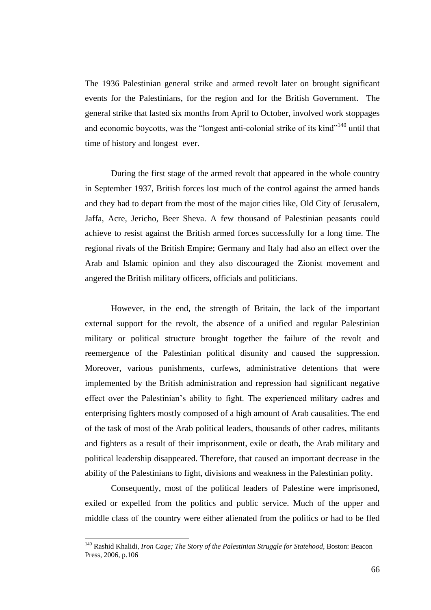The 1936 Palestinian general strike and armed revolt later on brought significant events for the Palestinians, for the region and for the British Government. The general strike that lasted six months from April to October, involved work stoppages and economic boycotts, was the "longest anti-colonial strike of its kind"<sup>140</sup> until that time of history and longest ever.

During the first stage of the armed revolt that appeared in the whole country in September 1937, British forces lost much of the control against the armed bands and they had to depart from the most of the major cities like, Old City of Jerusalem, Jaffa, Acre, Jericho, Beer Sheva. A few thousand of Palestinian peasants could achieve to resist against the British armed forces successfully for a long time. The regional rivals of the British Empire; Germany and Italy had also an effect over the Arab and Islamic opinion and they also discouraged the Zionist movement and angered the British military officers, officials and politicians.

However, in the end, the strength of Britain, the lack of the important external support for the revolt, the absence of a unified and regular Palestinian military or political structure brought together the failure of the revolt and reemergence of the Palestinian political disunity and caused the suppression. Moreover, various punishments, curfews, administrative detentions that were implemented by the British administration and repression had significant negative effect over the Palestinian"s ability to fight. The experienced military cadres and enterprising fighters mostly composed of a high amount of Arab causalities. The end of the task of most of the Arab political leaders, thousands of other cadres, militants and fighters as a result of their imprisonment, exile or death, the Arab military and political leadership disappeared. Therefore, that caused an important decrease in the ability of the Palestinians to fight, divisions and weakness in the Palestinian polity.

Consequently, most of the political leaders of Palestine were imprisoned, exiled or expelled from the politics and public service. Much of the upper and middle class of the country were either alienated from the politics or had to be fled

<sup>140</sup> Rashid Khalidi, *Iron Cage; The Story of the Palestinian Struggle for Statehood*, Boston: Beacon Press, 2006, p.106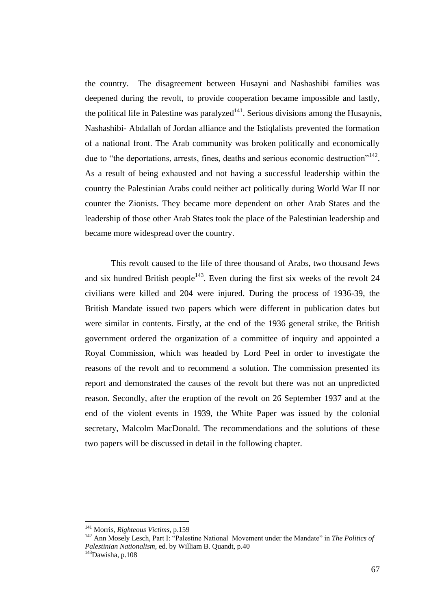the country. The disagreement between Husayni and Nashashibi families was deepened during the revolt, to provide cooperation became impossible and lastly, the political life in Palestine was paralyzed<sup>141</sup>. Serious divisions among the Husaynis, Nashashibi- Abdallah of Jordan alliance and the Istiqlalists prevented the formation of a national front. The Arab community was broken politically and economically due to "the deportations, arrests, fines, deaths and serious economic destruction"<sup>142</sup>. As a result of being exhausted and not having a successful leadership within the country the Palestinian Arabs could neither act politically during World War II nor counter the Zionists. They became more dependent on other Arab States and the leadership of those other Arab States took the place of the Palestinian leadership and became more widespread over the country.

This revolt caused to the life of three thousand of Arabs, two thousand Jews and six hundred British people<sup>143</sup>. Even during the first six weeks of the revolt  $24$ civilians were killed and 204 were injured. During the process of 1936-39, the British Mandate issued two papers which were different in publication dates but were similar in contents. Firstly, at the end of the 1936 general strike, the British government ordered the organization of a committee of inquiry and appointed a Royal Commission, which was headed by Lord Peel in order to investigate the reasons of the revolt and to recommend a solution. The commission presented its report and demonstrated the causes of the revolt but there was not an unpredicted reason. Secondly, after the eruption of the revolt on 26 September 1937 and at the end of the violent events in 1939, the White Paper was issued by the colonial secretary, Malcolm MacDonald. The recommendations and the solutions of these two papers will be discussed in detail in the following chapter.

<sup>141</sup> Morris*, Righteous Victims*, p.159

<sup>&</sup>lt;sup>142</sup> Ann Mosely Lesch, Part I: "Palestine National Movement under the Mandate" in *The Politics of Palestinian Nationalism*, ed. by William B. Quandt, p.40

<sup>143</sup>Dawisha, p.108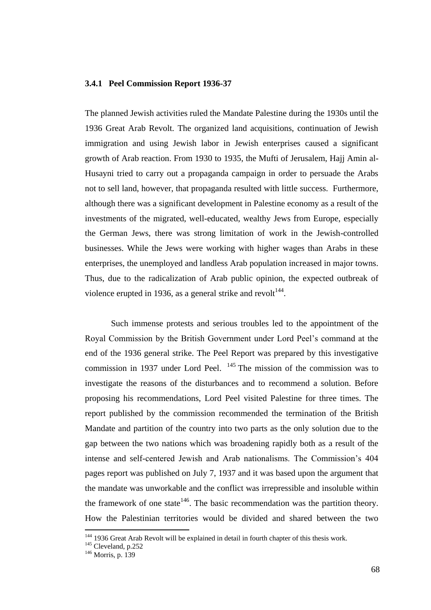#### **3.4.1 Peel Commission Report 1936-37**

The planned Jewish activities ruled the Mandate Palestine during the 1930s until the 1936 Great Arab Revolt. The organized land acquisitions, continuation of Jewish immigration and using Jewish labor in Jewish enterprises caused a significant growth of Arab reaction. From 1930 to 1935, the Mufti of Jerusalem, Hajj Amin al-Husayni tried to carry out a propaganda campaign in order to persuade the Arabs not to sell land, however, that propaganda resulted with little success. Furthermore, although there was a significant development in Palestine economy as a result of the investments of the migrated, well-educated, wealthy Jews from Europe, especially the German Jews, there was strong limitation of work in the Jewish-controlled businesses. While the Jews were working with higher wages than Arabs in these enterprises, the unemployed and landless Arab population increased in major towns. Thus, due to the radicalization of Arab public opinion, the expected outbreak of violence erupted in 1936, as a general strike and revolt $144$ .

Such immense protests and serious troubles led to the appointment of the Royal Commission by the British Government under Lord Peel"s command at the end of the 1936 general strike. The Peel Report was prepared by this investigative commission in 1937 under Lord Peel.  $145$  The mission of the commission was to investigate the reasons of the disturbances and to recommend a solution. Before proposing his recommendations, Lord Peel visited Palestine for three times. The report published by the commission recommended the termination of the British Mandate and partition of the country into two parts as the only solution due to the gap between the two nations which was broadening rapidly both as a result of the intense and self-centered Jewish and Arab nationalisms. The Commission"s 404 pages report was published on July 7, 1937 and it was based upon the argument that the mandate was unworkable and the conflict was irrepressible and insoluble within the framework of one state<sup>146</sup>. The basic recommendation was the partition theory. How the Palestinian territories would be divided and shared between the two

<sup>&</sup>lt;sup>144</sup> 1936 Great Arab Revolt will be explained in detail in fourth chapter of this thesis work.

<sup>145</sup> Cleveland, p.252

<sup>146</sup> Morris, p. 139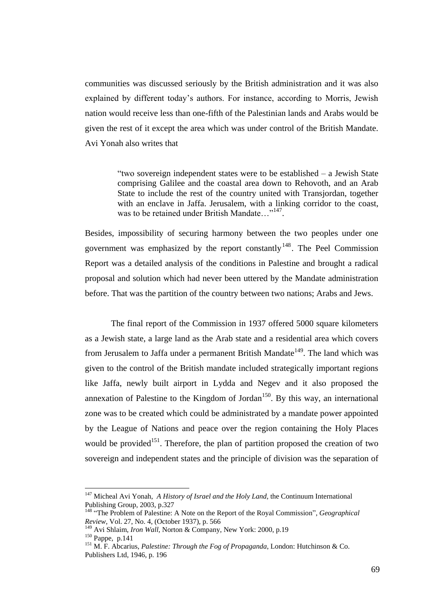communities was discussed seriously by the British administration and it was also explained by different today"s authors. For instance, according to Morris, Jewish nation would receive less than one-fifth of the Palestinian lands and Arabs would be given the rest of it except the area which was under control of the British Mandate. Avi Yonah also writes that

> "two sovereign independent states were to be established – a Jewish State comprising Galilee and the coastal area down to Rehovoth, and an Arab State to include the rest of the country united with Transjordan, together with an enclave in Jaffa. Jerusalem, with a linking corridor to the coast, was to be retained under British Mandate..."<sup>147</sup>.

Besides, impossibility of securing harmony between the two peoples under one government was emphasized by the report constantly  $148$ . The Peel Commission Report was a detailed analysis of the conditions in Palestine and brought a radical proposal and solution which had never been uttered by the Mandate administration before. That was the partition of the country between two nations; Arabs and Jews.

The final report of the Commission in 1937 offered 5000 square kilometers as a Jewish state, a large land as the Arab state and a residential area which covers from Jerusalem to Jaffa under a permanent British Mandate<sup>149</sup>. The land which was given to the control of the British mandate included strategically important regions like Jaffa, newly built airport in Lydda and Negev and it also proposed the annexation of Palestine to the Kingdom of Jordan<sup>150</sup>. By this way, an international zone was to be created which could be administrated by a mandate power appointed by the League of Nations and peace over the region containing the Holy Places would be provided<sup>151</sup>. Therefore, the plan of partition proposed the creation of two sovereign and independent states and the principle of division was the separation of

<sup>147</sup> Micheal Avi Yonah, *A History of Israel and the Holy Land,* the Continuum International Publishing Group, 2003, p.327

<sup>148</sup> "The Problem of Palestine: A Note on the Report of the Royal Commission", *Geographical Review*, Vol. 27, No. 4, (October 1937), p. 566

<sup>&</sup>lt;sup>4</sup> Avi Shlaim, *Iron Wall*, Norton & Company, New York: 2000, p.19

<sup>150</sup> Pappe, p.141

<sup>151</sup> M. F. Abcarius, *Palestine: Through the Fog of Propaganda*, London: Hutchinson & Co. Publishers Ltd, 1946, p. 196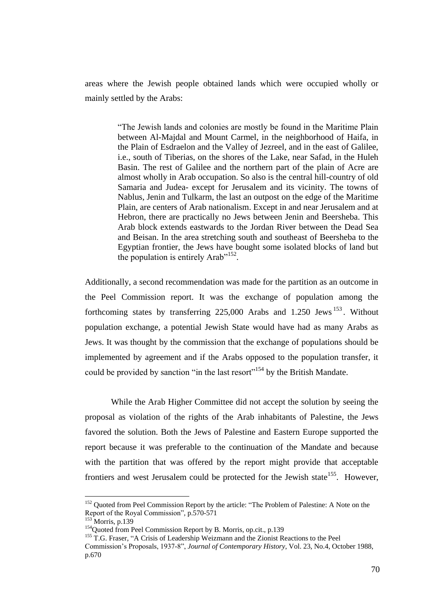areas where the Jewish people obtained lands which were occupied wholly or mainly settled by the Arabs:

> "The Jewish lands and colonies are mostly be found in the Maritime Plain between Al-Majdal and Mount Carmel, in the neighborhood of Haifa, in the Plain of Esdraelon and the Valley of Jezreel, and in the east of Galilee, i.e., south of Tiberias, on the shores of the Lake, near Safad, in the Huleh Basin. The rest of Galilee and the northern part of the plain of Acre are almost wholly in Arab occupation. So also is the central hill-country of old Samaria and Judea- except for Jerusalem and its vicinity. The towns of Nablus, Jenin and Tulkarm, the last an outpost on the edge of the Maritime Plain, are centers of Arab nationalism. Except in and near Jerusalem and at Hebron, there are practically no Jews between Jenin and Beersheba. This Arab block extends eastwards to the Jordan River between the Dead Sea and Beisan. In the area stretching south and southeast of Beersheba to the Egyptian frontier, the Jews have bought some isolated blocks of land but the population is entirely Arab"<sup>152</sup>.

Additionally, a second recommendation was made for the partition as an outcome in the Peel Commission report. It was the exchange of population among the forthcoming states by transferring  $225,000$  Arabs and  $1.250$  Jews  $^{153}$ . Without population exchange, a potential Jewish State would have had as many Arabs as Jews. It was thought by the commission that the exchange of populations should be implemented by agreement and if the Arabs opposed to the population transfer, it could be provided by sanction "in the last resort"<sup>154</sup> by the British Mandate.

While the Arab Higher Committee did not accept the solution by seeing the proposal as violation of the rights of the Arab inhabitants of Palestine, the Jews favored the solution. Both the Jews of Palestine and Eastern Europe supported the report because it was preferable to the continuation of the Mandate and because with the partition that was offered by the report might provide that acceptable frontiers and west Jerusalem could be protected for the Jewish state<sup>155</sup>. However,

<sup>&</sup>lt;sup>152</sup> Quoted from Peel Commission Report by the article: "The Problem of Palestine: A Note on the Report of the Royal Commission", p.570-571

<sup>&</sup>lt;sup>153</sup> Morris, p.139

<sup>&</sup>lt;sup>154</sup>Quoted from Peel Commission Report by B. Morris, op.cit., p.139

<sup>&</sup>lt;sup>155</sup> T.G. Fraser, "A Crisis of Leadership Weizmann and the Zionist Reactions to the Peel

Commission"s Proposals, 1937-8", *Journal of Contemporary History*, Vol. 23, No.4, October 1988, p.670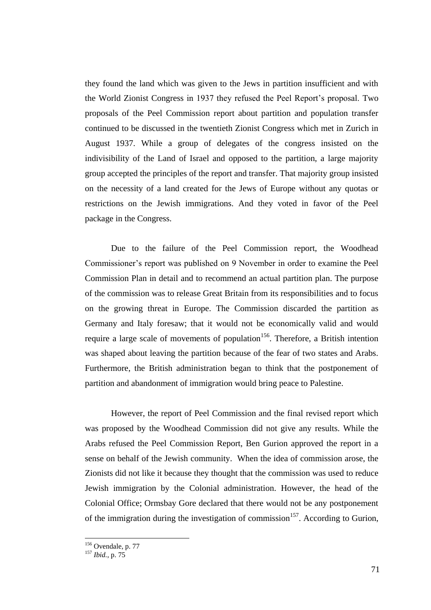they found the land which was given to the Jews in partition insufficient and with the World Zionist Congress in 1937 they refused the Peel Report"s proposal. Two proposals of the Peel Commission report about partition and population transfer continued to be discussed in the twentieth Zionist Congress which met in Zurich in August 1937. While a group of delegates of the congress insisted on the indivisibility of the Land of Israel and opposed to the partition, a large majority group accepted the principles of the report and transfer. That majority group insisted on the necessity of a land created for the Jews of Europe without any quotas or restrictions on the Jewish immigrations. And they voted in favor of the Peel package in the Congress.

Due to the failure of the Peel Commission report, the Woodhead Commissioner"s report was published on 9 November in order to examine the Peel Commission Plan in detail and to recommend an actual partition plan. The purpose of the commission was to release Great Britain from its responsibilities and to focus on the growing threat in Europe. The Commission discarded the partition as Germany and Italy foresaw; that it would not be economically valid and would require a large scale of movements of population<sup>156</sup>. Therefore, a British intention was shaped about leaving the partition because of the fear of two states and Arabs. Furthermore, the British administration began to think that the postponement of partition and abandonment of immigration would bring peace to Palestine.

However, the report of Peel Commission and the final revised report which was proposed by the Woodhead Commission did not give any results. While the Arabs refused the Peel Commission Report, Ben Gurion approved the report in a sense on behalf of the Jewish community. When the idea of commission arose, the Zionists did not like it because they thought that the commission was used to reduce Jewish immigration by the Colonial administration. However, the head of the Colonial Office; Ormsbay Gore declared that there would not be any postponement of the immigration during the investigation of commission<sup>157</sup>. According to Gurion,

 $156$  Ovendale, p. 77

<sup>157</sup> *Ibid.*, p. 75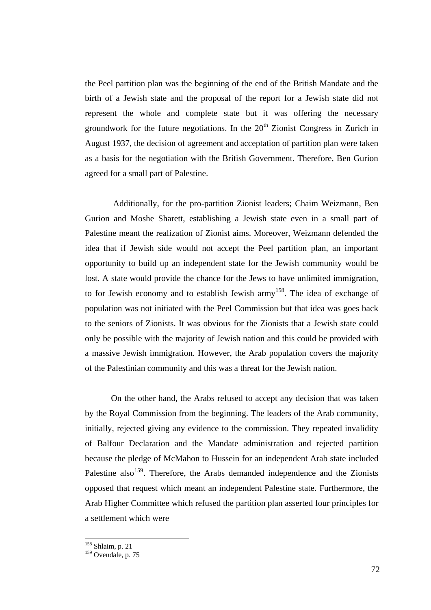the Peel partition plan was the beginning of the end of the British Mandate and the birth of a Jewish state and the proposal of the report for a Jewish state did not represent the whole and complete state but it was offering the necessary groundwork for the future negotiations. In the  $20<sup>th</sup>$  Zionist Congress in Zurich in August 1937, the decision of agreement and acceptation of partition plan were taken as a basis for the negotiation with the British Government. Therefore, Ben Gurion agreed for a small part of Palestine.

Additionally, for the pro-partition Zionist leaders; Chaim Weizmann, Ben Gurion and Moshe Sharett, establishing a Jewish state even in a small part of Palestine meant the realization of Zionist aims. Moreover, Weizmann defended the idea that if Jewish side would not accept the Peel partition plan, an important opportunity to build up an independent state for the Jewish community would be lost. A state would provide the chance for the Jews to have unlimited immigration, to for Jewish economy and to establish Jewish army<sup>158</sup>. The idea of exchange of population was not initiated with the Peel Commission but that idea was goes back to the seniors of Zionists. It was obvious for the Zionists that a Jewish state could only be possible with the majority of Jewish nation and this could be provided with a massive Jewish immigration. However, the Arab population covers the majority of the Palestinian community and this was a threat for the Jewish nation.

On the other hand, the Arabs refused to accept any decision that was taken by the Royal Commission from the beginning. The leaders of the Arab community, initially, rejected giving any evidence to the commission. They repeated invalidity of Balfour Declaration and the Mandate administration and rejected partition because the pledge of McMahon to Hussein for an independent Arab state included Palestine also<sup>159</sup>. Therefore, the Arabs demanded independence and the Zionists opposed that request which meant an independent Palestine state. Furthermore, the Arab Higher Committee which refused the partition plan asserted four principles for a settlement which were

<sup>158</sup> Shlaim, p. 21

<sup>&</sup>lt;sup>159</sup> Ovendale, p. 75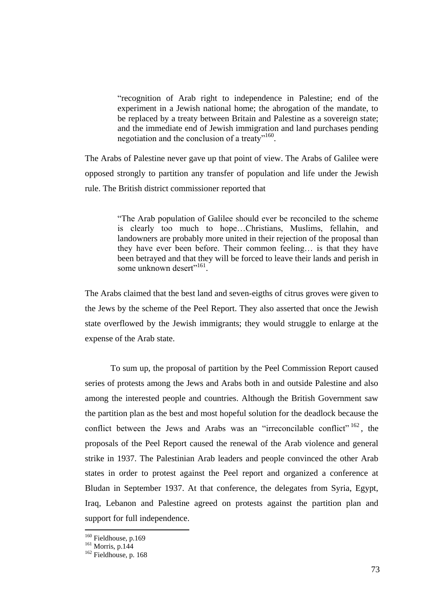"recognition of Arab right to independence in Palestine; end of the experiment in a Jewish national home; the abrogation of the mandate, to be replaced by a treaty between Britain and Palestine as a sovereign state; and the immediate end of Jewish immigration and land purchases pending negotiation and the conclusion of a treaty"<sup>160</sup>.

The Arabs of Palestine never gave up that point of view. The Arabs of Galilee were opposed strongly to partition any transfer of population and life under the Jewish rule. The British district commissioner reported that

> "The Arab population of Galilee should ever be reconciled to the scheme is clearly too much to hope…Christians, Muslims, fellahin, and landowners are probably more united in their rejection of the proposal than they have ever been before. Their common feeling… is that they have been betrayed and that they will be forced to leave their lands and perish in some unknown desert"<sup>161</sup>.

The Arabs claimed that the best land and seven-eigths of citrus groves were given to the Jews by the scheme of the Peel Report. They also asserted that once the Jewish state overflowed by the Jewish immigrants; they would struggle to enlarge at the expense of the Arab state.

To sum up, the proposal of partition by the Peel Commission Report caused series of protests among the Jews and Arabs both in and outside Palestine and also among the interested people and countries. Although the British Government saw the partition plan as the best and most hopeful solution for the deadlock because the conflict between the Jews and Arabs was an "irreconcilable conflict"  $162$ , the proposals of the Peel Report caused the renewal of the Arab violence and general strike in 1937. The Palestinian Arab leaders and people convinced the other Arab states in order to protest against the Peel report and organized a conference at Bludan in September 1937. At that conference, the delegates from Syria, Egypt, Iraq, Lebanon and Palestine agreed on protests against the partition plan and support for full independence.

<sup>&</sup>lt;sup>160</sup> Fieldhouse, p.169

 $161$  Morris, p.144

<sup>&</sup>lt;sup>162</sup> Fieldhouse, p. 168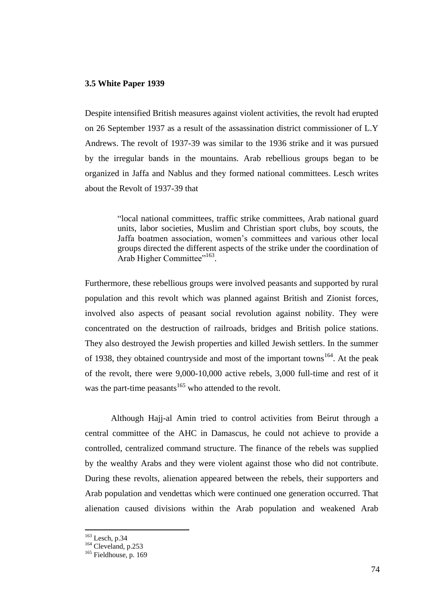#### **3.5 White Paper 1939**

Despite intensified British measures against violent activities, the revolt had erupted on 26 September 1937 as a result of the assassination district commissioner of L.Y Andrews. The revolt of 1937-39 was similar to the 1936 strike and it was pursued by the irregular bands in the mountains. Arab rebellious groups began to be organized in Jaffa and Nablus and they formed national committees. Lesch writes about the Revolt of 1937-39 that

> "local national committees, traffic strike committees, Arab national guard units, labor societies, Muslim and Christian sport clubs, boy scouts, the Jaffa boatmen association, women"s committees and various other local groups directed the different aspects of the strike under the coordination of Arab Higher Committee"<sup>163</sup>.

Furthermore, these rebellious groups were involved peasants and supported by rural population and this revolt which was planned against British and Zionist forces, involved also aspects of peasant social revolution against nobility. They were concentrated on the destruction of railroads, bridges and British police stations. They also destroyed the Jewish properties and killed Jewish settlers. In the summer of 1938, they obtained countryside and most of the important towns<sup>164</sup>. At the peak of the revolt, there were 9,000-10,000 active rebels, 3,000 full-time and rest of it was the part-time peasants<sup>165</sup> who attended to the revolt.

Although Hajj-al Amin tried to control activities from Beirut through a central committee of the AHC in Damascus, he could not achieve to provide a controlled, centralized command structure. The finance of the rebels was supplied by the wealthy Arabs and they were violent against those who did not contribute. During these revolts, alienation appeared between the rebels, their supporters and Arab population and vendettas which were continued one generation occurred. That alienation caused divisions within the Arab population and weakened Arab

<sup>163</sup> Lesch, p.34

<sup>&</sup>lt;sup>164</sup> Cleveland, p.253

<sup>&</sup>lt;sup>165</sup> Fieldhouse, p. 169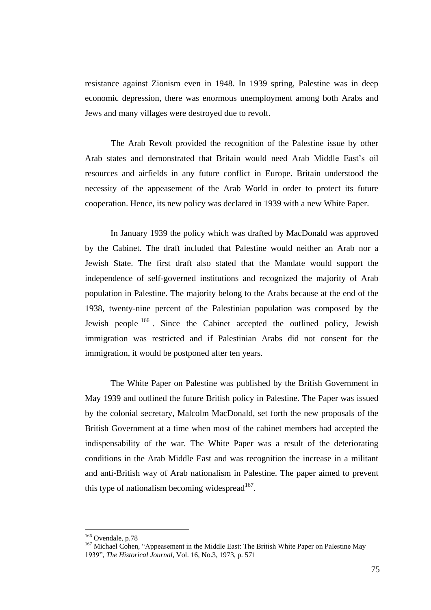resistance against Zionism even in 1948. In 1939 spring, Palestine was in deep economic depression, there was enormous unemployment among both Arabs and Jews and many villages were destroyed due to revolt.

The Arab Revolt provided the recognition of the Palestine issue by other Arab states and demonstrated that Britain would need Arab Middle East's oil resources and airfields in any future conflict in Europe. Britain understood the necessity of the appeasement of the Arab World in order to protect its future cooperation. Hence, its new policy was declared in 1939 with a new White Paper.

In January 1939 the policy which was drafted by MacDonald was approved by the Cabinet. The draft included that Palestine would neither an Arab nor a Jewish State. The first draft also stated that the Mandate would support the independence of self-governed institutions and recognized the majority of Arab population in Palestine. The majority belong to the Arabs because at the end of the 1938, twenty-nine percent of the Palestinian population was composed by the Jewish people <sup>166</sup> . Since the Cabinet accepted the outlined policy, Jewish immigration was restricted and if Palestinian Arabs did not consent for the immigration, it would be postponed after ten years.

The White Paper on Palestine was published by the British Government in May 1939 and outlined the future British policy in Palestine. The Paper was issued by the colonial secretary, Malcolm MacDonald, set forth the new proposals of the British Government at a time when most of the cabinet members had accepted the indispensability of the war. The White Paper was a result of the deteriorating conditions in the Arab Middle East and was recognition the increase in a militant and anti-British way of Arab nationalism in Palestine. The paper aimed to prevent this type of nationalism becoming widespread<sup>167</sup>.

<sup>&</sup>lt;sup>166</sup> Ovendale, p.78

<sup>&</sup>lt;sup>167</sup> Michael Cohen, "Appeasement in the Middle East: The British White Paper on Palestine May 1939"*, The Historical Journal*, Vol. 16, No.3, 1973, p. 571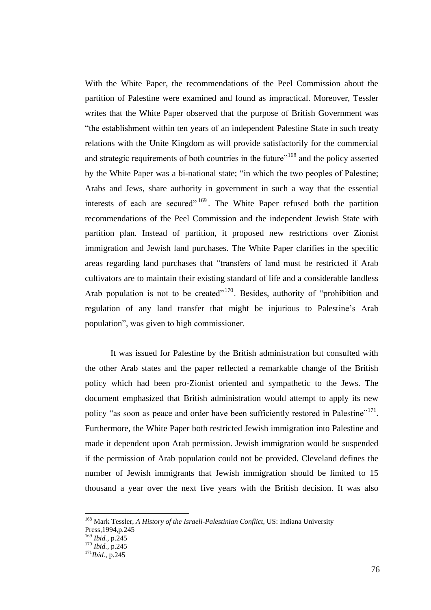With the White Paper, the recommendations of the Peel Commission about the partition of Palestine were examined and found as impractical. Moreover, Tessler writes that the White Paper observed that the purpose of British Government was "the establishment within ten years of an independent Palestine State in such treaty relations with the Unite Kingdom as will provide satisfactorily for the commercial and strategic requirements of both countries in the future<sup> $168$ </sup> and the policy asserted by the White Paper was a bi-national state; "in which the two peoples of Palestine; Arabs and Jews, share authority in government in such a way that the essential interests of each are secured"  $169$ . The White Paper refused both the partition recommendations of the Peel Commission and the independent Jewish State with partition plan. Instead of partition, it proposed new restrictions over Zionist immigration and Jewish land purchases. The White Paper clarifies in the specific areas regarding land purchases that "transfers of land must be restricted if Arab cultivators are to maintain their existing standard of life and a considerable landless Arab population is not to be created"<sup>170</sup>. Besides, authority of "prohibition and regulation of any land transfer that might be injurious to Palestine"s Arab population", was given to high commissioner.

It was issued for Palestine by the British administration but consulted with the other Arab states and the paper reflected a remarkable change of the British policy which had been pro-Zionist oriented and sympathetic to the Jews. The document emphasized that British administration would attempt to apply its new policy "as soon as peace and order have been sufficiently restored in Palestine"<sup>171</sup>. Furthermore, the White Paper both restricted Jewish immigration into Palestine and made it dependent upon Arab permission. Jewish immigration would be suspended if the permission of Arab population could not be provided. Cleveland defines the number of Jewish immigrants that Jewish immigration should be limited to 15 thousand a year over the next five years with the British decision. It was also

<sup>168</sup> Mark Tessler, *A History of the Israeli-Palestinian Conflict*, US: Indiana University

Press,1994,p.245

<sup>169</sup> *Ibid.,* p.245

<sup>170</sup> *Ibid.*, p.245

<sup>171</sup>*Ibid.*, p.245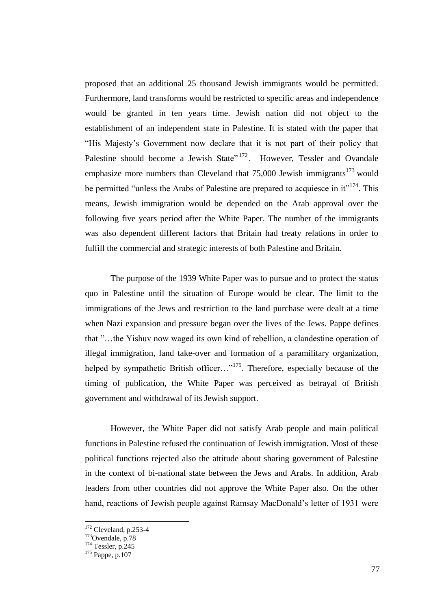proposed that an additional 25 thousand Jewish immigrants would be permitted. Furthermore, land transforms would be restricted to specific areas and independence would be granted in ten years time. Jewish nation did not object to the establishment of an independent state in Palestine. It is stated with the paper that "His Majesty"s Government now declare that it is not part of their policy that Palestine should become a Jewish State"<sup>172</sup>. However, Tessler and Ovandale emphasize more numbers than Cleveland that  $75,000$  Jewish immigrants<sup>173</sup> would be permitted "unless the Arabs of Palestine are prepared to acquiesce in  $it$ <sup>174</sup>. This means, Jewish immigration would be depended on the Arab approval over the following five years period after the White Paper. The number of the immigrants was also dependent different factors that Britain had treaty relations in order to fulfill the commercial and strategic interests of both Palestine and Britain.

The purpose of the 1939 White Paper was to pursue and to protect the status quo in Palestine until the situation of Europe would be clear. The limit to the immigrations of the Jews and restriction to the land purchase were dealt at a time when Nazi expansion and pressure began over the lives of the Jews. Pappe defines that "…the Yishuv now waged its own kind of rebellion, a clandestine operation of illegal immigration, land take-over and formation of a paramilitary organization, helped by sympathetic British officer..."<sup>175</sup>. Therefore, especially because of the timing of publication, the White Paper was perceived as betrayal of British government and withdrawal of its Jewish support.

However, the White Paper did not satisfy Arab people and main political functions in Palestine refused the continuation of Jewish immigration. Most of these political functions rejected also the attitude about sharing government of Palestine in the context of bi-national state between the Jews and Arabs. In addition, Arab leaders from other countries did not approve the White Paper also. On the other hand, reactions of Jewish people against Ramsay MacDonald"s letter of 1931 were

 $172$  Cleveland, p.253-4

<sup>&</sup>lt;sup>173</sup>Ovendale, p.78

 $174$  Tessler, p.245

<sup>175</sup> Pappe, p.107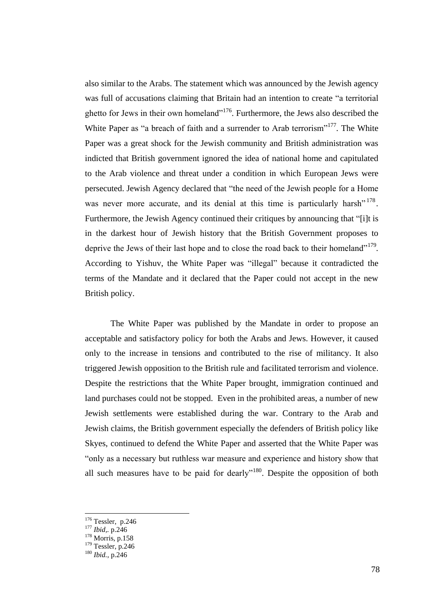also similar to the Arabs. The statement which was announced by the Jewish agency was full of accusations claiming that Britain had an intention to create "a territorial ghetto for Jews in their own homeland"<sup>176</sup>. Furthermore, the Jews also described the White Paper as "a breach of faith and a surrender to Arab terrorism"<sup>177</sup>. The White Paper was a great shock for the Jewish community and British administration was indicted that British government ignored the idea of national home and capitulated to the Arab violence and threat under a condition in which European Jews were persecuted. Jewish Agency declared that "the need of the Jewish people for a Home was never more accurate, and its denial at this time is particularly harsh"<sup>178</sup>. Furthermore, the Jewish Agency continued their critiques by announcing that "[i]t is in the darkest hour of Jewish history that the British Government proposes to deprive the Jews of their last hope and to close the road back to their homeland"<sup>179</sup>. According to Yishuv, the White Paper was "illegal" because it contradicted the terms of the Mandate and it declared that the Paper could not accept in the new British policy.

The White Paper was published by the Mandate in order to propose an acceptable and satisfactory policy for both the Arabs and Jews. However, it caused only to the increase in tensions and contributed to the rise of militancy. It also triggered Jewish opposition to the British rule and facilitated terrorism and violence. Despite the restrictions that the White Paper brought, immigration continued and land purchases could not be stopped. Even in the prohibited areas, a number of new Jewish settlements were established during the war. Contrary to the Arab and Jewish claims, the British government especially the defenders of British policy like Skyes, continued to defend the White Paper and asserted that the White Paper was "only as a necessary but ruthless war measure and experience and history show that all such measures have to be paid for dearly"<sup>180</sup>. Despite the opposition of both

 $176$  Tessler, p.246

<sup>177</sup> *Ibid,.* p.246

<sup>178</sup> Morris, p.158

<sup>179</sup> Tessler, p.246

<sup>180</sup> *Ibid.*, p.246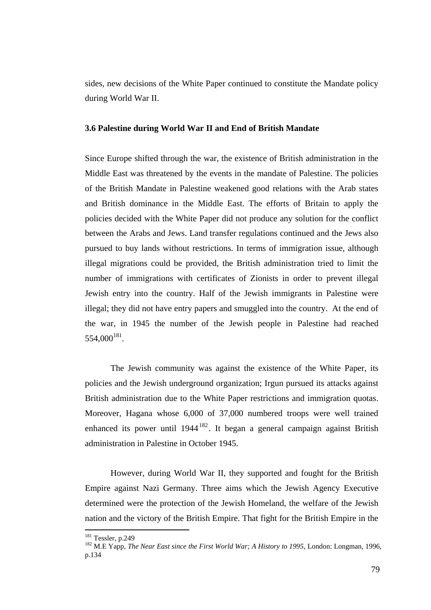sides, new decisions of the White Paper continued to constitute the Mandate policy during World War II.

#### **3.6 Palestine during World War II and End of British Mandate**

Since Europe shifted through the war, the existence of British administration in the Middle East was threatened by the events in the mandate of Palestine. The policies of the British Mandate in Palestine weakened good relations with the Arab states and British dominance in the Middle East. The efforts of Britain to apply the policies decided with the White Paper did not produce any solution for the conflict between the Arabs and Jews. Land transfer regulations continued and the Jews also pursued to buy lands without restrictions. In terms of immigration issue, although illegal migrations could be provided, the British administration tried to limit the number of immigrations with certificates of Zionists in order to prevent illegal Jewish entry into the country. Half of the Jewish immigrants in Palestine were illegal; they did not have entry papers and smuggled into the country. At the end of the war, in 1945 the number of the Jewish people in Palestine had reached 554,000<sup>181</sup>.

The Jewish community was against the existence of the White Paper, its policies and the Jewish underground organization; Irgun pursued its attacks against British administration due to the White Paper restrictions and immigration quotas. Moreover, Hagana whose 6,000 of 37,000 numbered troops were well trained enhanced its power until  $1944^{182}$ . It began a general campaign against British administration in Palestine in October 1945.

However, during World War II, they supported and fought for the British Empire against Nazi Germany. Three aims which the Jewish Agency Executive determined were the protection of the Jewish Homeland, the welfare of the Jewish nation and the victory of the British Empire. That fight for the British Empire in the

<sup>181</sup> Tessler, p.249

<sup>&</sup>lt;sup>182</sup> M.E Yapp, *The Near East since the First World War; A History to 1995*, London: Longman, 1996, p.134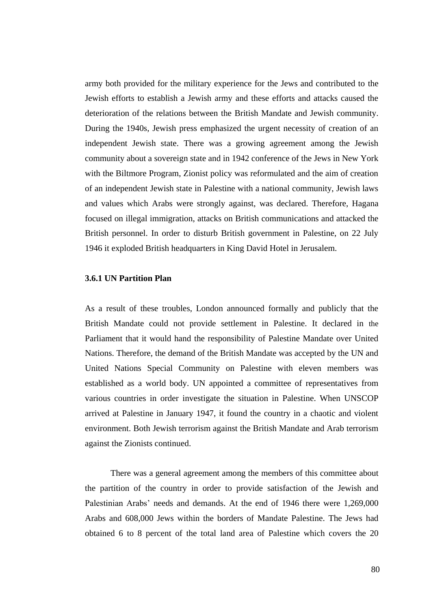army both provided for the military experience for the Jews and contributed to the Jewish efforts to establish a Jewish army and these efforts and attacks caused the deterioration of the relations between the British Mandate and Jewish community. During the 1940s, Jewish press emphasized the urgent necessity of creation of an independent Jewish state. There was a growing agreement among the Jewish community about a sovereign state and in 1942 conference of the Jews in New York with the Biltmore Program, Zionist policy was reformulated and the aim of creation of an independent Jewish state in Palestine with a national community, Jewish laws and values which Arabs were strongly against, was declared. Therefore, Hagana focused on illegal immigration, attacks on British communications and attacked the British personnel. In order to disturb British government in Palestine, on 22 July 1946 it exploded British headquarters in King David Hotel in Jerusalem.

#### **3.6.1 UN Partition Plan**

As a result of these troubles, London announced formally and publicly that the British Mandate could not provide settlement in Palestine. It declared in the Parliament that it would hand the responsibility of Palestine Mandate over United Nations. Therefore, the demand of the British Mandate was accepted by the UN and United Nations Special Community on Palestine with eleven members was established as a world body. UN appointed a committee of representatives from various countries in order investigate the situation in Palestine. When UNSCOP arrived at Palestine in January 1947, it found the country in a chaotic and violent environment. Both Jewish terrorism against the British Mandate and Arab terrorism against the Zionists continued.

There was a general agreement among the members of this committee about the partition of the country in order to provide satisfaction of the Jewish and Palestinian Arabs" needs and demands. At the end of 1946 there were 1,269,000 Arabs and 608,000 Jews within the borders of Mandate Palestine. The Jews had obtained 6 to 8 percent of the total land area of Palestine which covers the 20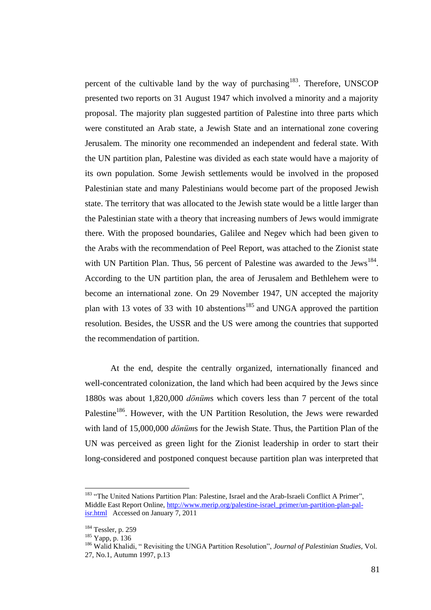percent of the cultivable land by the way of purchasing<sup>183</sup>. Therefore, UNSCOP presented two reports on 31 August 1947 which involved a minority and a majority proposal. The majority plan suggested partition of Palestine into three parts which were constituted an Arab state, a Jewish State and an international zone covering Jerusalem. The minority one recommended an independent and federal state. With the UN partition plan, Palestine was divided as each state would have a majority of its own population. Some Jewish settlements would be involved in the proposed Palestinian state and many Palestinians would become part of the proposed Jewish state. The territory that was allocated to the Jewish state would be a little larger than the Palestinian state with a theory that increasing numbers of Jews would immigrate there. With the proposed boundaries, Galilee and Negev which had been given to the Arabs with the recommendation of Peel Report, was attached to the Zionist state with UN Partition Plan. Thus, 56 percent of Palestine was awarded to the Jews<sup>184</sup>. According to the UN partition plan, the area of Jerusalem and Bethlehem were to become an international zone. On 29 November 1947, UN accepted the majority plan with 13 votes of 33 with 10 abstentions<sup>185</sup> and UNGA approved the partition resolution. Besides, the USSR and the US were among the countries that supported the recommendation of partition.

At the end, despite the centrally organized, internationally financed and well-concentrated colonization, the land which had been acquired by the Jews since 1880s was about 1,820,000 *dönüm*s which covers less than 7 percent of the total Palestine<sup>186</sup>. However, with the UN Partition Resolution, the Jews were rewarded with land of 15,000,000 *dönüm*s for the Jewish State. Thus, the Partition Plan of the UN was perceived as green light for the Zionist leadership in order to start their long-considered and postponed conquest because partition plan was interpreted that

<sup>&</sup>lt;sup>183</sup> "The United Nations Partition Plan: Palestine, Israel and the Arab-Israeli Conflict A Primer", Middle East Report Online, [http://www.merip.org/palestine-israel\\_primer/un-partition-plan-pal](http://www.merip.org/palestine-israel_primer/un-partition-plan-pal-isr.html)[isr.html](http://www.merip.org/palestine-israel_primer/un-partition-plan-pal-isr.html) Accessed on January 7, 2011

<sup>184</sup> Tessler, p. 259

<sup>185</sup> Yapp, p. 136

<sup>186</sup> Walid Khalidi, " Revisiting the UNGA Partition Resolution", *Journal of Palestinian Studies*, Vol. 27, No.1, Autumn 1997, p.13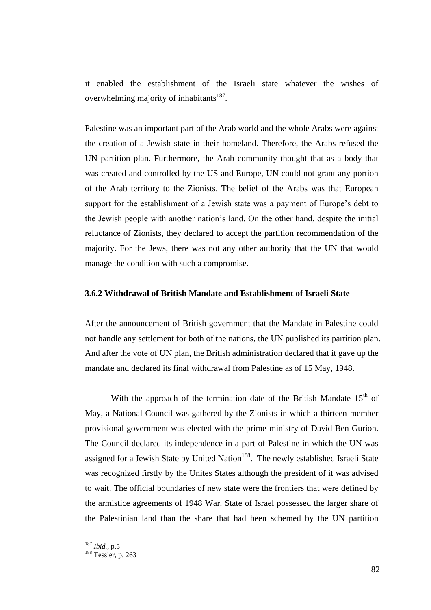it enabled the establishment of the Israeli state whatever the wishes of overwhelming majority of inhabitants<sup>187</sup>.

Palestine was an important part of the Arab world and the whole Arabs were against the creation of a Jewish state in their homeland. Therefore, the Arabs refused the UN partition plan. Furthermore, the Arab community thought that as a body that was created and controlled by the US and Europe, UN could not grant any portion of the Arab territory to the Zionists. The belief of the Arabs was that European support for the establishment of a Jewish state was a payment of Europe's debt to the Jewish people with another nation"s land. On the other hand, despite the initial reluctance of Zionists, they declared to accept the partition recommendation of the majority. For the Jews, there was not any other authority that the UN that would manage the condition with such a compromise.

# **3.6.2 Withdrawal of British Mandate and Establishment of Israeli State**

After the announcement of British government that the Mandate in Palestine could not handle any settlement for both of the nations, the UN published its partition plan. And after the vote of UN plan, the British administration declared that it gave up the mandate and declared its final withdrawal from Palestine as of 15 May, 1948.

With the approach of the termination date of the British Mandate  $15<sup>th</sup>$  of May, a National Council was gathered by the Zionists in which a thirteen-member provisional government was elected with the prime-ministry of David Ben Gurion. The Council declared its independence in a part of Palestine in which the UN was assigned for a Jewish State by United Nation<sup>188</sup>. The newly established Israeli State was recognized firstly by the Unites States although the president of it was advised to wait. The official boundaries of new state were the frontiers that were defined by the armistice agreements of 1948 War. State of Israel possessed the larger share of the Palestinian land than the share that had been schemed by the UN partition

<sup>187</sup> *Ibid.*, p.5

<sup>188</sup> Tessler, p. 263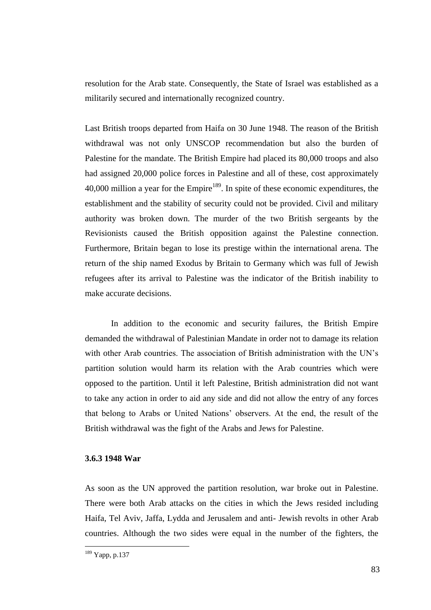resolution for the Arab state. Consequently, the State of Israel was established as a militarily secured and internationally recognized country.

Last British troops departed from Haifa on 30 June 1948. The reason of the British withdrawal was not only UNSCOP recommendation but also the burden of Palestine for the mandate. The British Empire had placed its 80,000 troops and also had assigned 20,000 police forces in Palestine and all of these, cost approximately  $40,000$  million a year for the Empire<sup>189</sup>. In spite of these economic expenditures, the establishment and the stability of security could not be provided. Civil and military authority was broken down. The murder of the two British sergeants by the Revisionists caused the British opposition against the Palestine connection. Furthermore, Britain began to lose its prestige within the international arena. The return of the ship named Exodus by Britain to Germany which was full of Jewish refugees after its arrival to Palestine was the indicator of the British inability to make accurate decisions.

In addition to the economic and security failures, the British Empire demanded the withdrawal of Palestinian Mandate in order not to damage its relation with other Arab countries. The association of British administration with the UN's partition solution would harm its relation with the Arab countries which were opposed to the partition. Until it left Palestine, British administration did not want to take any action in order to aid any side and did not allow the entry of any forces that belong to Arabs or United Nations" observers. At the end, the result of the British withdrawal was the fight of the Arabs and Jews for Palestine.

# **3.6.3 1948 War**

As soon as the UN approved the partition resolution, war broke out in Palestine. There were both Arab attacks on the cities in which the Jews resided including Haifa, Tel Aviv, Jaffa, Lydda and Jerusalem and anti- Jewish revolts in other Arab countries. Although the two sides were equal in the number of the fighters, the

<sup>189</sup> Yapp, p.137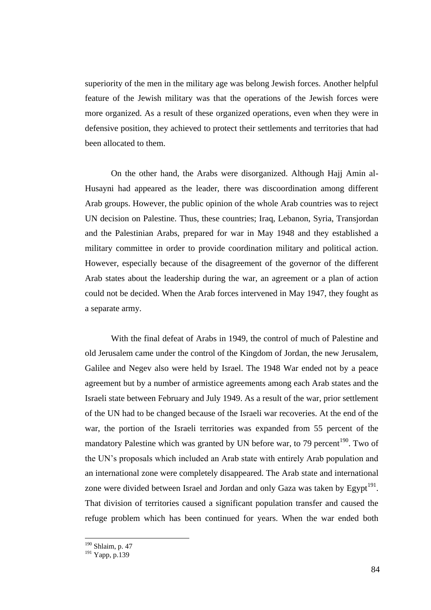superiority of the men in the military age was belong Jewish forces. Another helpful feature of the Jewish military was that the operations of the Jewish forces were more organized. As a result of these organized operations, even when they were in defensive position, they achieved to protect their settlements and territories that had been allocated to them.

On the other hand, the Arabs were disorganized. Although Hajj Amin al-Husayni had appeared as the leader, there was discoordination among different Arab groups. However, the public opinion of the whole Arab countries was to reject UN decision on Palestine. Thus, these countries; Iraq, Lebanon, Syria, Transjordan and the Palestinian Arabs, prepared for war in May 1948 and they established a military committee in order to provide coordination military and political action. However, especially because of the disagreement of the governor of the different Arab states about the leadership during the war, an agreement or a plan of action could not be decided. When the Arab forces intervened in May 1947, they fought as a separate army.

With the final defeat of Arabs in 1949, the control of much of Palestine and old Jerusalem came under the control of the Kingdom of Jordan, the new Jerusalem, Galilee and Negev also were held by Israel. The 1948 War ended not by a peace agreement but by a number of armistice agreements among each Arab states and the Israeli state between February and July 1949. As a result of the war, prior settlement of the UN had to be changed because of the Israeli war recoveries. At the end of the war, the portion of the Israeli territories was expanded from 55 percent of the mandatory Palestine which was granted by UN before war, to 79 percent<sup>190</sup>. Two of the UN"s proposals which included an Arab state with entirely Arab population and an international zone were completely disappeared. The Arab state and international zone were divided between Israel and Jordan and only Gaza was taken by Egypt<sup>191</sup>. That division of territories caused a significant population transfer and caused the refuge problem which has been continued for years. When the war ended both

<sup>&</sup>lt;sup>190</sup> Shlaim, p. 47

<sup>&</sup>lt;sup>191</sup> Yapp, p.139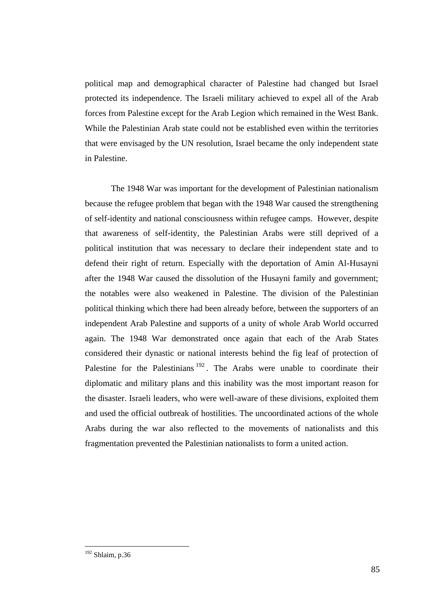political map and demographical character of Palestine had changed but Israel protected its independence. The Israeli military achieved to expel all of the Arab forces from Palestine except for the Arab Legion which remained in the West Bank. While the Palestinian Arab state could not be established even within the territories that were envisaged by the UN resolution, Israel became the only independent state in Palestine.

The 1948 War was important for the development of Palestinian nationalism because the refugee problem that began with the 1948 War caused the strengthening of self-identity and national consciousness within refugee camps. However, despite that awareness of self-identity, the Palestinian Arabs were still deprived of a political institution that was necessary to declare their independent state and to defend their right of return. Especially with the deportation of Amin Al-Husayni after the 1948 War caused the dissolution of the Husayni family and government; the notables were also weakened in Palestine. The division of the Palestinian political thinking which there had been already before, between the supporters of an independent Arab Palestine and supports of a unity of whole Arab World occurred again. The 1948 War demonstrated once again that each of the Arab States considered their dynastic or national interests behind the fig leaf of protection of Palestine for the Palestinians  $192$ . The Arabs were unable to coordinate their diplomatic and military plans and this inability was the most important reason for the disaster. Israeli leaders, who were well-aware of these divisions, exploited them and used the official outbreak of hostilities. The uncoordinated actions of the whole Arabs during the war also reflected to the movements of nationalists and this fragmentation prevented the Palestinian nationalists to form a united action.

 $192$  Shlaim, p.36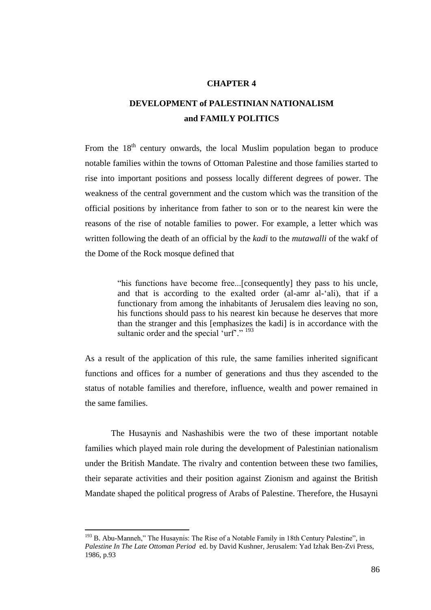## **CHAPTER 4**

# **DEVELOPMENT of PALESTINIAN NATIONALISM and FAMILY POLITICS**

From the  $18<sup>th</sup>$  century onwards, the local Muslim population began to produce notable families within the towns of Ottoman Palestine and those families started to rise into important positions and possess locally different degrees of power. The weakness of the central government and the custom which was the transition of the official positions by inheritance from father to son or to the nearest kin were the reasons of the rise of notable families to power. For example, a letter which was written following the death of an official by the *kadi* to the *mutawalli* of the wakf of the Dome of the Rock mosque defined that

> "his functions have become free...[consequently] they pass to his uncle, and that is according to the exalted order (al-amr al-"ali), that if a functionary from among the inhabitants of Jerusalem dies leaving no son, his functions should pass to his nearest kin because he deserves that more than the stranger and this [emphasizes the kadi] is in accordance with the sultanic order and the special 'urf'."  $193$

As a result of the application of this rule, the same families inherited significant functions and offices for a number of generations and thus they ascended to the status of notable families and therefore, influence, wealth and power remained in the same families.

The Husaynis and Nashashibis were the two of these important notable families which played main role during the development of Palestinian nationalism under the British Mandate. The rivalry and contention between these two families, their separate activities and their position against Zionism and against the British Mandate shaped the political progress of Arabs of Palestine. Therefore, the Husayni

 $193$  B. Abu-Manneh," The Husaynis: The Rise of a Notable Family in 18th Century Palestine", in *Palestine In The Late Ottoman Period* ed. by David Kushner, Jerusalem: Yad Izhak Ben-Zvi Press, 1986, p.93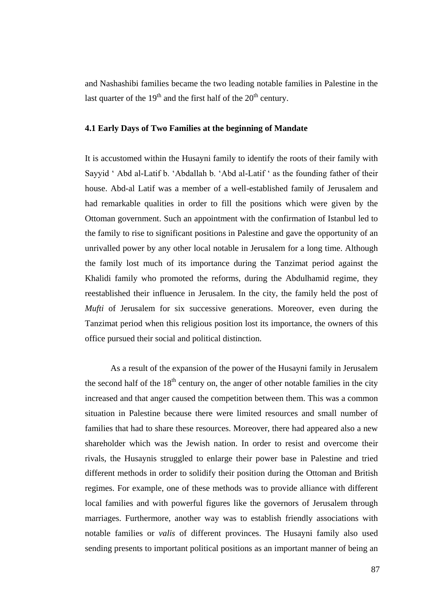and Nashashibi families became the two leading notable families in Palestine in the last quarter of the  $19<sup>th</sup>$  and the first half of the  $20<sup>th</sup>$  century.

#### **4.1 Early Days of Two Families at the beginning of Mandate**

It is accustomed within the Husayni family to identify the roots of their family with Sayyid " Abd al-Latif b. "Abdallah b. "Abd al-Latif " as the founding father of their house. Abd-al Latif was a member of a well-established family of Jerusalem and had remarkable qualities in order to fill the positions which were given by the Ottoman government. Such an appointment with the confirmation of Istanbul led to the family to rise to significant positions in Palestine and gave the opportunity of an unrivalled power by any other local notable in Jerusalem for a long time. Although the family lost much of its importance during the Tanzimat period against the Khalidi family who promoted the reforms, during the Abdulhamid regime, they reestablished their influence in Jerusalem. In the city, the family held the post of *Mufti* of Jerusalem for six successive generations. Moreover, even during the Tanzimat period when this religious position lost its importance, the owners of this office pursued their social and political distinction.

As a result of the expansion of the power of the Husayni family in Jerusalem the second half of the  $18<sup>th</sup>$  century on, the anger of other notable families in the city increased and that anger caused the competition between them. This was a common situation in Palestine because there were limited resources and small number of families that had to share these resources. Moreover, there had appeared also a new shareholder which was the Jewish nation. In order to resist and overcome their rivals, the Husaynis struggled to enlarge their power base in Palestine and tried different methods in order to solidify their position during the Ottoman and British regimes. For example, one of these methods was to provide alliance with different local families and with powerful figures like the governors of Jerusalem through marriages. Furthermore, another way was to establish friendly associations with notable families or *valis* of different provinces. The Husayni family also used sending presents to important political positions as an important manner of being an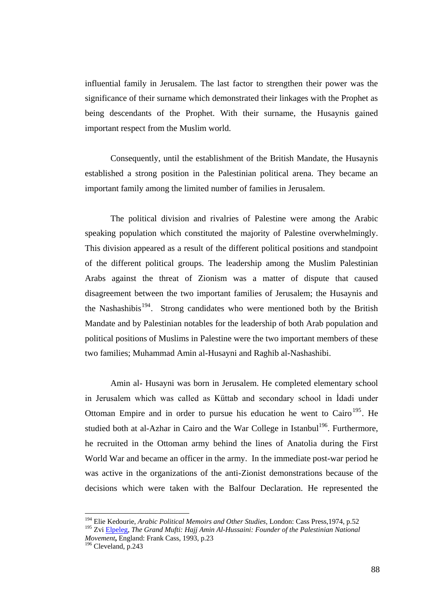influential family in Jerusalem. The last factor to strengthen their power was the significance of their surname which demonstrated their linkages with the Prophet as being descendants of the Prophet. With their surname, the Husaynis gained important respect from the Muslim world.

Consequently, until the establishment of the British Mandate, the Husaynis established a strong position in the Palestinian political arena. They became an important family among the limited number of families in Jerusalem.

The political division and rivalries of Palestine were among the Arabic speaking population which constituted the majority of Palestine overwhelmingly. This division appeared as a result of the different political positions and standpoint of the different political groups. The leadership among the Muslim Palestinian Arabs against the threat of Zionism was a matter of dispute that caused disagreement between the two important families of Jerusalem; the Husaynis and the Nashashibis<sup>194</sup>. Strong candidates who were mentioned both by the British Mandate and by Palestinian notables for the leadership of both Arab population and political positions of Muslims in Palestine were the two important members of these two families; Muhammad Amin al-Husayni and Raghib al-Nashashibi.

Amin al- Husayni was born in Jerusalem. He completed elementary school in Jerusalem which was called as Küttab and secondary school in Idadi under Ottoman Empire and in order to pursue his education he went to  $\text{Cairo}^{195}$ . He studied both at al-Azhar in Cairo and the War College in Istanbul<sup>196</sup>. Furthermore, he recruited in the Ottoman army behind the lines of Anatolia during the First World War and became an officer in the army. In the immediate post-war period he was active in the organizations of the anti-Zionist demonstrations because of the decisions which were taken with the Balfour Declaration. He represented the

<sup>194</sup> Elie Kedourie, *Arabic Political Memoirs and Other Studies*, London: Cass Press,1974, p.52

<sup>&</sup>lt;sup>195</sup> Zvi [Elpeleg,](http://library.metu.edu.tr/search/aElpeleg%2C+Zvi./aelpeleg+zvi/-3,-1,0,B/browse) The Grand Mufti: Hajj Amin Al-Hussaini: Founder of the Palestinian National *Movement***,** England: Frank Cass, 1993, p.23

<sup>196</sup> Cleveland, p.243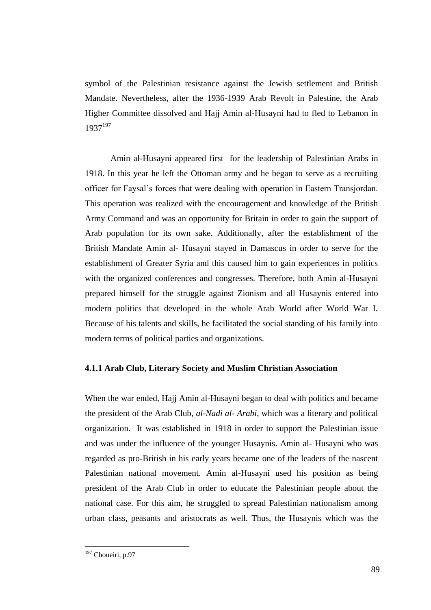symbol of the Palestinian resistance against the Jewish settlement and British Mandate. Nevertheless, after the 1936-1939 Arab Revolt in Palestine, the Arab Higher Committee dissolved and Hajj Amin al-Husayni had to fled to Lebanon in 1937<sup>197</sup>

Amin al-Husayni appeared first for the leadership of Palestinian Arabs in 1918. In this year he left the Ottoman army and he began to serve as a recruiting officer for Faysal"s forces that were dealing with operation in Eastern Transjordan. This operation was realized with the encouragement and knowledge of the British Army Command and was an opportunity for Britain in order to gain the support of Arab population for its own sake. Additionally, after the establishment of the British Mandate Amin al- Husayni stayed in Damascus in order to serve for the establishment of Greater Syria and this caused him to gain experiences in politics with the organized conferences and congresses. Therefore, both Amin al-Husayni prepared himself for the struggle against Zionism and all Husaynis entered into modern politics that developed in the whole Arab World after World War I. Because of his talents and skills, he facilitated the social standing of his family into modern terms of political parties and organizations.

# **4.1.1 Arab Club, Literary Society and Muslim Christian Association**

When the war ended, Hajj Amin al-Husayni began to deal with politics and became the president of the Arab Club, *al-Nadi al- Arabi*, which was a literary and political organization. It was established in 1918 in order to support the Palestinian issue and was under the influence of the younger Husaynis. Amin al- Husayni who was regarded as pro-British in his early years became one of the leaders of the nascent Palestinian national movement. Amin al-Husayni used his position as being president of the Arab Club in order to educate the Palestinian people about the national case. For this aim, he struggled to spread Palestinian nationalism among urban class, peasants and aristocrats as well. Thus, the Husaynis which was the

<sup>&</sup>lt;sup>197</sup> Choueiri, p.97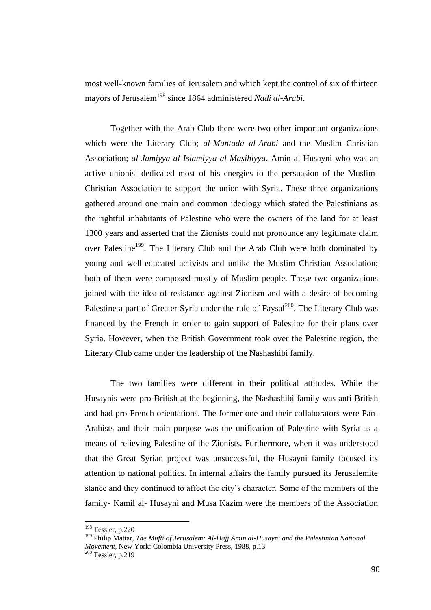most well-known families of Jerusalem and which kept the control of six of thirteen mayors of Jerusalem<sup>198</sup> since 1864 administered *Nadi al-Arabi*.

Together with the Arab Club there were two other important organizations which were the Literary Club; *al-Muntada al-Arabi* and the Muslim Christian Association; *al-Jamiyya al Islamiyya al-Masihiyya*. Amin al-Husayni who was an active unionist dedicated most of his energies to the persuasion of the Muslim-Christian Association to support the union with Syria. These three organizations gathered around one main and common ideology which stated the Palestinians as the rightful inhabitants of Palestine who were the owners of the land for at least 1300 years and asserted that the Zionists could not pronounce any legitimate claim over Palestine<sup>199</sup>. The Literary Club and the Arab Club were both dominated by young and well-educated activists and unlike the Muslim Christian Association; both of them were composed mostly of Muslim people. These two organizations joined with the idea of resistance against Zionism and with a desire of becoming Palestine a part of Greater Syria under the rule of Faysal<sup>200</sup>. The Literary Club was financed by the French in order to gain support of Palestine for their plans over Syria. However, when the British Government took over the Palestine region, the Literary Club came under the leadership of the Nashashibi family.

The two families were different in their political attitudes. While the Husaynis were pro-British at the beginning, the Nashashibi family was anti-British and had pro-French orientations. The former one and their collaborators were Pan-Arabists and their main purpose was the unification of Palestine with Syria as a means of relieving Palestine of the Zionists. Furthermore, when it was understood that the Great Syrian project was unsuccessful, the Husayni family focused its attention to national politics. In internal affairs the family pursued its Jerusalemite stance and they continued to affect the city"s character. Some of the members of the family- Kamil al- Husayni and Musa Kazim were the members of the Association

<sup>198</sup> Tessler, p.220

<sup>199</sup> Philip Mattar, *The Mufti of Jerusalem: Al-Hajj Amin al-Husayni and the Palestinian National Movement,* New York: Colombia University Press, 1988, p.13

<sup>200</sup> Tessler, p.219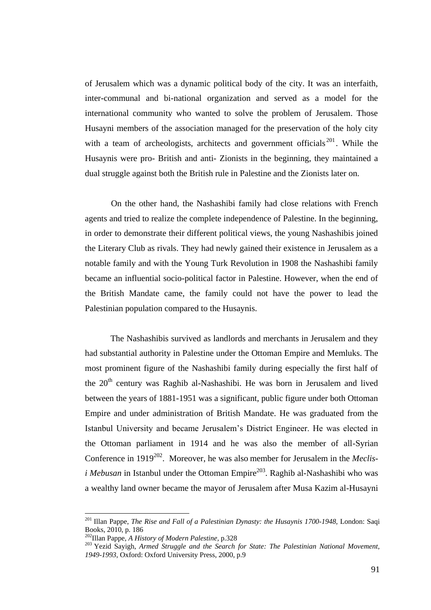of Jerusalem which was a dynamic political body of the city. It was an interfaith, inter-communal and bi-national organization and served as a model for the international community who wanted to solve the problem of Jerusalem. Those Husayni members of the association managed for the preservation of the holy city with a team of archeologists, architects and government officials  $201$ . While the Husaynis were pro- British and anti- Zionists in the beginning, they maintained a dual struggle against both the British rule in Palestine and the Zionists later on.

On the other hand, the Nashashibi family had close relations with French agents and tried to realize the complete independence of Palestine. In the beginning, in order to demonstrate their different political views, the young Nashashibis joined the Literary Club as rivals. They had newly gained their existence in Jerusalem as a notable family and with the Young Turk Revolution in 1908 the Nashashibi family became an influential socio-political factor in Palestine. However, when the end of the British Mandate came, the family could not have the power to lead the Palestinian population compared to the Husaynis.

The Nashashibis survived as landlords and merchants in Jerusalem and they had substantial authority in Palestine under the Ottoman Empire and Memluks. The most prominent figure of the Nashashibi family during especially the first half of the  $20<sup>th</sup>$  century was Raghib al-Nashashibi. He was born in Jerusalem and lived between the years of 1881-1951 was a significant, public figure under both Ottoman Empire and under administration of British Mandate. He was graduated from the Istanbul University and became Jerusalem"s District Engineer. He was elected in the Ottoman parliament in 1914 and he was also the member of all-Syrian Conference in 1919<sup>202</sup>. Moreover, he was also member for Jerusalem in the *Meclisi Mebusan* in Istanbul under the Ottoman Empire<sup>203</sup>. Raghib al-Nashashibi who was a wealthy land owner became the mayor of Jerusalem after Musa Kazim al-Husayni

<sup>&</sup>lt;sup>201</sup> Illan Pappe, *The Rise and Fall of a Palestinian Dynasty: the Husaynis 1700-1948*, London: Saqi Books, 2010, p. 186

<sup>202</sup>Illan Pappe, *A History of Modern Palestine,* p.328

<sup>203</sup> Yezid Sayigh, *Armed Struggle and the Search for State: The Palestinian National Movement, 1949-1993*, Oxford: Oxford University Press, 2000, p.9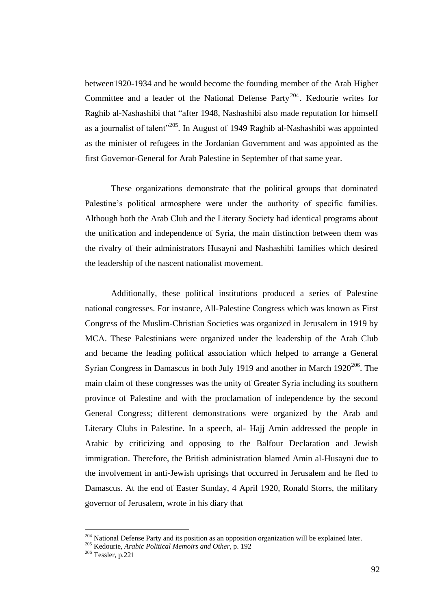between1920-1934 and he would become the founding member of the Arab Higher Committee and a leader of the National Defense Party<sup>204</sup>. Kedourie writes for Raghib al-Nashashibi that "after 1948, Nashashibi also made reputation for himself as a journalist of talent"<sup>205</sup>. In August of 1949 Raghib al-Nashashibi was appointed as the minister of refugees in the Jordanian Government and was appointed as the first Governor-General for Arab Palestine in September of that same year.

These organizations demonstrate that the political groups that dominated Palestine's political atmosphere were under the authority of specific families. Although both the Arab Club and the Literary Society had identical programs about the unification and independence of Syria, the main distinction between them was the rivalry of their administrators Husayni and Nashashibi families which desired the leadership of the nascent nationalist movement.

Additionally, these political institutions produced a series of Palestine national congresses. For instance, All-Palestine Congress which was known as First Congress of the Muslim-Christian Societies was organized in Jerusalem in 1919 by MCA. These Palestinians were organized under the leadership of the Arab Club and became the leading political association which helped to arrange a General Syrian Congress in Damascus in both July 1919 and another in March  $1920^{206}$ . The main claim of these congresses was the unity of Greater Syria including its southern province of Palestine and with the proclamation of independence by the second General Congress; different demonstrations were organized by the Arab and Literary Clubs in Palestine. In a speech, al- Hajj Amin addressed the people in Arabic by criticizing and opposing to the Balfour Declaration and Jewish immigration. Therefore, the British administration blamed Amin al-Husayni due to the involvement in anti-Jewish uprisings that occurred in Jerusalem and he fled to Damascus. At the end of Easter Sunday, 4 April 1920, Ronald Storrs, the military governor of Jerusalem, wrote in his diary that

<sup>&</sup>lt;sup>204</sup> National Defense Party and its position as an opposition organization will be explained later.

<sup>205</sup> Kedourie, *Arabic Political Memoirs and Other*, p. 192

<sup>206</sup> Tessler, p.221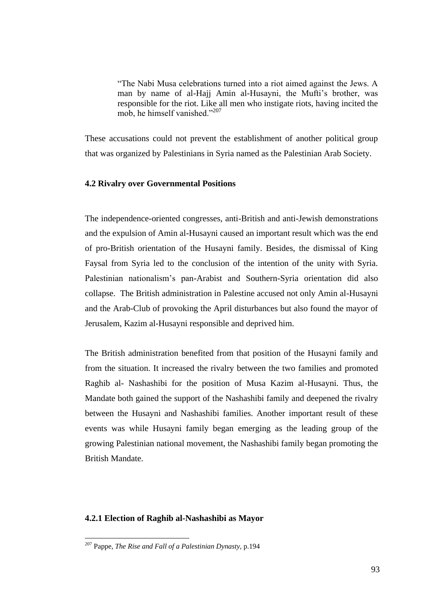"The Nabi Musa celebrations turned into a riot aimed against the Jews. A man by name of al-Hajj Amin al-Husayni, the Mufti's brother, was responsible for the riot. Like all men who instigate riots, having incited the mob, he himself vanished."<sup>207</sup>

These accusations could not prevent the establishment of another political group that was organized by Palestinians in Syria named as the Palestinian Arab Society.

#### **4.2 Rivalry over Governmental Positions**

The independence-oriented congresses, anti-British and anti-Jewish demonstrations and the expulsion of Amin al-Husayni caused an important result which was the end of pro-British orientation of the Husayni family. Besides, the dismissal of King Faysal from Syria led to the conclusion of the intention of the unity with Syria. Palestinian nationalism"s pan-Arabist and Southern-Syria orientation did also collapse. The British administration in Palestine accused not only Amin al-Husayni and the Arab-Club of provoking the April disturbances but also found the mayor of Jerusalem, Kazim al-Husayni responsible and deprived him.

The British administration benefited from that position of the Husayni family and from the situation. It increased the rivalry between the two families and promoted Raghib al- Nashashibi for the position of Musa Kazim al-Husayni. Thus, the Mandate both gained the support of the Nashashibi family and deepened the rivalry between the Husayni and Nashashibi families. Another important result of these events was while Husayni family began emerging as the leading group of the growing Palestinian national movement, the Nashashibi family began promoting the British Mandate.

#### **4.2.1 Election of Raghib al-Nashashibi as Mayor**

<sup>207</sup> Pappe, *The Rise and Fall of a Palestinian Dynasty,* p.194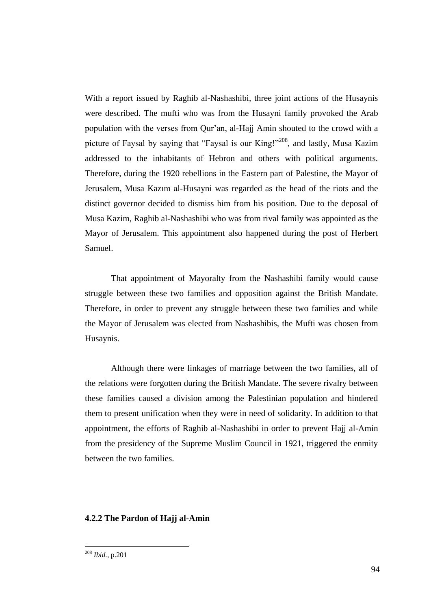With a report issued by Raghib al-Nashashibi, three joint actions of the Husaynis were described. The mufti who was from the Husayni family provoked the Arab population with the verses from Qur"an, al-Hajj Amin shouted to the crowd with a picture of Faysal by saying that "Faysal is our King!"<sup>208</sup>, and lastly, Musa Kazim addressed to the inhabitants of Hebron and others with political arguments. Therefore, during the 1920 rebellions in the Eastern part of Palestine, the Mayor of Jerusalem, Musa Kazım al-Husayni was regarded as the head of the riots and the distinct governor decided to dismiss him from his position. Due to the deposal of Musa Kazim, Raghib al-Nashashibi who was from rival family was appointed as the Mayor of Jerusalem. This appointment also happened during the post of Herbert Samuel.

That appointment of Mayoralty from the Nashashibi family would cause struggle between these two families and opposition against the British Mandate. Therefore, in order to prevent any struggle between these two families and while the Mayor of Jerusalem was elected from Nashashibis, the Mufti was chosen from Husaynis.

Although there were linkages of marriage between the two families, all of the relations were forgotten during the British Mandate. The severe rivalry between these families caused a division among the Palestinian population and hindered them to present unification when they were in need of solidarity. In addition to that appointment, the efforts of Raghib al-Nashashibi in order to prevent Hajj al-Amin from the presidency of the Supreme Muslim Council in 1921, triggered the enmity between the two families.

#### **4.2.2 The Pardon of Hajj al-Amin**

<sup>208</sup> *Ibid.*, p.201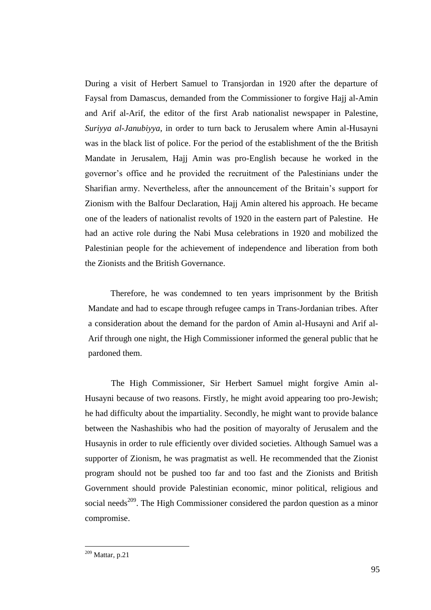During a visit of Herbert Samuel to Transjordan in 1920 after the departure of Faysal from Damascus, demanded from the Commissioner to forgive Hajj al-Amin and Arif al-Arif, the editor of the first Arab nationalist newspaper in Palestine, *Suriyya al-Janubiyya*, in order to turn back to Jerusalem where Amin al-Husayni was in the black list of police. For the period of the establishment of the the British Mandate in Jerusalem, Hajj Amin was pro-English because he worked in the governor"s office and he provided the recruitment of the Palestinians under the Sharifian army. Nevertheless, after the announcement of the Britain"s support for Zionism with the Balfour Declaration, Hajj Amin altered his approach. He became one of the leaders of nationalist revolts of 1920 in the eastern part of Palestine. He had an active role during the Nabi Musa celebrations in 1920 and mobilized the Palestinian people for the achievement of independence and liberation from both the Zionists and the British Governance.

Therefore, he was condemned to ten years imprisonment by the British Mandate and had to escape through refugee camps in Trans-Jordanian tribes. After a consideration about the demand for the pardon of Amin al-Husayni and Arif al-Arif through one night, the High Commissioner informed the general public that he pardoned them.

The High Commissioner, Sir Herbert Samuel might forgive Amin al-Husayni because of two reasons. Firstly, he might avoid appearing too pro-Jewish; he had difficulty about the impartiality. Secondly, he might want to provide balance between the Nashashibis who had the position of mayoralty of Jerusalem and the Husaynis in order to rule efficiently over divided societies. Although Samuel was a supporter of Zionism, he was pragmatist as well. He recommended that the Zionist program should not be pushed too far and too fast and the Zionists and British Government should provide Palestinian economic, minor political, religious and social needs<sup>209</sup>. The High Commissioner considered the pardon question as a minor compromise.

 $209$  Mattar, p.21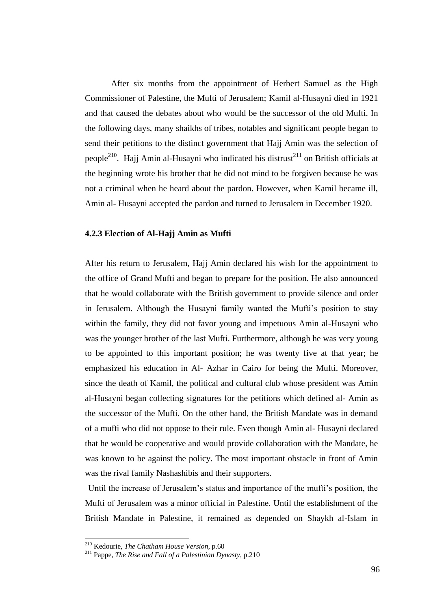After six months from the appointment of Herbert Samuel as the High Commissioner of Palestine, the Mufti of Jerusalem; Kamil al-Husayni died in 1921 and that caused the debates about who would be the successor of the old Mufti. In the following days, many shaikhs of tribes, notables and significant people began to send their petitions to the distinct government that Hajj Amin was the selection of people<sup>210</sup>. Hajj Amin al-Husayni who indicated his distrust<sup>211</sup> on British officials at the beginning wrote his brother that he did not mind to be forgiven because he was not a criminal when he heard about the pardon. However, when Kamil became ill, Amin al- Husayni accepted the pardon and turned to Jerusalem in December 1920.

## **4.2.3 Election of Al-Hajj Amin as Mufti**

After his return to Jerusalem, Hajj Amin declared his wish for the appointment to the office of Grand Mufti and began to prepare for the position. He also announced that he would collaborate with the British government to provide silence and order in Jerusalem. Although the Husayni family wanted the Mufti"s position to stay within the family, they did not favor young and impetuous Amin al-Husayni who was the younger brother of the last Mufti. Furthermore, although he was very young to be appointed to this important position; he was twenty five at that year; he emphasized his education in Al- Azhar in Cairo for being the Mufti. Moreover, since the death of Kamil, the political and cultural club whose president was Amin al-Husayni began collecting signatures for the petitions which defined al- Amin as the successor of the Mufti. On the other hand, the British Mandate was in demand of a mufti who did not oppose to their rule. Even though Amin al- Husayni declared that he would be cooperative and would provide collaboration with the Mandate, he was known to be against the policy. The most important obstacle in front of Amin was the rival family Nashashibis and their supporters.

Until the increase of Jerusalem's status and importance of the mufti's position, the Mufti of Jerusalem was a minor official in Palestine. Until the establishment of the British Mandate in Palestine, it remained as depended on Shaykh al-Islam in

<sup>210</sup> Kedourie, *The Chatham House Version,* p.60

<sup>211</sup> Pappe, *The Rise and Fall of a Palestinian Dynasty*, p.210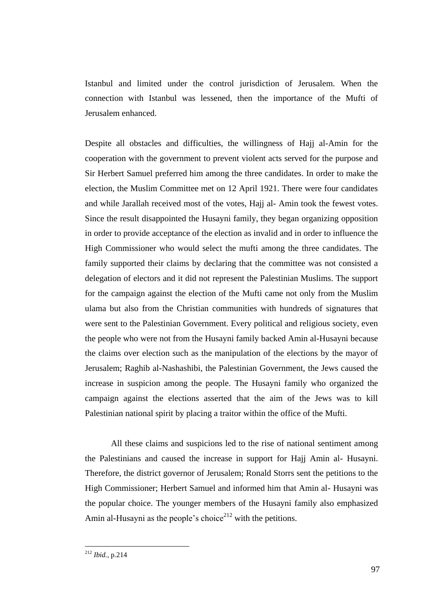Istanbul and limited under the control jurisdiction of Jerusalem. When the connection with Istanbul was lessened, then the importance of the Mufti of Jerusalem enhanced.

Despite all obstacles and difficulties, the willingness of Hajj al-Amin for the cooperation with the government to prevent violent acts served for the purpose and Sir Herbert Samuel preferred him among the three candidates. In order to make the election, the Muslim Committee met on 12 April 1921. There were four candidates and while Jarallah received most of the votes, Hajj al- Amin took the fewest votes. Since the result disappointed the Husayni family, they began organizing opposition in order to provide acceptance of the election as invalid and in order to influence the High Commissioner who would select the mufti among the three candidates. The family supported their claims by declaring that the committee was not consisted a delegation of electors and it did not represent the Palestinian Muslims. The support for the campaign against the election of the Mufti came not only from the Muslim ulama but also from the Christian communities with hundreds of signatures that were sent to the Palestinian Government. Every political and religious society, even the people who were not from the Husayni family backed Amin al-Husayni because the claims over election such as the manipulation of the elections by the mayor of Jerusalem; Raghib al-Nashashibi, the Palestinian Government, the Jews caused the increase in suspicion among the people. The Husayni family who organized the campaign against the elections asserted that the aim of the Jews was to kill Palestinian national spirit by placing a traitor within the office of the Mufti.

All these claims and suspicions led to the rise of national sentiment among the Palestinians and caused the increase in support for Hajj Amin al- Husayni. Therefore, the district governor of Jerusalem; Ronald Storrs sent the petitions to the High Commissioner; Herbert Samuel and informed him that Amin al- Husayni was the popular choice. The younger members of the Husayni family also emphasized Amin al-Husayni as the people's choice<sup>212</sup> with the petitions.

<sup>212</sup> *Ibid.,* p.214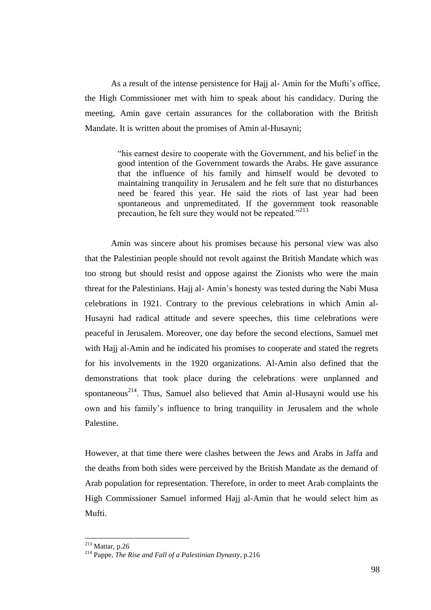As a result of the intense persistence for Hajj al-Amin for the Mufti's office, the High Commissioner met with him to speak about his candidacy. During the meeting, Amin gave certain assurances for the collaboration with the British Mandate. It is written about the promises of Amin al-Husayni;

> "his earnest desire to cooperate with the Government, and his belief in the good intention of the Government towards the Arabs. He gave assurance that the influence of his family and himself would be devoted to maintaining tranquility in Jerusalem and he felt sure that no disturbances need be feared this year. He said the riots of last year had been spontaneous and unpremeditated. If the government took reasonable precaution, he felt sure they would not be repeated."<sup>213</sup>

Amin was sincere about his promises because his personal view was also that the Palestinian people should not revolt against the British Mandate which was too strong but should resist and oppose against the Zionists who were the main threat for the Palestinians. Hajj al- Amin"s honesty was tested during the Nabi Musa celebrations in 1921. Contrary to the previous celebrations in which Amin al-Husayni had radical attitude and severe speeches, this time celebrations were peaceful in Jerusalem. Moreover, one day before the second elections, Samuel met with Hajj al-Amin and he indicated his promises to cooperate and stated the regrets for his involvements in the 1920 organizations. Al-Amin also defined that the demonstrations that took place during the celebrations were unplanned and spontaneous<sup>214</sup>. Thus, Samuel also believed that Amin al-Husayni would use his own and his family"s influence to bring tranquility in Jerusalem and the whole Palestine.

However, at that time there were clashes between the Jews and Arabs in Jaffa and the deaths from both sides were perceived by the British Mandate as the demand of Arab population for representation. Therefore, in order to meet Arab complaints the High Commissioner Samuel informed Hajj al-Amin that he would select him as Mufti.

 $213$  Mattar, p.26

<sup>214</sup> Pappe, *The Rise and Fall of a Palestinian Dynasty*, p.216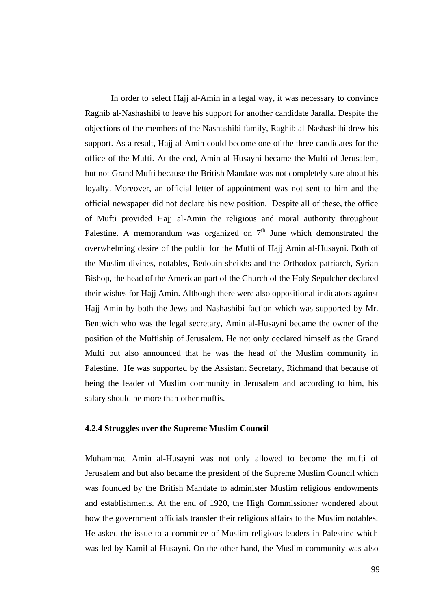In order to select Hajj al-Amin in a legal way, it was necessary to convince Raghib al-Nashashibi to leave his support for another candidate Jaralla. Despite the objections of the members of the Nashashibi family, Raghib al-Nashashibi drew his support. As a result, Hajj al-Amin could become one of the three candidates for the office of the Mufti. At the end, Amin al-Husayni became the Mufti of Jerusalem, but not Grand Mufti because the British Mandate was not completely sure about his loyalty. Moreover, an official letter of appointment was not sent to him and the official newspaper did not declare his new position. Despite all of these, the office of Mufti provided Hajj al-Amin the religious and moral authority throughout Palestine. A memorandum was organized on  $7<sup>th</sup>$  June which demonstrated the overwhelming desire of the public for the Mufti of Hajj Amin al-Husayni. Both of the Muslim divines, notables, Bedouin sheikhs and the Orthodox patriarch, Syrian Bishop, the head of the American part of the Church of the Holy Sepulcher declared their wishes for Hajj Amin. Although there were also oppositional indicators against Hajj Amin by both the Jews and Nashashibi faction which was supported by Mr. Bentwich who was the legal secretary, Amin al-Husayni became the owner of the position of the Muftiship of Jerusalem. He not only declared himself as the Grand Mufti but also announced that he was the head of the Muslim community in Palestine. He was supported by the Assistant Secretary, Richmand that because of being the leader of Muslim community in Jerusalem and according to him, his salary should be more than other muftis.

#### **4.2.4 Struggles over the Supreme Muslim Council**

Muhammad Amin al-Husayni was not only allowed to become the mufti of Jerusalem and but also became the president of the Supreme Muslim Council which was founded by the British Mandate to administer Muslim religious endowments and establishments. At the end of 1920, the High Commissioner wondered about how the government officials transfer their religious affairs to the Muslim notables. He asked the issue to a committee of Muslim religious leaders in Palestine which was led by Kamil al-Husayni. On the other hand, the Muslim community was also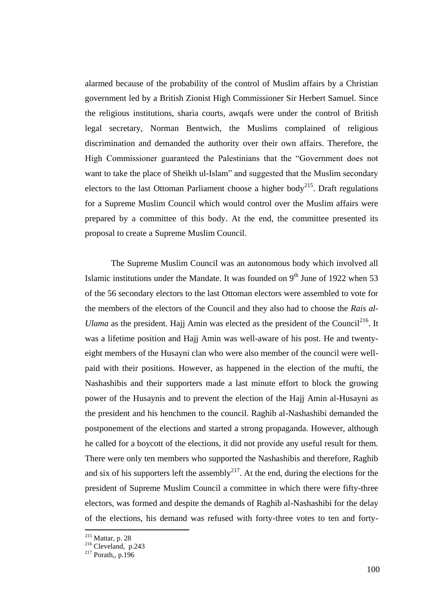alarmed because of the probability of the control of Muslim affairs by a Christian government led by a British Zionist High Commissioner Sir Herbert Samuel. Since the religious institutions, sharia courts, awqafs were under the control of British legal secretary, Norman Bentwich, the Muslims complained of religious discrimination and demanded the authority over their own affairs. Therefore, the High Commissioner guaranteed the Palestinians that the "Government does not want to take the place of Sheikh ul-Islam" and suggested that the Muslim secondary electors to the last Ottoman Parliament choose a higher body<sup>215</sup>. Draft regulations for a Supreme Muslim Council which would control over the Muslim affairs were prepared by a committee of this body. At the end, the committee presented its proposal to create a Supreme Muslim Council.

The Supreme Muslim Council was an autonomous body which involved all Islamic institutions under the Mandate. It was founded on  $9<sup>th</sup>$  June of 1922 when 53 of the 56 secondary electors to the last Ottoman electors were assembled to vote for the members of the electors of the Council and they also had to choose the *Rais al-Ulama* as the president. Hajj Amin was elected as the president of the Council<sup>216</sup>. It was a lifetime position and Hajj Amin was well-aware of his post. He and twentyeight members of the Husayni clan who were also member of the council were wellpaid with their positions. However, as happened in the election of the mufti, the Nashashibis and their supporters made a last minute effort to block the growing power of the Husaynis and to prevent the election of the Hajj Amin al-Husayni as the president and his henchmen to the council. Raghib al-Nashashibi demanded the postponement of the elections and started a strong propaganda. However, although he called for a boycott of the elections, it did not provide any useful result for them. There were only ten members who supported the Nashashibis and therefore, Raghib and six of his supporters left the assembly<sup>217</sup>. At the end, during the elections for the president of Supreme Muslim Council a committee in which there were fifty-three electors, was formed and despite the demands of Raghib al-Nashashibi for the delay of the elections, his demand was refused with forty-three votes to ten and forty-

<sup>215</sup> Mattar, p. 28

<sup>&</sup>lt;sup>216</sup> Cleveland, p.243

 $2^{17}$  Porath,, p.196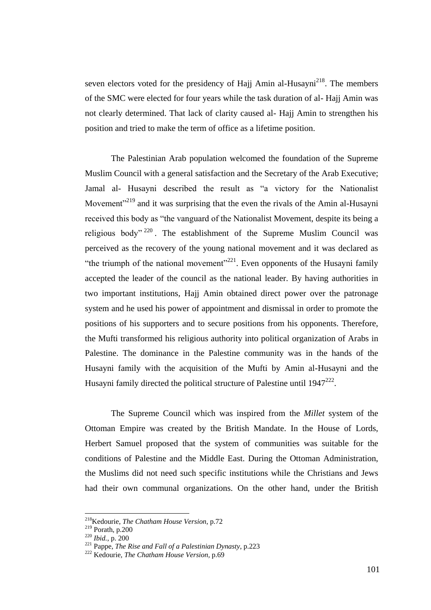seven electors voted for the presidency of Hajj Amin al-Husayni<sup>218</sup>. The members of the SMC were elected for four years while the task duration of al- Hajj Amin was not clearly determined. That lack of clarity caused al- Hajj Amin to strengthen his position and tried to make the term of office as a lifetime position.

The Palestinian Arab population welcomed the foundation of the Supreme Muslim Council with a general satisfaction and the Secretary of the Arab Executive; Jamal al- Husayni described the result as "a victory for the Nationalist Movement<sup> $219$ </sup> and it was surprising that the even the rivals of the Amin al-Husayni received this body as "the vanguard of the Nationalist Movement, despite its being a religious body"  $220$ . The establishment of the Supreme Muslim Council was perceived as the recovery of the young national movement and it was declared as "the triumph of the national movement"<sup>221</sup>. Even opponents of the Husayni family accepted the leader of the council as the national leader. By having authorities in two important institutions, Hajj Amin obtained direct power over the patronage system and he used his power of appointment and dismissal in order to promote the positions of his supporters and to secure positions from his opponents. Therefore, the Mufti transformed his religious authority into political organization of Arabs in Palestine. The dominance in the Palestine community was in the hands of the Husayni family with the acquisition of the Mufti by Amin al-Husayni and the Husayni family directed the political structure of Palestine until  $1947^{222}$ .

The Supreme Council which was inspired from the *Millet* system of the Ottoman Empire was created by the British Mandate. In the House of Lords, Herbert Samuel proposed that the system of communities was suitable for the conditions of Palestine and the Middle East. During the Ottoman Administration, the Muslims did not need such specific institutions while the Christians and Jews had their own communal organizations. On the other hand, under the British

<sup>218</sup>Kedourie, *The Chatham House Version*, p.72

 $^{219}$  Porath, p.200

<sup>220</sup> *Ibid.*, p. 200

<sup>221</sup> Pappe, *The Rise and Fall of a Palestinian Dynasty*, p.223

<sup>222</sup> Kedourie, *The Chatham House Version,* p.69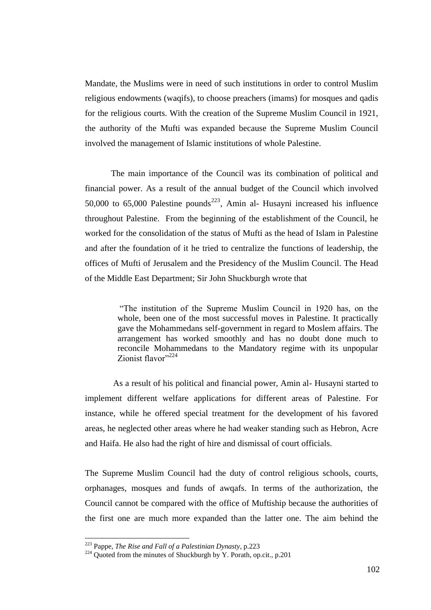Mandate, the Muslims were in need of such institutions in order to control Muslim religious endowments (waqifs), to choose preachers (imams) for mosques and qadis for the religious courts. With the creation of the Supreme Muslim Council in 1921, the authority of the Mufti was expanded because the Supreme Muslim Council involved the management of Islamic institutions of whole Palestine.

The main importance of the Council was its combination of political and financial power. As a result of the annual budget of the Council which involved 50,000 to 65,000 Palestine pounds<sup>223</sup>, Amin al- Husayni increased his influence throughout Palestine. From the beginning of the establishment of the Council, he worked for the consolidation of the status of Mufti as the head of Islam in Palestine and after the foundation of it he tried to centralize the functions of leadership, the offices of Mufti of Jerusalem and the Presidency of the Muslim Council. The Head of the Middle East Department; Sir John Shuckburgh wrote that

> "The institution of the Supreme Muslim Council in 1920 has, on the whole, been one of the most successful moves in Palestine. It practically gave the Mohammedans self-government in regard to Moslem affairs. The arrangement has worked smoothly and has no doubt done much to reconcile Mohammedans to the Mandatory regime with its unpopular Zionist flavor"<sup>224</sup>

As a result of his political and financial power, Amin al- Husayni started to implement different welfare applications for different areas of Palestine. For instance, while he offered special treatment for the development of his favored areas, he neglected other areas where he had weaker standing such as Hebron, Acre and Haifa. He also had the right of hire and dismissal of court officials.

The Supreme Muslim Council had the duty of control religious schools, courts, orphanages, mosques and funds of awqafs. In terms of the authorization, the Council cannot be compared with the office of Muftiship because the authorities of the first one are much more expanded than the latter one. The aim behind the

<sup>223</sup> Pappe, *The Rise and Fall of a Palestinian Dynasty*, p.223

<sup>&</sup>lt;sup>224</sup> Quoted from the minutes of Shuckburgh by Y. Porath, op.cit., p.201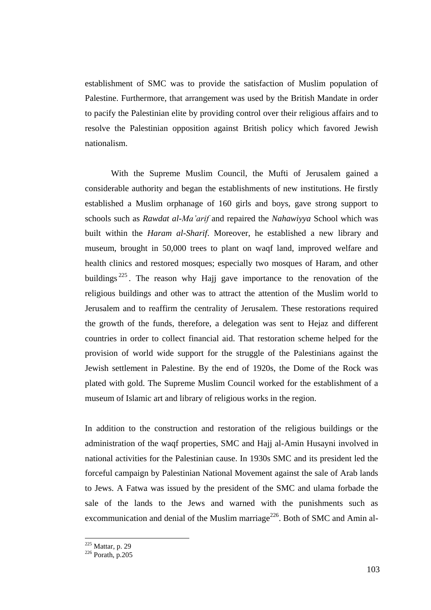establishment of SMC was to provide the satisfaction of Muslim population of Palestine. Furthermore, that arrangement was used by the British Mandate in order to pacify the Palestinian elite by providing control over their religious affairs and to resolve the Palestinian opposition against British policy which favored Jewish nationalism.

With the Supreme Muslim Council, the Mufti of Jerusalem gained a considerable authority and began the establishments of new institutions. He firstly established a Muslim orphanage of 160 girls and boys, gave strong support to schools such as *Rawdat al-Ma'arif* and repaired the *Nahawiyya* School which was built within the *Haram al-Sharif*. Moreover, he established a new library and museum, brought in 50,000 trees to plant on waqf land, improved welfare and health clinics and restored mosques; especially two mosques of Haram, and other buildings  $225$ . The reason why Hajj gave importance to the renovation of the religious buildings and other was to attract the attention of the Muslim world to Jerusalem and to reaffirm the centrality of Jerusalem. These restorations required the growth of the funds, therefore, a delegation was sent to Hejaz and different countries in order to collect financial aid. That restoration scheme helped for the provision of world wide support for the struggle of the Palestinians against the Jewish settlement in Palestine. By the end of 1920s, the Dome of the Rock was plated with gold. The Supreme Muslim Council worked for the establishment of a museum of Islamic art and library of religious works in the region.

In addition to the construction and restoration of the religious buildings or the administration of the waqf properties, SMC and Hajj al-Amin Husayni involved in national activities for the Palestinian cause. In 1930s SMC and its president led the forceful campaign by Palestinian National Movement against the sale of Arab lands to Jews. A Fatwa was issued by the president of the SMC and ulama forbade the sale of the lands to the Jews and warned with the punishments such as excommunication and denial of the Muslim marriage<sup>226</sup>. Both of SMC and Amin al-

 $225$  Mattar, p. 29

 $226$  Porath, p.205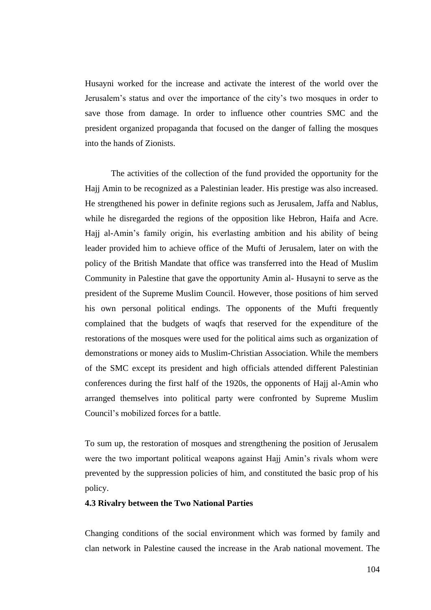Husayni worked for the increase and activate the interest of the world over the Jerusalem"s status and over the importance of the city"s two mosques in order to save those from damage. In order to influence other countries SMC and the president organized propaganda that focused on the danger of falling the mosques into the hands of Zionists.

The activities of the collection of the fund provided the opportunity for the Hajj Amin to be recognized as a Palestinian leader. His prestige was also increased. He strengthened his power in definite regions such as Jerusalem, Jaffa and Nablus, while he disregarded the regions of the opposition like Hebron, Haifa and Acre. Hajj al-Amin"s family origin, his everlasting ambition and his ability of being leader provided him to achieve office of the Mufti of Jerusalem, later on with the policy of the British Mandate that office was transferred into the Head of Muslim Community in Palestine that gave the opportunity Amin al- Husayni to serve as the president of the Supreme Muslim Council. However, those positions of him served his own personal political endings. The opponents of the Mufti frequently complained that the budgets of waqfs that reserved for the expenditure of the restorations of the mosques were used for the political aims such as organization of demonstrations or money aids to Muslim-Christian Association. While the members of the SMC except its president and high officials attended different Palestinian conferences during the first half of the 1920s, the opponents of Hajj al-Amin who arranged themselves into political party were confronted by Supreme Muslim Council"s mobilized forces for a battle.

To sum up, the restoration of mosques and strengthening the position of Jerusalem were the two important political weapons against Hajj Amin"s rivals whom were prevented by the suppression policies of him, and constituted the basic prop of his policy.

# **4.3 Rivalry between the Two National Parties**

Changing conditions of the social environment which was formed by family and clan network in Palestine caused the increase in the Arab national movement. The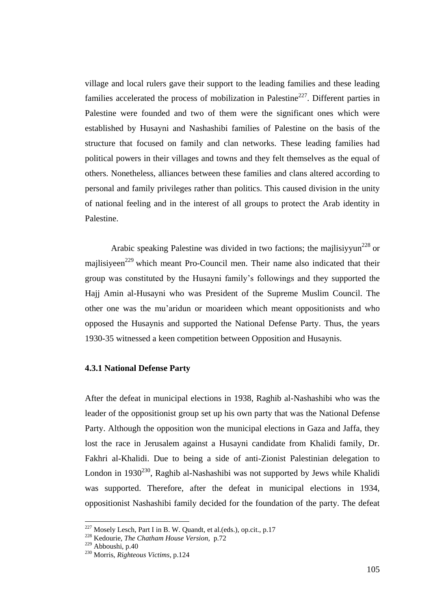village and local rulers gave their support to the leading families and these leading families accelerated the process of mobilization in Palestine<sup>227</sup>. Different parties in Palestine were founded and two of them were the significant ones which were established by Husayni and Nashashibi families of Palestine on the basis of the structure that focused on family and clan networks. These leading families had political powers in their villages and towns and they felt themselves as the equal of others. Nonetheless, alliances between these families and clans altered according to personal and family privileges rather than politics. This caused division in the unity of national feeling and in the interest of all groups to protect the Arab identity in Palestine.

Arabic speaking Palestine was divided in two factions; the majlisiyyun<sup>228</sup> or majlisiyeen<sup> $229$ </sup> which meant Pro-Council men. Their name also indicated that their group was constituted by the Husayni family"s followings and they supported the Hajj Amin al-Husayni who was President of the Supreme Muslim Council. The other one was the mu"aridun or moarideen which meant oppositionists and who opposed the Husaynis and supported the National Defense Party. Thus, the years 1930-35 witnessed a keen competition between Opposition and Husaynis.

# **4.3.1 National Defense Party**

After the defeat in municipal elections in 1938, Raghib al-Nashashibi who was the leader of the oppositionist group set up his own party that was the National Defense Party. Although the opposition won the municipal elections in Gaza and Jaffa, they lost the race in Jerusalem against a Husayni candidate from Khalidi family, Dr. Fakhri al-Khalidi. Due to being a side of anti-Zionist Palestinian delegation to London in  $1930^{230}$ . Raghib al-Nashashibi was not supported by Jews while Khalidi was supported. Therefore, after the defeat in municipal elections in 1934, oppositionist Nashashibi family decided for the foundation of the party. The defeat

<u>.</u>

 $227$  Mosely Lesch, Part I in B. W. Quandt, et al. (eds.), op.cit., p.17

<sup>228</sup> Kedourie, *The Chatham House Version,* p.72

<sup>229</sup> Abboushi, p.40

<sup>230</sup> Morris, *Righteous Victims*, p.124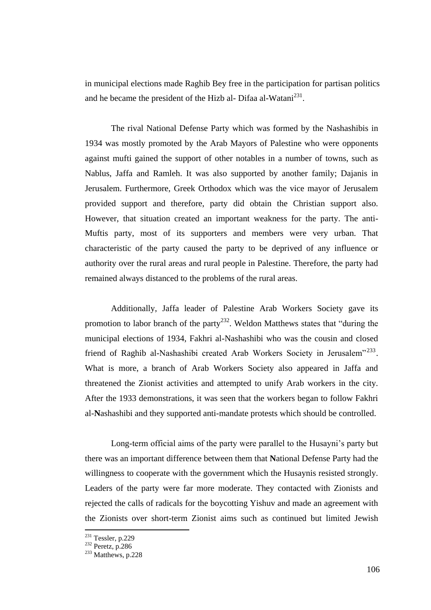in municipal elections made Raghib Bey free in the participation for partisan politics and he became the president of the Hizb al-Difaa al-Watani $^{231}$ .

The rival National Defense Party which was formed by the Nashashibis in 1934 was mostly promoted by the Arab Mayors of Palestine who were opponents against mufti gained the support of other notables in a number of towns, such as Nablus, Jaffa and Ramleh. It was also supported by another family; Dajanis in Jerusalem. Furthermore, Greek Orthodox which was the vice mayor of Jerusalem provided support and therefore, party did obtain the Christian support also. However, that situation created an important weakness for the party. The anti-Muftis party, most of its supporters and members were very urban. That characteristic of the party caused the party to be deprived of any influence or authority over the rural areas and rural people in Palestine. Therefore, the party had remained always distanced to the problems of the rural areas.

Additionally, Jaffa leader of Palestine Arab Workers Society gave its promotion to labor branch of the party<sup>232</sup>. Weldon Matthews states that "during the municipal elections of 1934, Fakhri al-Nashashibi who was the cousin and closed friend of Raghib al-Nashashibi created Arab Workers Society in Jerusalem"<sup>233</sup>. What is more, a branch of Arab Workers Society also appeared in Jaffa and threatened the Zionist activities and attempted to unify Arab workers in the city. After the 1933 demonstrations, it was seen that the workers began to follow Fakhri al-**N**ashashibi and they supported anti-mandate protests which should be controlled.

Long-term official aims of the party were parallel to the Husayni's party but there was an important difference between them that **N**ational Defense Party had the willingness to cooperate with the government which the Husaynis resisted strongly. Leaders of the party were far more moderate. They contacted with Zionists and rejected the calls of radicals for the boycotting Yishuv and made an agreement with the Zionists over short-term Zionist aims such as continued but limited Jewish

 $231$  Tessler, p.229

 $232$  Peretz, p.286

 $233$  Matthews, p.228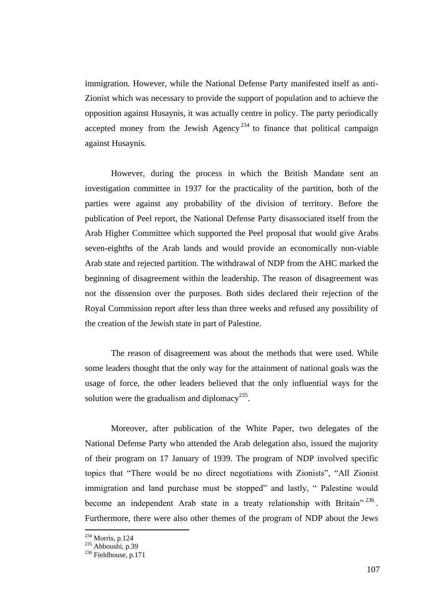immigration. However, while the National Defense Party manifested itself as anti-Zionist which was necessary to provide the support of population and to achieve the opposition against Husaynis, it was actually centre in policy. The party periodically accepted money from the Jewish Agency<sup>234</sup> to finance that political campaign against Husaynis.

However, during the process in which the British Mandate sent an investigation committee in 1937 for the practicality of the partition, both of the parties were against any probability of the division of territory. Before the publication of Peel report, the National Defense Party disassociated itself from the Arab Higher Committee which supported the Peel proposal that would give Arabs seven-eighths of the Arab lands and would provide an economically non-viable Arab state and rejected partition. The withdrawal of NDP from the AHC marked the beginning of disagreement within the leadership. The reason of disagreement was not the dissension over the purposes. Both sides declared their rejection of the Royal Commission report after less than three weeks and refused any possibility of the creation of the Jewish state in part of Palestine.

The reason of disagreement was about the methods that were used. While some leaders thought that the only way for the attainment of national goals was the usage of force, the other leaders believed that the only influential ways for the solution were the gradualism and diplomacy<sup>235</sup>.

Moreover, after publication of the White Paper, two delegates of the National Defense Party who attended the Arab delegation also, issued the majority of their program on 17 January of 1939. The program of NDP involved specific topics that "There would be no direct negotiations with Zionists", "All Zionist immigration and land purchase must be stopped" and lastly, " Palestine would become an independent Arab state in a treaty relationship with Britain"  $236$ . Furthermore, there were also other themes of the program of NDP about the Jews

<sup>234</sup> Morris, p.124

 $235$  Abboushi, p.39

 $236$  Fieldhouse, p.171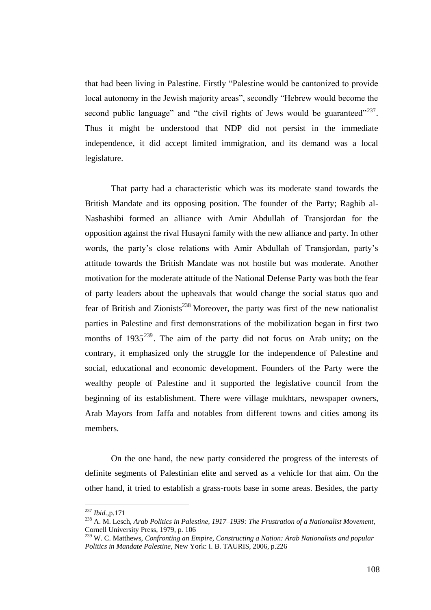that had been living in Palestine. Firstly "Palestine would be cantonized to provide local autonomy in the Jewish majority areas", secondly "Hebrew would become the second public language" and "the civil rights of Jews would be guaranteed"<sup>237</sup>. Thus it might be understood that NDP did not persist in the immediate independence, it did accept limited immigration, and its demand was a local legislature.

That party had a characteristic which was its moderate stand towards the British Mandate and its opposing position. The founder of the Party; Raghib al-Nashashibi formed an alliance with Amir Abdullah of Transjordan for the opposition against the rival Husayni family with the new alliance and party. In other words, the party's close relations with Amir Abdullah of Transjordan, party's attitude towards the British Mandate was not hostile but was moderate. Another motivation for the moderate attitude of the National Defense Party was both the fear of party leaders about the upheavals that would change the social status quo and fear of British and Zionists<sup>238</sup> Moreover, the party was first of the new nationalist parties in Palestine and first demonstrations of the mobilization began in first two months of  $1935^{239}$ . The aim of the party did not focus on Arab unity; on the contrary, it emphasized only the struggle for the independence of Palestine and social, educational and economic development. Founders of the Party were the wealthy people of Palestine and it supported the legislative council from the beginning of its establishment. There were village mukhtars, newspaper owners, Arab Mayors from Jaffa and notables from different towns and cities among its members.

On the one hand, the new party considered the progress of the interests of definite segments of Palestinian elite and served as a vehicle for that aim. On the other hand, it tried to establish a grass-roots base in some areas. Besides, the party

<sup>237</sup> *Ibid.*,p.171

<sup>238</sup> A. M. Lesch, *Arab Politics in Palestine, 1917–1939: The Frustration of a Nationalist Movement*, Cornell University Press, 1979, p. 106

<sup>239</sup> W. C. Matthews, *Confronting an Empire, Constructing a Nation: Arab Nationalists and popular Politics in Mandate Palestine*, New York: I. B. TAURIS, 2006, p.226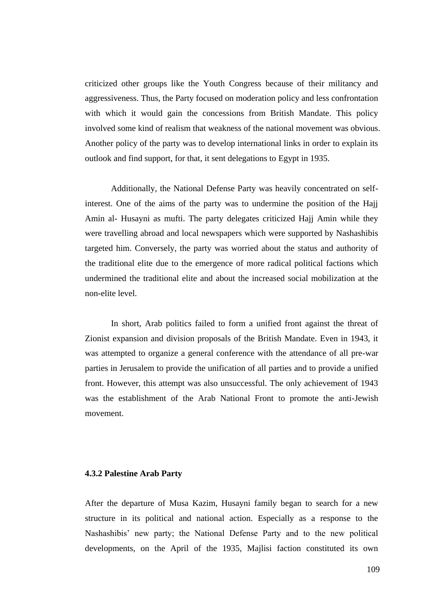criticized other groups like the Youth Congress because of their militancy and aggressiveness. Thus, the Party focused on moderation policy and less confrontation with which it would gain the concessions from British Mandate. This policy involved some kind of realism that weakness of the national movement was obvious. Another policy of the party was to develop international links in order to explain its outlook and find support, for that, it sent delegations to Egypt in 1935.

Additionally, the National Defense Party was heavily concentrated on selfinterest. One of the aims of the party was to undermine the position of the Hajj Amin al- Husayni as mufti. The party delegates criticized Hajj Amin while they were travelling abroad and local newspapers which were supported by Nashashibis targeted him. Conversely, the party was worried about the status and authority of the traditional elite due to the emergence of more radical political factions which undermined the traditional elite and about the increased social mobilization at the non-elite level.

In short, Arab politics failed to form a unified front against the threat of Zionist expansion and division proposals of the British Mandate. Even in 1943, it was attempted to organize a general conference with the attendance of all pre-war parties in Jerusalem to provide the unification of all parties and to provide a unified front. However, this attempt was also unsuccessful. The only achievement of 1943 was the establishment of the Arab National Front to promote the anti-Jewish movement.

## **4.3.2 Palestine Arab Party**

After the departure of Musa Kazim, Husayni family began to search for a new structure in its political and national action. Especially as a response to the Nashashibis" new party; the National Defense Party and to the new political developments, on the April of the 1935, Majlisi faction constituted its own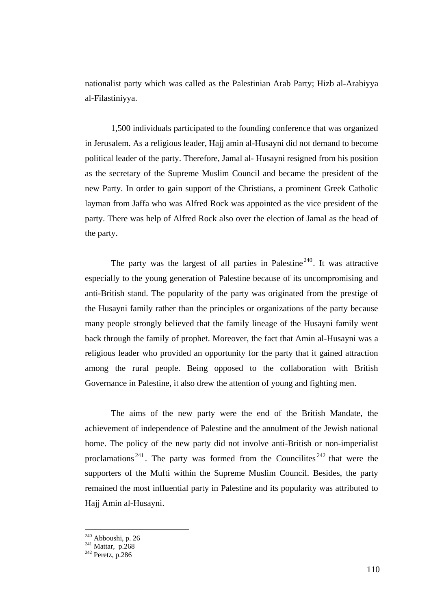nationalist party which was called as the Palestinian Arab Party; Hizb al-Arabiyya al-Filastiniyya.

1,500 individuals participated to the founding conference that was organized in Jerusalem. As a religious leader, Hajj amin al-Husayni did not demand to become political leader of the party. Therefore, Jamal al- Husayni resigned from his position as the secretary of the Supreme Muslim Council and became the president of the new Party. In order to gain support of the Christians, a prominent Greek Catholic layman from Jaffa who was Alfred Rock was appointed as the vice president of the party. There was help of Alfred Rock also over the election of Jamal as the head of the party.

The party was the largest of all parties in Palestine<sup>240</sup>. It was attractive especially to the young generation of Palestine because of its uncompromising and anti-British stand. The popularity of the party was originated from the prestige of the Husayni family rather than the principles or organizations of the party because many people strongly believed that the family lineage of the Husayni family went back through the family of prophet. Moreover, the fact that Amin al-Husayni was a religious leader who provided an opportunity for the party that it gained attraction among the rural people. Being opposed to the collaboration with British Governance in Palestine, it also drew the attention of young and fighting men.

The aims of the new party were the end of the British Mandate, the achievement of independence of Palestine and the annulment of the Jewish national home. The policy of the new party did not involve anti-British or non-imperialist proclamations<sup>241</sup>. The party was formed from the Councilites<sup> $242$ </sup> that were the supporters of the Mufti within the Supreme Muslim Council. Besides, the party remained the most influential party in Palestine and its popularity was attributed to Hajj Amin al-Husayni.

 $240$  Abboushi, p. 26

 $2^{41}$  Mattar, p.268

 $242$  Peretz, p. 286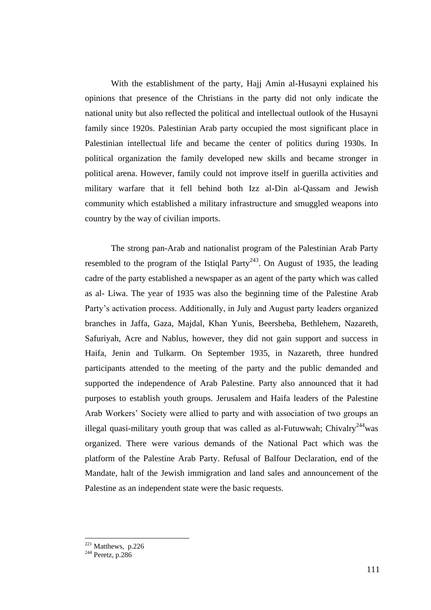With the establishment of the party, Hajj Amin al-Husayni explained his opinions that presence of the Christians in the party did not only indicate the national unity but also reflected the political and intellectual outlook of the Husayni family since 1920s. Palestinian Arab party occupied the most significant place in Palestinian intellectual life and became the center of politics during 1930s. In political organization the family developed new skills and became stronger in political arena. However, family could not improve itself in guerilla activities and military warfare that it fell behind both Izz al-Din al-Qassam and Jewish community which established a military infrastructure and smuggled weapons into country by the way of civilian imports.

The strong pan-Arab and nationalist program of the Palestinian Arab Party resembled to the program of the Istiqlal Party<sup>243</sup>. On August of 1935, the leading cadre of the party established a newspaper as an agent of the party which was called as al- Liwa. The year of 1935 was also the beginning time of the Palestine Arab Party"s activation process. Additionally, in July and August party leaders organized branches in Jaffa, Gaza, Majdal, Khan Yunis, Beersheba, Bethlehem, Nazareth, Safuriyah, Acre and Nablus, however, they did not gain support and success in Haifa, Jenin and Tulkarm. On September 1935, in Nazareth, three hundred participants attended to the meeting of the party and the public demanded and supported the independence of Arab Palestine. Party also announced that it had purposes to establish youth groups. Jerusalem and Haifa leaders of the Palestine Arab Workers" Society were allied to party and with association of two groups an illegal quasi-military youth group that was called as al-Futuwwah; Chivalry<sup>244</sup> was organized. There were various demands of the National Pact which was the platform of the Palestine Arab Party. Refusal of Balfour Declaration, end of the Mandate, halt of the Jewish immigration and land sales and announcement of the Palestine as an independent state were the basic requests.

 $221$  Matthews, p.226

 $244$  Peretz, p.286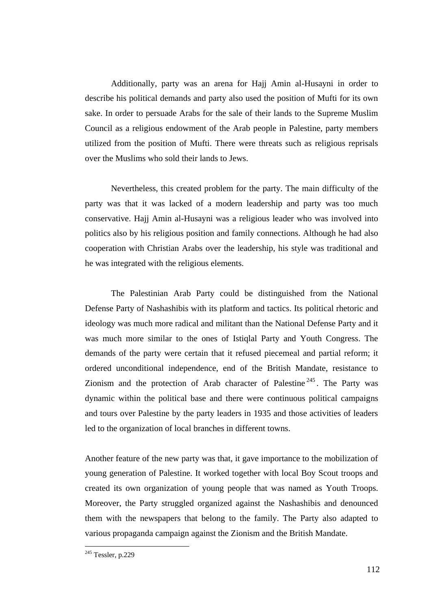Additionally, party was an arena for Hajj Amin al-Husayni in order to describe his political demands and party also used the position of Mufti for its own sake. In order to persuade Arabs for the sale of their lands to the Supreme Muslim Council as a religious endowment of the Arab people in Palestine, party members utilized from the position of Mufti. There were threats such as religious reprisals over the Muslims who sold their lands to Jews.

Nevertheless, this created problem for the party. The main difficulty of the party was that it was lacked of a modern leadership and party was too much conservative. Hajj Amin al-Husayni was a religious leader who was involved into politics also by his religious position and family connections. Although he had also cooperation with Christian Arabs over the leadership, his style was traditional and he was integrated with the religious elements.

The Palestinian Arab Party could be distinguished from the National Defense Party of Nashashibis with its platform and tactics. Its political rhetoric and ideology was much more radical and militant than the National Defense Party and it was much more similar to the ones of Istiqlal Party and Youth Congress. The demands of the party were certain that it refused piecemeal and partial reform; it ordered unconditional independence, end of the British Mandate, resistance to Zionism and the protection of Arab character of Palestine<sup> $245$ </sup>. The Party was dynamic within the political base and there were continuous political campaigns and tours over Palestine by the party leaders in 1935 and those activities of leaders led to the organization of local branches in different towns.

Another feature of the new party was that, it gave importance to the mobilization of young generation of Palestine. It worked together with local Boy Scout troops and created its own organization of young people that was named as Youth Troops. Moreover, the Party struggled organized against the Nashashibis and denounced them with the newspapers that belong to the family. The Party also adapted to various propaganda campaign against the Zionism and the British Mandate.

<u>.</u>

 $245$  Tessler, p.229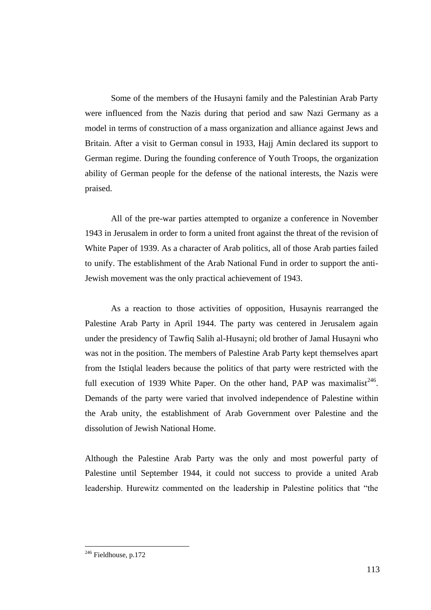Some of the members of the Husayni family and the Palestinian Arab Party were influenced from the Nazis during that period and saw Nazi Germany as a model in terms of construction of a mass organization and alliance against Jews and Britain. After a visit to German consul in 1933, Hajj Amin declared its support to German regime. During the founding conference of Youth Troops, the organization ability of German people for the defense of the national interests, the Nazis were praised.

All of the pre-war parties attempted to organize a conference in November 1943 in Jerusalem in order to form a united front against the threat of the revision of White Paper of 1939. As a character of Arab politics, all of those Arab parties failed to unify. The establishment of the Arab National Fund in order to support the anti-Jewish movement was the only practical achievement of 1943.

As a reaction to those activities of opposition, Husaynis rearranged the Palestine Arab Party in April 1944. The party was centered in Jerusalem again under the presidency of Tawfiq Salih al-Husayni; old brother of Jamal Husayni who was not in the position. The members of Palestine Arab Party kept themselves apart from the Istiqlal leaders because the politics of that party were restricted with the full execution of 1939 White Paper. On the other hand, PAP was maximalist<sup>246</sup>. Demands of the party were varied that involved independence of Palestine within the Arab unity, the establishment of Arab Government over Palestine and the dissolution of Jewish National Home.

Although the Palestine Arab Party was the only and most powerful party of Palestine until September 1944, it could not success to provide a united Arab leadership. Hurewitz commented on the leadership in Palestine politics that "the

<u>.</u>

 $246$  Fieldhouse, p.172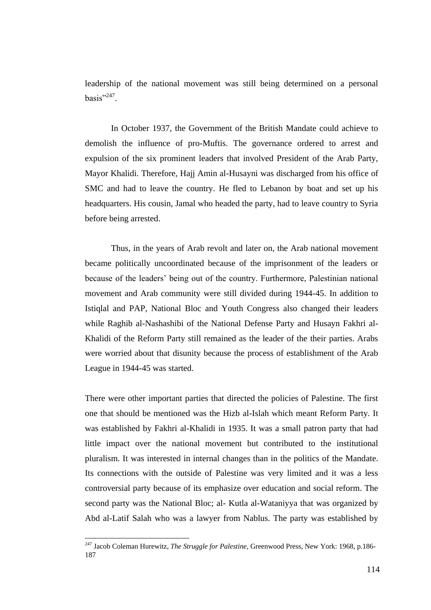leadership of the national movement was still being determined on a personal basis"<sup>247</sup>.

In October 1937, the Government of the British Mandate could achieve to demolish the influence of pro-Muftis. The governance ordered to arrest and expulsion of the six prominent leaders that involved President of the Arab Party, Mayor Khalidi. Therefore, Hajj Amin al-Husayni was discharged from his office of SMC and had to leave the country. He fled to Lebanon by boat and set up his headquarters. His cousin, Jamal who headed the party, had to leave country to Syria before being arrested.

Thus, in the years of Arab revolt and later on, the Arab national movement became politically uncoordinated because of the imprisonment of the leaders or because of the leaders" being out of the country. Furthermore, Palestinian national movement and Arab community were still divided during 1944-45. In addition to Istiqlal and PAP, National Bloc and Youth Congress also changed their leaders while Raghib al-Nashashibi of the National Defense Party and Husayn Fakhri al-Khalidi of the Reform Party still remained as the leader of the their parties. Arabs were worried about that disunity because the process of establishment of the Arab League in 1944-45 was started.

There were other important parties that directed the policies of Palestine. The first one that should be mentioned was the Hizb al-Islah which meant Reform Party. It was established by Fakhri al-Khalidi in 1935. It was a small patron party that had little impact over the national movement but contributed to the institutional pluralism. It was interested in internal changes than in the politics of the Mandate. Its connections with the outside of Palestine was very limited and it was a less controversial party because of its emphasize over education and social reform. The second party was the National Bloc; al- Kutla al-Wataniyya that was organized by Abd al-Latif Salah who was a lawyer from Nablus. The party was established by

<sup>247</sup> Jacob Coleman Hurewitz, *The Struggle for Palestine,* Greenwood Press, New York: 1968, p.186- 187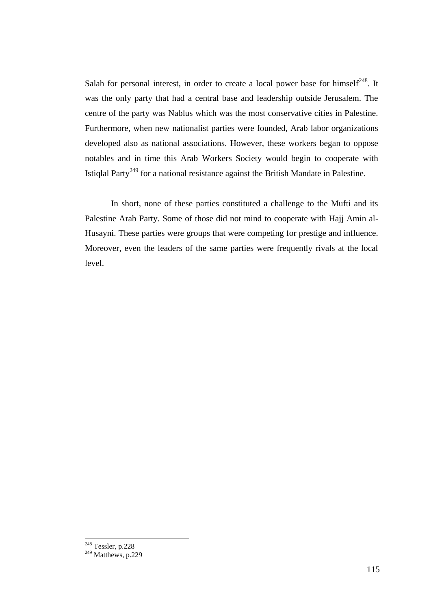Salah for personal interest, in order to create a local power base for himself<sup>248</sup>. It was the only party that had a central base and leadership outside Jerusalem. The centre of the party was Nablus which was the most conservative cities in Palestine. Furthermore, when new nationalist parties were founded, Arab labor organizations developed also as national associations. However, these workers began to oppose notables and in time this Arab Workers Society would begin to cooperate with Istiglal Party<sup>249</sup> for a national resistance against the British Mandate in Palestine.

In short, none of these parties constituted a challenge to the Mufti and its Palestine Arab Party. Some of those did not mind to cooperate with Hajj Amin al-Husayni. These parties were groups that were competing for prestige and influence. Moreover, even the leaders of the same parties were frequently rivals at the local level.

<sup>&</sup>lt;sup>248</sup> Tessler, p.228

 $249$  Matthews, p.229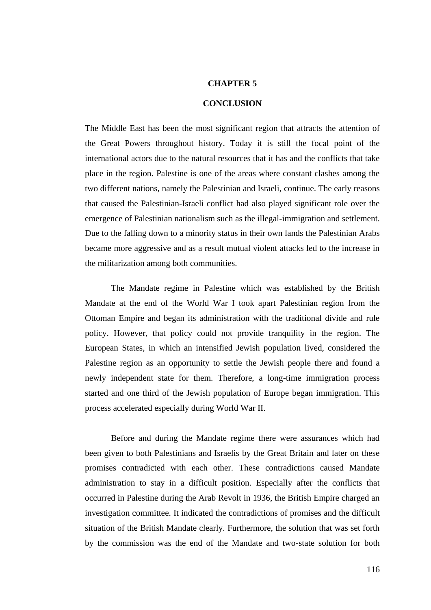#### **CHAPTER 5**

#### **CONCLUSION**

The Middle East has been the most significant region that attracts the attention of the Great Powers throughout history. Today it is still the focal point of the international actors due to the natural resources that it has and the conflicts that take place in the region. Palestine is one of the areas where constant clashes among the two different nations, namely the Palestinian and Israeli, continue. The early reasons that caused the Palestinian-Israeli conflict had also played significant role over the emergence of Palestinian nationalism such as the illegal-immigration and settlement. Due to the falling down to a minority status in their own lands the Palestinian Arabs became more aggressive and as a result mutual violent attacks led to the increase in the militarization among both communities.

The Mandate regime in Palestine which was established by the British Mandate at the end of the World War I took apart Palestinian region from the Ottoman Empire and began its administration with the traditional divide and rule policy. However, that policy could not provide tranquility in the region. The European States, in which an intensified Jewish population lived, considered the Palestine region as an opportunity to settle the Jewish people there and found a newly independent state for them. Therefore, a long-time immigration process started and one third of the Jewish population of Europe began immigration. This process accelerated especially during World War II.

Before and during the Mandate regime there were assurances which had been given to both Palestinians and Israelis by the Great Britain and later on these promises contradicted with each other. These contradictions caused Mandate administration to stay in a difficult position. Especially after the conflicts that occurred in Palestine during the Arab Revolt in 1936, the British Empire charged an investigation committee. It indicated the contradictions of promises and the difficult situation of the British Mandate clearly. Furthermore, the solution that was set forth by the commission was the end of the Mandate and two-state solution for both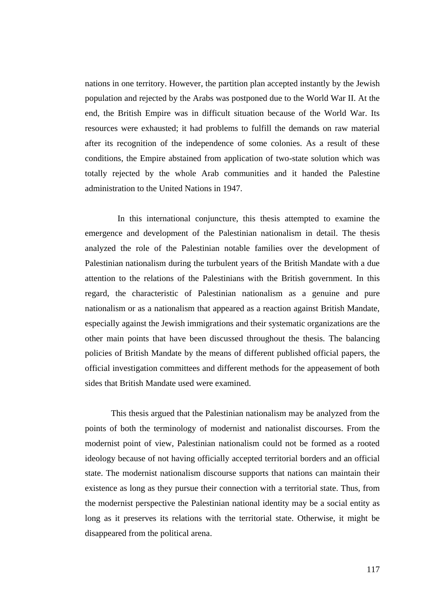nations in one territory. However, the partition plan accepted instantly by the Jewish population and rejected by the Arabs was postponed due to the World War II. At the end, the British Empire was in difficult situation because of the World War. Its resources were exhausted; it had problems to fulfill the demands on raw material after its recognition of the independence of some colonies. As a result of these conditions, the Empire abstained from application of two-state solution which was totally rejected by the whole Arab communities and it handed the Palestine administration to the United Nations in 1947.

In this international conjuncture, this thesis attempted to examine the emergence and development of the Palestinian nationalism in detail. The thesis analyzed the role of the Palestinian notable families over the development of Palestinian nationalism during the turbulent years of the British Mandate with a due attention to the relations of the Palestinians with the British government. In this regard, the characteristic of Palestinian nationalism as a genuine and pure nationalism or as a nationalism that appeared as a reaction against British Mandate, especially against the Jewish immigrations and their systematic organizations are the other main points that have been discussed throughout the thesis. The balancing policies of British Mandate by the means of different published official papers, the official investigation committees and different methods for the appeasement of both sides that British Mandate used were examined.

This thesis argued that the Palestinian nationalism may be analyzed from the points of both the terminology of modernist and nationalist discourses. From the modernist point of view, Palestinian nationalism could not be formed as a rooted ideology because of not having officially accepted territorial borders and an official state. The modernist nationalism discourse supports that nations can maintain their existence as long as they pursue their connection with a territorial state. Thus, from the modernist perspective the Palestinian national identity may be a social entity as long as it preserves its relations with the territorial state. Otherwise, it might be disappeared from the political arena.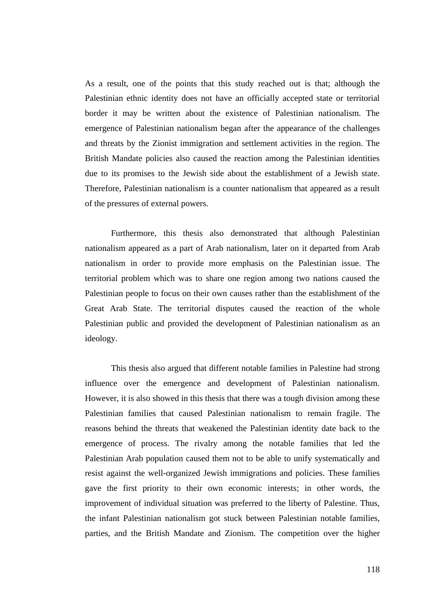As a result, one of the points that this study reached out is that; although the Palestinian ethnic identity does not have an officially accepted state or territorial border it may be written about the existence of Palestinian nationalism. The emergence of Palestinian nationalism began after the appearance of the challenges and threats by the Zionist immigration and settlement activities in the region. The British Mandate policies also caused the reaction among the Palestinian identities due to its promises to the Jewish side about the establishment of a Jewish state. Therefore, Palestinian nationalism is a counter nationalism that appeared as a result of the pressures of external powers.

Furthermore, this thesis also demonstrated that although Palestinian nationalism appeared as a part of Arab nationalism, later on it departed from Arab nationalism in order to provide more emphasis on the Palestinian issue. The territorial problem which was to share one region among two nations caused the Palestinian people to focus on their own causes rather than the establishment of the Great Arab State. The territorial disputes caused the reaction of the whole Palestinian public and provided the development of Palestinian nationalism as an ideology.

This thesis also argued that different notable families in Palestine had strong influence over the emergence and development of Palestinian nationalism. However, it is also showed in this thesis that there was a tough division among these Palestinian families that caused Palestinian nationalism to remain fragile. The reasons behind the threats that weakened the Palestinian identity date back to the emergence of process. The rivalry among the notable families that led the Palestinian Arab population caused them not to be able to unify systematically and resist against the well-organized Jewish immigrations and policies. These families gave the first priority to their own economic interests; in other words, the improvement of individual situation was preferred to the liberty of Palestine. Thus, the infant Palestinian nationalism got stuck between Palestinian notable families, parties, and the British Mandate and Zionism. The competition over the higher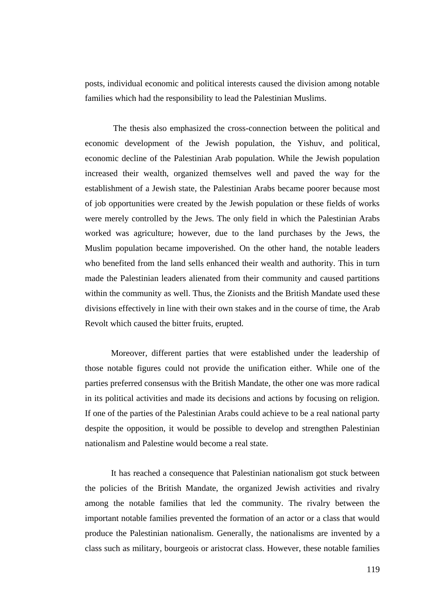posts, individual economic and political interests caused the division among notable families which had the responsibility to lead the Palestinian Muslims.

The thesis also emphasized the cross-connection between the political and economic development of the Jewish population, the Yishuv, and political, economic decline of the Palestinian Arab population. While the Jewish population increased their wealth, organized themselves well and paved the way for the establishment of a Jewish state, the Palestinian Arabs became poorer because most of job opportunities were created by the Jewish population or these fields of works were merely controlled by the Jews. The only field in which the Palestinian Arabs worked was agriculture; however, due to the land purchases by the Jews, the Muslim population became impoverished. On the other hand, the notable leaders who benefited from the land sells enhanced their wealth and authority. This in turn made the Palestinian leaders alienated from their community and caused partitions within the community as well. Thus, the Zionists and the British Mandate used these divisions effectively in line with their own stakes and in the course of time, the Arab Revolt which caused the bitter fruits, erupted.

Moreover, different parties that were established under the leadership of those notable figures could not provide the unification either. While one of the parties preferred consensus with the British Mandate, the other one was more radical in its political activities and made its decisions and actions by focusing on religion. If one of the parties of the Palestinian Arabs could achieve to be a real national party despite the opposition, it would be possible to develop and strengthen Palestinian nationalism and Palestine would become a real state.

It has reached a consequence that Palestinian nationalism got stuck between the policies of the British Mandate, the organized Jewish activities and rivalry among the notable families that led the community. The rivalry between the important notable families prevented the formation of an actor or a class that would produce the Palestinian nationalism. Generally, the nationalisms are invented by a class such as military, bourgeois or aristocrat class. However, these notable families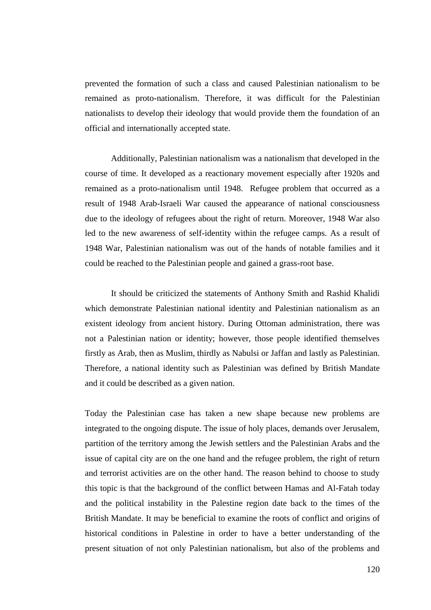prevented the formation of such a class and caused Palestinian nationalism to be remained as proto-nationalism. Therefore, it was difficult for the Palestinian nationalists to develop their ideology that would provide them the foundation of an official and internationally accepted state.

Additionally, Palestinian nationalism was a nationalism that developed in the course of time. It developed as a reactionary movement especially after 1920s and remained as a proto-nationalism until 1948. Refugee problem that occurred as a result of 1948 Arab-Israeli War caused the appearance of national consciousness due to the ideology of refugees about the right of return. Moreover, 1948 War also led to the new awareness of self-identity within the refugee camps. As a result of 1948 War, Palestinian nationalism was out of the hands of notable families and it could be reached to the Palestinian people and gained a grass-root base.

It should be criticized the statements of Anthony Smith and Rashid Khalidi which demonstrate Palestinian national identity and Palestinian nationalism as an existent ideology from ancient history. During Ottoman administration, there was not a Palestinian nation or identity; however, those people identified themselves firstly as Arab, then as Muslim, thirdly as Nabulsi or Jaffan and lastly as Palestinian. Therefore, a national identity such as Palestinian was defined by British Mandate and it could be described as a given nation.

Today the Palestinian case has taken a new shape because new problems are integrated to the ongoing dispute. The issue of holy places, demands over Jerusalem, partition of the territory among the Jewish settlers and the Palestinian Arabs and the issue of capital city are on the one hand and the refugee problem, the right of return and terrorist activities are on the other hand. The reason behind to choose to study this topic is that the background of the conflict between Hamas and Al-Fatah today and the political instability in the Palestine region date back to the times of the British Mandate. It may be beneficial to examine the roots of conflict and origins of historical conditions in Palestine in order to have a better understanding of the present situation of not only Palestinian nationalism, but also of the problems and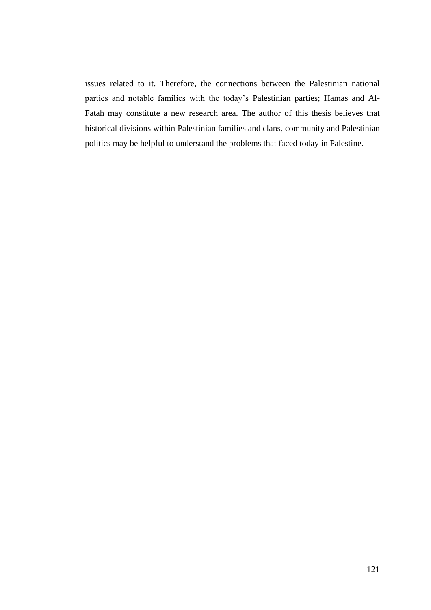issues related to it. Therefore, the connections between the Palestinian national parties and notable families with the today"s Palestinian parties; Hamas and Al-Fatah may constitute a new research area. The author of this thesis believes that historical divisions within Palestinian families and clans, community and Palestinian politics may be helpful to understand the problems that faced today in Palestine.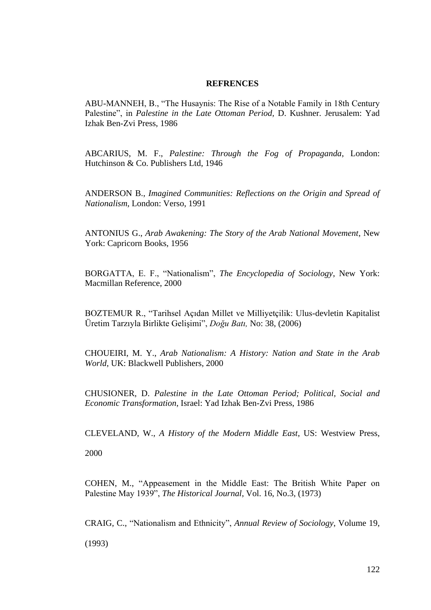## **REFRENCES**

ABU-MANNEH, B., "The Husaynis: The Rise of a Notable Family in 18th Century Palestine", in *Palestine in the Late Ottoman Period,* D. Kushner. Jerusalem: Yad Izhak Ben-Zvi Press, 1986

ABCARIUS, M. F., *Palestine: Through the Fog of Propaganda*, London: Hutchinson & Co. Publishers Ltd, 1946

ANDERSON B., *Imagined Communities: Reflections on the Origin and Spread of Nationalism*, London: Verso, 1991

ANTONIUS G., *Arab Awakening: The Story of the Arab National Movement*, New York: Capricorn Books, 1956

BORGATTA, E. F., "Nationalism", *The Encyclopedia of Sociology*, New York: Macmillan Reference, 2000

BOZTEMUR R., "Tarihsel Açıdan Millet ve Milliyetçilik: Ulus-devletin Kapitalist Üretim Tarzıyla Birlikte GeliĢimi", *Doğu Batı,* No: 38, (2006)

CHOUEIRI, M. Y., *Arab Nationalism: A History: Nation and State in the Arab World*, UK: Blackwell Publishers, 2000

CHUSIONER, D. *Palestine in the Late Ottoman Period; Political, Social and Economic Transformation*, Israel: Yad Izhak Ben-Zvi Press, 1986

CLEVELAND, W., *A History of the Modern Middle East*, US: Westview Press,

2000

COHEN, M., "Appeasement in the Middle East: The British White Paper on Palestine May 1939", *The Historical Journal*, Vol. 16, No.3, (1973)

CRAIG, C., "Nationalism and Ethnicity", *Annual Review of Sociology*, Volume 19,

(1993)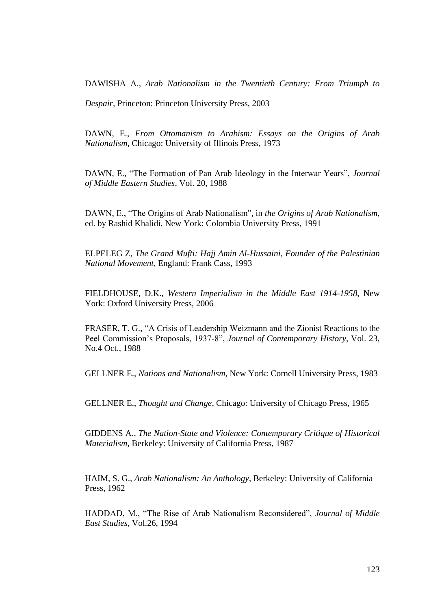[DAWISHA A.](http://library.metu.edu.tr/search/aDawisha%2C+A.+I./adawisha+a+i/-3,-1,0,B/browse), *Arab Nationalism in the Twentieth Century: From Triumph to* 

*Despair,* Princeton: Princeton University Press, 2003

DAWN, E., *From Ottomanism to Arabism: Essays on the Origins of Arab Nationalism*, Chicago: University of Illinois Press, 1973

DAWN, E., "The Formation of Pan Arab Ideology in the Interwar Years", *Journal of Middle Eastern Studies*, Vol. 20, 1988

DAWN, E., "The Origins of Arab Nationalism", in *the Origins of Arab Nationalism*, ed. by Rashid Khalidi, New York: Colombia University Press, 1991

[ELPELEG Z,](http://library.metu.edu.tr/search/aElpeleg%2C+Zvi./aelpeleg+zvi/-3,-1,0,B/browse) *The Grand Mufti: Hajj Amin Al-Hussaini, Founder of the Palestinian National Movement*, England: Frank Cass, 1993

FIELDHOUSE, D.K., *Western Imperialism in the Middle East 1914-1958*, New York: Oxford University Press, 2006

FRASER, T. G., "A Crisis of Leadership Weizmann and the Zionist Reactions to the Peel Commission"s Proposals, 1937-8", *Journal of Contemporary History*, Vol. 23, No.4 Oct., 1988

GELLNER E., *Nations and Nationalism*, New York: Cornell University Press, 1983

GELLNER E., *Thought and Change*, Chicago: University of Chicago Press, 1965

GIDDENS A., *The Nation-State and Violence: Contemporary Critique of Historical Materialism*, Berkeley: University of California Press, 1987

HAIM, S. G.*, Arab Nationalism: An Anthology*, Berkeley: University of California Press, 1962

HADDAD, M., "The Rise of Arab Nationalism Reconsidered", *Journal of Middle East Studies*, Vol.26, 1994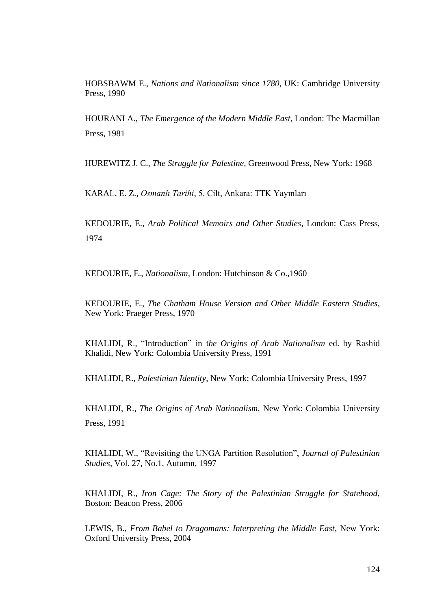HOBSBAWM E., *Nations and Nationalism since 1780*, UK: Cambridge University Press, 1990

HOURANI A., *The Emergence of the Modern Middle East*, London: The Macmillan Press, 1981

HUREWITZ J. C., *The Struggle for Palestine,* Greenwood Press, New York: 1968

KARAL, E. Z., *Osmanlı Tarihi*, 5. Cilt, Ankara: TTK Yayınları

[KEDOURIE, E.,](http://library.metu.edu.tr/search/aKedourie%2C+Elie./akedourie+elie/-3,-1,0,B/browse) *Arab Political Memoirs and Other Studies*, London: Cass Press, 1974

KEDOURIE, E., *Nationalism*, London: Hutchinson & Co.,1960

[KEDOURIE, E.,](http://library.metu.edu.tr/search/aKedourie%2C+Elie./akedourie+elie/-3,-1,0,B/browse) *The Chatham House Version and Other Middle Eastern Studies*, New York: Praeger Press, 1970

KHALIDI, R., "Introduction" in t*he Origins of Arab Nationalism* ed. by Rashid Khalidi, New York: Colombia University Press, 1991

KHALIDI, R., *Palestinian Identity*, New York: Colombia University Press, 1997

KHALIDI, R., *The Origins of Arab Nationalism*, New York: Colombia University Press, 1991

KHALIDI, W., "Revisiting the UNGA Partition Resolution", *Journal of Palestinian Studies*, Vol. 27, No.1, Autumn, 1997

KHALIDI, R., *Iron Cage: The Story of the Palestinian Struggle for Statehood*, Boston: Beacon Press, 2006

LEWIS, B., *From Babel to Dragomans: Interpreting the Middle East*, New York: Oxford University Press, 2004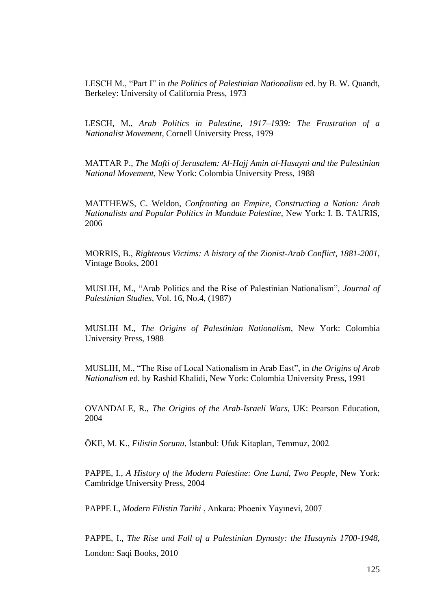LESCH M., "Part I" in *the Politics of Palestinian Nationalism* ed. by B. W. Quandt*,*  Berkeley: University of California Press, 1973

LESCH, M., *Arab Politics in Palestine, 1917–1939: The Frustration of a Nationalist Movement*, Cornell University Press, 1979

MATTAR P., *The Mufti of Jerusalem: Al-Hajj Amin al-Husayni and the Palestinian National Movement,* New York: Colombia University Press, 1988

MATTHEWS, C. Weldon, *Confronting an Empire, Constructing a Nation: Arab Nationalists and Popular Politics in Mandate Palestine*, New York: I. B. TAURIS, 2006

MORRIS, B., *Righteous Victims: A history of the Zionist-Arab Conflict, 1881-2001*, Vintage Books, 2001

MUSLIH, M., "Arab Politics and the Rise of Palestinian Nationalism", *Journal of Palestinian Studies*, Vol. 16, No.4, (1987)

MUSLIH M., *The Origins of Palestinian Nationalism*, New York: Colombia University Press, 1988

MUSLIH, M., "The Rise of Local Nationalism in Arab East", in *the Origins of Arab Nationalism* ed. by Rashid Khalidi, New York: Colombia University Press, 1991

OVANDALE, R., *The Origins of the Arab-Israeli Wars*, UK: Pearson Education, 2004

ÖKE, M. K., *Filistin Sorunu*, İstanbul: Ufuk Kitapları, Temmuz, 2002

PAPPE, I., *A History of the Modern Palestine: One Land, Two People*, New York: Cambridge University Press, 2004

PAPPE I., *Modern Filistin Tarihi* , Ankara: Phoenix Yayınevi, 2007

PAPPE, I., *The Rise and Fall of a Palestinian Dynasty: the Husaynis 1700-1948,*  London: Saqi Books, 2010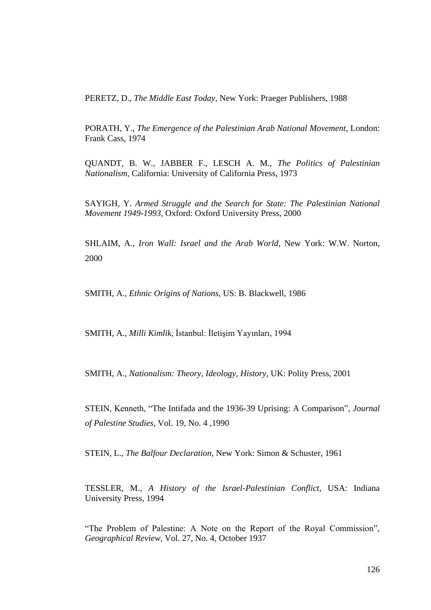PERETZ, D., *The Middle East Today*, New York: Praeger Publishers, 1988

PORATH, Y., *The Emergence of the Palestinian Arab National Movement*, London: Frank Cass, 1974

QUANDT, B. W., JABBER F., LESCH A. M., *The Politics of Palestinian Nationalism*, California: University of California Press, 1973

SAYIGH, Y. *Armed Struggle and the Search for State: The Palestinian National Movement 1949-1993*, Oxford: Oxford University Press, 2000

SHLAIM, A., *Iron Wall: Israel and the Arab World*, New York: W.W. Norton, 2000

SMITH, A., *Ethnic Origins of Nations*, US: B. Blackwell, 1986

SMITH, A., *Milli Kimlik*, İstanbul: İletişim Yayınları, 1994

SMITH, A., *Nationalism: Theory, Ideology, History,* UK: Polity Press, 2001

[STEIN,](http://www.jstor.org/search/BasicResults?Search=Search&Query=aa:%22Kenneth+W.+Stein%22&hp=25&si=1&wc=on) Kenneth, ["The Intifada and the 1936-39 Uprising: A Comparison"](http://www.jstor.org/view/0377919x/di009635/00p0217e/0?currentResult=0377919x%2bdi009635%2b00p0217e%2b18%2c000028&se), *[Journal](http://www.jstor.org/browse/0377919x)  [of Palestine Studies,](http://www.jstor.org/browse/0377919x)* [Vol. 19, No. 4](http://www.jstor.org/browse/0377919x/di009635) ,1990

STEIN, L., *The Balfour Declaration*, New York: Simon & Schuster, 1961

TESSLER, M., *A History of the Israel-Palestinian Conflict*, USA: Indiana University Press, 1994

"The Problem of Palestine: A Note on the Report of the Royal Commission", *Geographical Review*, Vol. 27, No. 4, October 1937